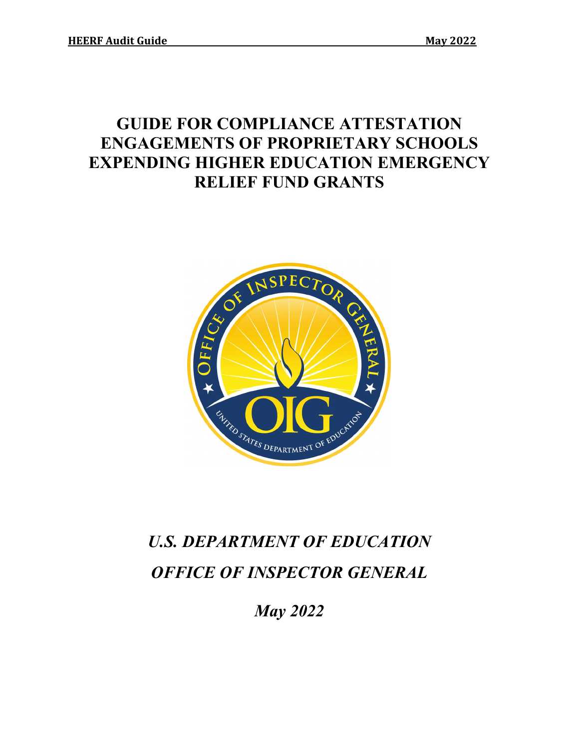# **GUIDE FOR COMPLIANCE ATTESTATION ENGAGEMENTS OF PROPRIETARY SCHOOLS EXPENDING HIGHER EDUCATION EMERGENCY RELIEF FUND GRANTS**



# *U.S. DEPARTMENT OF EDUCATION OFFICE OF INSPECTOR GENERAL*

*May 2022*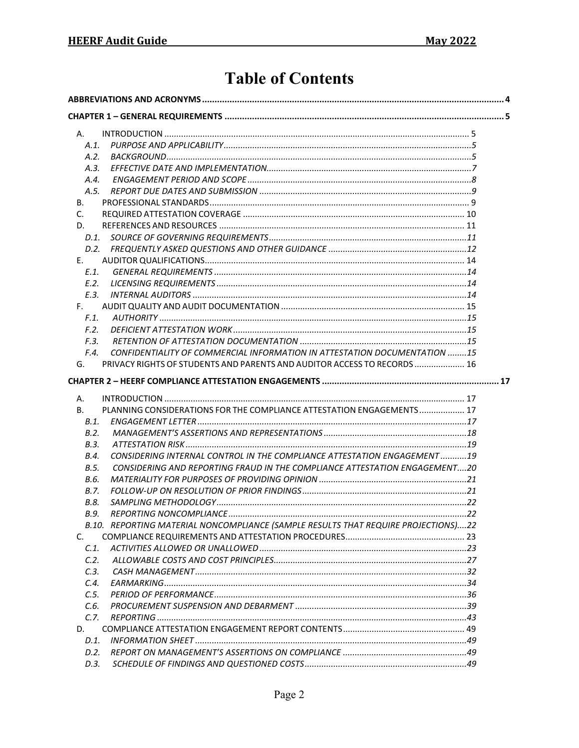# **Table of Contents**

| А.        |                                                                                    |  |
|-----------|------------------------------------------------------------------------------------|--|
| A.1.      |                                                                                    |  |
| A.2.      |                                                                                    |  |
| A.3.      |                                                                                    |  |
| A.4.      |                                                                                    |  |
| A.5.      |                                                                                    |  |
| В.        |                                                                                    |  |
| C.        |                                                                                    |  |
| D.        |                                                                                    |  |
| D.1.      |                                                                                    |  |
| D.2.      |                                                                                    |  |
| E.        |                                                                                    |  |
| $E.1$ .   |                                                                                    |  |
| E.2.      |                                                                                    |  |
| E.3.      |                                                                                    |  |
| F.        |                                                                                    |  |
| F.1.      |                                                                                    |  |
| F.2.      |                                                                                    |  |
| F.3.      |                                                                                    |  |
| F.4.      | CONFIDENTIALITY OF COMMERCIAL INFORMATION IN ATTESTATION DOCUMENTATION 15          |  |
| G.        | PRIVACY RIGHTS OF STUDENTS AND PARENTS AND AUDITOR ACCESS TO RECORDS  16           |  |
|           |                                                                                    |  |
| Α.        |                                                                                    |  |
| <b>B.</b> | PLANNING CONSIDERATIONS FOR THE COMPLIANCE ATTESTATION ENGAGEMENTS 17              |  |
| B.1.      |                                                                                    |  |
| B.2.      |                                                                                    |  |
| B.3.      |                                                                                    |  |
| B.4.      | CONSIDERING INTERNAL CONTROL IN THE COMPLIANCE ATTESTATION ENGAGEMENT19            |  |
| B.5.      | CONSIDERING AND REPORTING FRAUD IN THE COMPLIANCE ATTESTATION ENGAGEMENT20         |  |
| B.6.      |                                                                                    |  |
| B.7.      |                                                                                    |  |
| B.8.      |                                                                                    |  |
| B.9.      |                                                                                    |  |
|           | B.10. REPORTING MATERIAL NONCOMPLIANCE (SAMPLE RESULTS THAT REQUIRE PROJECTIONS)22 |  |
| C.        |                                                                                    |  |
| C.1.      |                                                                                    |  |
| C.2.      |                                                                                    |  |
| C.3.      |                                                                                    |  |
| C.4.      |                                                                                    |  |
| C.5.      |                                                                                    |  |
| C.6.      |                                                                                    |  |
| C.7.      |                                                                                    |  |
| D.        |                                                                                    |  |
| D.1.      |                                                                                    |  |
| D.2.      |                                                                                    |  |
| D.3.      |                                                                                    |  |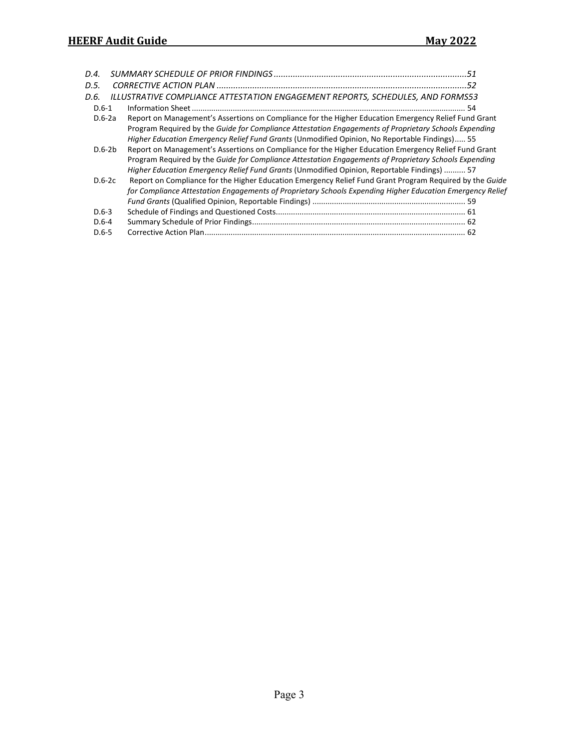| D.4.      |                                                                                                           |  |
|-----------|-----------------------------------------------------------------------------------------------------------|--|
| D.5.      |                                                                                                           |  |
| D.6.      | ILLUSTRATIVE COMPLIANCE ATTESTATION ENGAGEMENT REPORTS, SCHEDULES, AND FORMS53                            |  |
| $D.6-1$   |                                                                                                           |  |
| $D.6-2a$  | Report on Management's Assertions on Compliance for the Higher Education Emergency Relief Fund Grant      |  |
|           | Program Required by the Guide for Compliance Attestation Engagements of Proprietary Schools Expending     |  |
|           | Higher Education Emergency Relief Fund Grants (Unmodified Opinion, No Reportable Findings) 55             |  |
| $D.6-2b$  | Report on Management's Assertions on Compliance for the Higher Education Emergency Relief Fund Grant      |  |
|           | Program Required by the Guide for Compliance Attestation Engagements of Proprietary Schools Expending     |  |
|           | Higher Education Emergency Relief Fund Grants (Unmodified Opinion, Reportable Findings)  57               |  |
| $D.6-2c$  | Report on Compliance for the Higher Education Emergency Relief Fund Grant Program Required by the Guide   |  |
|           | for Compliance Attestation Engagements of Proprietary Schools Expending Higher Education Emergency Relief |  |
|           |                                                                                                           |  |
| $D.6-3$   |                                                                                                           |  |
| D.6-4     |                                                                                                           |  |
| $D.6 - 5$ |                                                                                                           |  |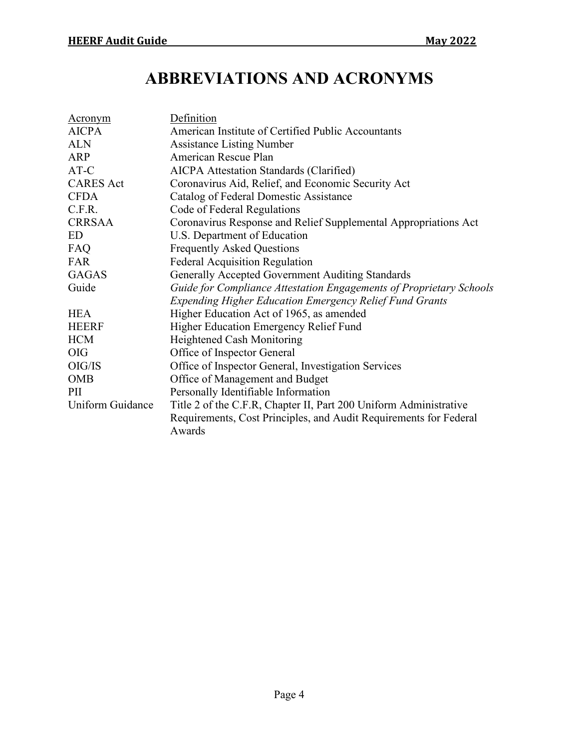# **ABBREVIATIONS AND ACRONYMS**

<span id="page-3-0"></span>

| Acronym          | Definition                                                          |  |
|------------------|---------------------------------------------------------------------|--|
| <b>AICPA</b>     | American Institute of Certified Public Accountants                  |  |
| <b>ALN</b>       | <b>Assistance Listing Number</b>                                    |  |
| <b>ARP</b>       | American Rescue Plan                                                |  |
| AT-C             | <b>AICPA</b> Attestation Standards (Clarified)                      |  |
| <b>CARES</b> Act | Coronavirus Aid, Relief, and Economic Security Act                  |  |
| <b>CFDA</b>      | Catalog of Federal Domestic Assistance                              |  |
| C.F.R.           | Code of Federal Regulations                                         |  |
| <b>CRRSAA</b>    | Coronavirus Response and Relief Supplemental Appropriations Act     |  |
| ED               | U.S. Department of Education                                        |  |
| FAQ              | <b>Frequently Asked Questions</b>                                   |  |
| FAR              | <b>Federal Acquisition Regulation</b>                               |  |
| <b>GAGAS</b>     | Generally Accepted Government Auditing Standards                    |  |
| Guide            | Guide for Compliance Attestation Engagements of Proprietary Schools |  |
|                  | <b>Expending Higher Education Emergency Relief Fund Grants</b>      |  |
| <b>HEA</b>       | Higher Education Act of 1965, as amended                            |  |
| <b>HEERF</b>     | Higher Education Emergency Relief Fund                              |  |
| <b>HCM</b>       | Heightened Cash Monitoring                                          |  |
| <b>OIG</b>       | Office of Inspector General                                         |  |
| OIG/IS           | Office of Inspector General, Investigation Services                 |  |
| <b>OMB</b>       | Office of Management and Budget                                     |  |
| PII              | Personally Identifiable Information                                 |  |
| Uniform Guidance | Title 2 of the C.F.R, Chapter II, Part 200 Uniform Administrative   |  |
|                  | Requirements, Cost Principles, and Audit Requirements for Federal   |  |
|                  | Awards                                                              |  |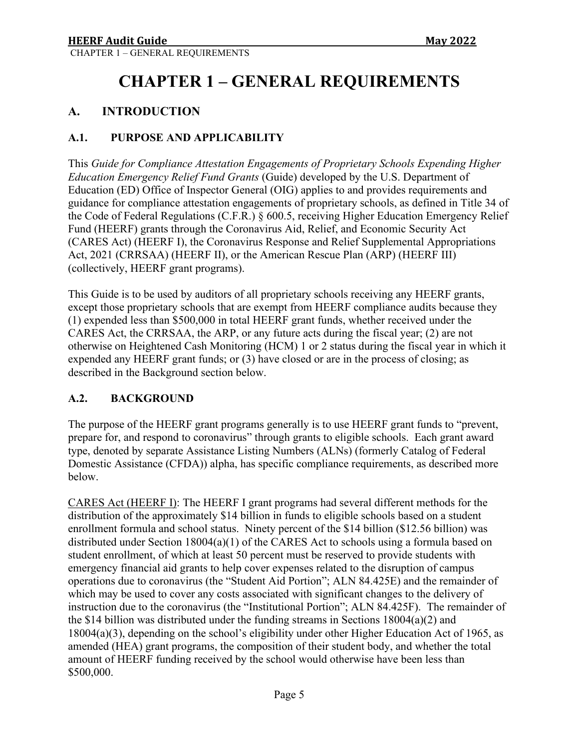# **CHAPTER 1 – GENERAL REQUIREMENTS**

# <span id="page-4-1"></span><span id="page-4-0"></span>**A. INTRODUCTION**

# <span id="page-4-2"></span>**A.1. PURPOSE AND APPLICABILITY**

This *Guide for Compliance Attestation Engagements of Proprietary Schools Expending Higher Education Emergency Relief Fund Grants* (Guide) developed by the U.S. Department of Education (ED) Office of Inspector General (OIG) applies to and provides requirements and guidance for compliance attestation engagements of proprietary schools, as defined in Title 34 of the Code of Federal Regulations (C.F.R.) § 600.5, receiving Higher Education Emergency Relief Fund (HEERF) grants through the Coronavirus Aid, Relief, and Economic Security Act (CARES Act) (HEERF I), the Coronavirus Response and Relief Supplemental Appropriations Act, 2021 (CRRSAA) (HEERF II), or the American Rescue Plan (ARP) (HEERF III) (collectively, HEERF grant programs).

This Guide is to be used by auditors of all proprietary schools receiving any HEERF grants, except those proprietary schools that are exempt from HEERF compliance audits because they (1) expended less than \$500,000 in total HEERF grant funds, whether received under the CARES Act, the CRRSAA, the ARP, or any future acts during the fiscal year; (2) are not otherwise on Heightened Cash Monitoring (HCM) 1 or 2 status during the fiscal year in which it expended any HEERF grant funds; or (3) have closed or are in the process of closing; as described in the Background section below.

### <span id="page-4-3"></span>**A.2. BACKGROUND**

The purpose of the HEERF grant programs generally is to use HEERF grant funds to "prevent, prepare for, and respond to coronavirus" through grants to eligible schools. Each grant award type, denoted by separate Assistance Listing Numbers (ALNs) (formerly Catalog of Federal Domestic Assistance (CFDA)) alpha, has specific compliance requirements, as described more below.

CARES Act (HEERF I): The HEERF I grant programs had several different methods for the distribution of the approximately \$14 billion in funds to eligible schools based on a student enrollment formula and school status. Ninety percent of the \$14 billion (\$12.56 billion) was distributed under Section 18004(a)(1) of the CARES Act to schools using a formula based on student enrollment, of which at least 50 percent must be reserved to provide students with emergency financial aid grants to help cover expenses related to the disruption of campus operations due to coronavirus (the "Student Aid Portion"; ALN 84.425E) and the remainder of which may be used to cover any costs associated with significant changes to the delivery of instruction due to the coronavirus (the "Institutional Portion"; ALN 84.425F). The remainder of the \$14 billion was distributed under the funding streams in Sections 18004(a)(2) and 18004(a)(3), depending on the school's eligibility under other Higher Education Act of 1965, as amended (HEA) grant programs, the composition of their student body, and whether the total amount of HEERF funding received by the school would otherwise have been less than \$500,000.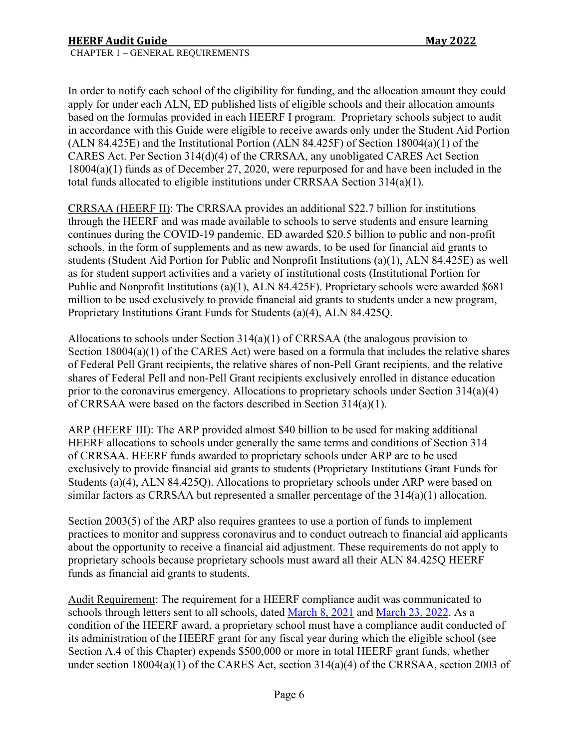In order to notify each school of the eligibility for funding, and the allocation amount they could apply for under each ALN, ED published lists of eligible schools and their allocation amounts based on the formulas provided in each HEERF I program. Proprietary schools subject to audit in accordance with this Guide were eligible to receive awards only under the Student Aid Portion (ALN 84.425E) and the Institutional Portion (ALN 84.425F) of Section 18004(a)(1) of the CARES Act. Per Section 314(d)(4) of the CRRSAA, any unobligated CARES Act Section 18004(a)(1) funds as of December 27, 2020, were repurposed for and have been included in the total funds allocated to eligible institutions under CRRSAA Section 314(a)(1).

CRRSAA (HEERF II): The CRRSAA provides an additional \$22.7 billion for institutions through the HEERF and was made available to schools to serve students and ensure learning continues during the COVID-19 pandemic. ED awarded \$20.5 billion to public and non-profit schools, in the form of supplements and as new awards, to be used for financial aid grants to students (Student Aid Portion for Public and Nonprofit Institutions (a)(1), ALN 84.425E) as well as for student support activities and a variety of institutional costs (Institutional Portion for Public and Nonprofit Institutions (a)(1), ALN 84.425F). Proprietary schools were awarded \$681 million to be used exclusively to provide financial aid grants to students under a new program, Proprietary Institutions Grant Funds for Students (a)(4), ALN 84.425Q.

Allocations to schools under Section  $314(a)(1)$  of CRRSAA (the analogous provision to Section  $18004(a)(1)$  of the CARES Act) were based on a formula that includes the relative shares of Federal Pell Grant recipients, the relative shares of non-Pell Grant recipients, and the relative shares of Federal Pell and non-Pell Grant recipients exclusively enrolled in distance education prior to the coronavirus emergency. Allocations to proprietary schools under Section 314(a)(4) of CRRSAA were based on the factors described in Section 314(a)(1).

ARP (HEERF III): The ARP provided almost \$40 billion to be used for making additional HEERF allocations to schools under generally the same terms and conditions of Section 314 of CRRSAA. HEERF funds awarded to proprietary schools under ARP are to be used exclusively to provide financial aid grants to students (Proprietary Institutions Grant Funds for Students (a)(4), ALN 84.425Q). Allocations to proprietary schools under ARP were based on similar factors as CRRSAA but represented a smaller percentage of the  $314(a)(1)$  allocation.

Section 2003(5) of the ARP also requires grantees to use a portion of funds to implement practices to monitor and suppress coronavirus and to conduct outreach to financial aid applicants about the opportunity to receive a financial aid adjustment. These requirements do not apply to proprietary schools because proprietary schools must award all their ALN 84.425Q HEERF funds as financial aid grants to students.

Audit Requirement: The requirement for a HEERF compliance audit was communicated to schools through letters sent to all schools, dated [March 8, 2021](https://www2.ed.gov/about/offices/list/ope/heerfauditletter.pdf) and [March 23, 2022.](https://www2.ed.gov/about/offices/list/ope/heerfauditletteryear2.pdf) As a condition of the HEERF award, a proprietary school must have a compliance audit conducted of its administration of the HEERF grant for any fiscal year during which the eligible school (see Section A.4 of this Chapter) expends \$500,000 or more in total HEERF grant funds, whether under section 18004(a)(1) of the CARES Act, section 314(a)(4) of the CRRSAA, section 2003 of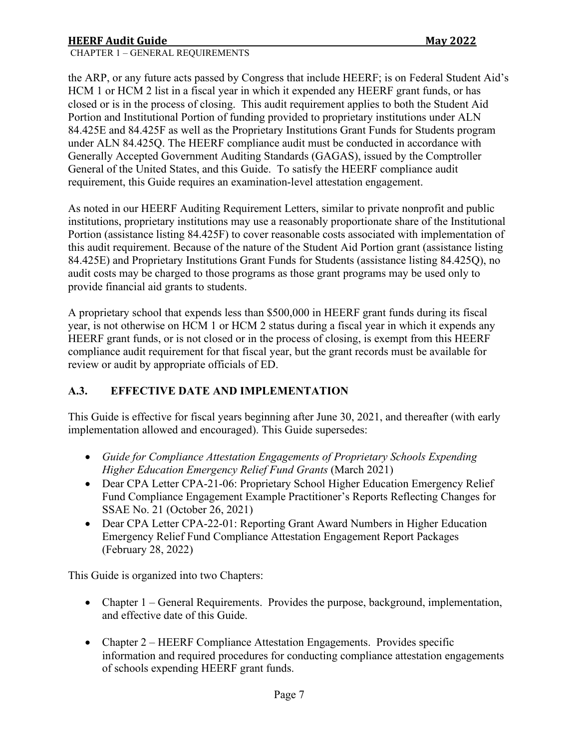# **HEERF Audit Guide Communist State Communist State Communist State Communist State Communist State Communist State Communist State Communist State Communist State Communist State Communist State Communist State Communist S**

the ARP, or any future acts passed by Congress that include HEERF; is on Federal Student Aid's HCM 1 or HCM 2 list in a fiscal year in which it expended any HEERF grant funds, or has closed or is in the process of closing. This audit requirement applies to both the Student Aid Portion and Institutional Portion of funding provided to proprietary institutions under ALN 84.425E and 84.425F as well as the Proprietary Institutions Grant Funds for Students program under ALN 84.425Q. The HEERF compliance audit must be conducted in accordance with Generally Accepted Government Auditing Standards (GAGAS), issued by the Comptroller General of the United States, and this Guide. To satisfy the HEERF compliance audit requirement, this Guide requires an examination-level attestation engagement.

As noted in our HEERF Auditing Requirement Letters, similar to private nonprofit and public institutions, proprietary institutions may use a reasonably proportionate share of the Institutional Portion (assistance listing 84.425F) to cover reasonable costs associated with implementation of this audit requirement. Because of the nature of the Student Aid Portion grant (assistance listing 84.425E) and Proprietary Institutions Grant Funds for Students (assistance listing 84.425Q), no audit costs may be charged to those programs as those grant programs may be used only to provide financial aid grants to students.

A proprietary school that expends less than \$500,000 in HEERF grant funds during its fiscal year, is not otherwise on HCM 1 or HCM 2 status during a fiscal year in which it expends any HEERF grant funds, or is not closed or in the process of closing, is exempt from this HEERF compliance audit requirement for that fiscal year, but the grant records must be available for review or audit by appropriate officials of ED.

# <span id="page-6-0"></span>**A.3. EFFECTIVE DATE AND IMPLEMENTATION**

This Guide is effective for fiscal years beginning after June 30, 2021, and thereafter (with early implementation allowed and encouraged). This Guide supersedes:

- *Guide for Compliance Attestation Engagements of Proprietary Schools Expending Higher Education Emergency Relief Fund Grants* (March 2021)
- Dear CPA Letter CPA-21-06: Proprietary School Higher Education Emergency Relief Fund Compliance Engagement Example Practitioner's Reports Reflecting Changes for SSAE No. 21 (October 26, 2021)
- Dear CPA Letter CPA-22-01: Reporting Grant Award Numbers in Higher Education Emergency Relief Fund Compliance Attestation Engagement Report Packages (February 28, 2022)

This Guide is organized into two Chapters:

- Chapter 1 General Requirements. Provides the purpose, background, implementation, and effective date of this Guide.
- Chapter 2 HEERF Compliance Attestation Engagements. Provides specific information and required procedures for conducting compliance attestation engagements of schools expending HEERF grant funds.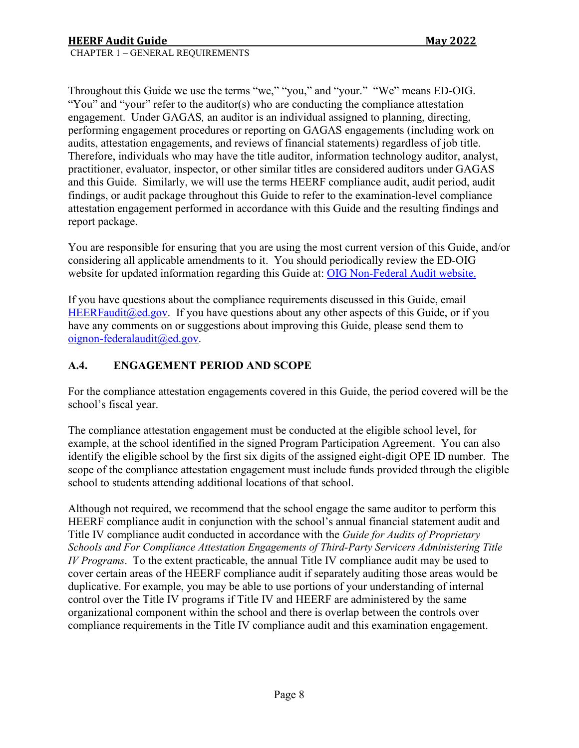Throughout this Guide we use the terms "we," "you," and "your." "We" means ED-OIG. "You" and "your" refer to the auditor(s) who are conducting the compliance attestation engagement. Under GAGAS*,* an auditor is an individual assigned to planning, directing, performing engagement procedures or reporting on GAGAS engagements (including work on audits, attestation engagements, and reviews of financial statements) regardless of job title. Therefore, individuals who may have the title auditor, information technology auditor, analyst, practitioner, evaluator, inspector, or other similar titles are considered auditors under GAGAS and this Guide. Similarly, we will use the terms HEERF compliance audit, audit period, audit findings, or audit package throughout this Guide to refer to the examination-level compliance attestation engagement performed in accordance with this Guide and the resulting findings and report package.

You are responsible for ensuring that you are using the most current version of this Guide, and/or considering all applicable amendments to it. You should periodically review the ED-OIG website for updated information regarding this Guide at: [OIG Non-Federal Audit website.](https://www2.ed.gov/about/offices/list/oig/nonfed/proprietary.html)

If you have questions about the compliance requirements discussed in this Guide, email HEERFaudit $@ed.gov$ . If you have questions about any other aspects of this Guide, or if you have any comments on or suggestions about improving this Guide, please send them to [oignon-federalaudit@ed.gov.](mailto:oignonfederalaudit@ed.gov)

### <span id="page-7-0"></span>**A.4. ENGAGEMENT PERIOD AND SCOPE**

For the compliance attestation engagements covered in this Guide, the period covered will be the school's fiscal year.

The compliance attestation engagement must be conducted at the eligible school level, for example, at the school identified in the signed Program Participation Agreement. You can also identify the eligible school by the first six digits of the assigned eight-digit OPE ID number. The scope of the compliance attestation engagement must include funds provided through the eligible school to students attending additional locations of that school.

Although not required, we recommend that the school engage the same auditor to perform this HEERF compliance audit in conjunction with the school's annual financial statement audit and Title IV compliance audit conducted in accordance with the *Guide for Audits of Proprietary Schools and For Compliance Attestation Engagements of Third-Party Servicers Administering Title IV Programs*. To the extent practicable, the annual Title IV compliance audit may be used to cover certain areas of the HEERF compliance audit if separately auditing those areas would be duplicative. For example, you may be able to use portions of your understanding of internal control over the Title IV programs if Title IV and HEERF are administered by the same organizational component within the school and there is overlap between the controls over compliance requirements in the Title IV compliance audit and this examination engagement.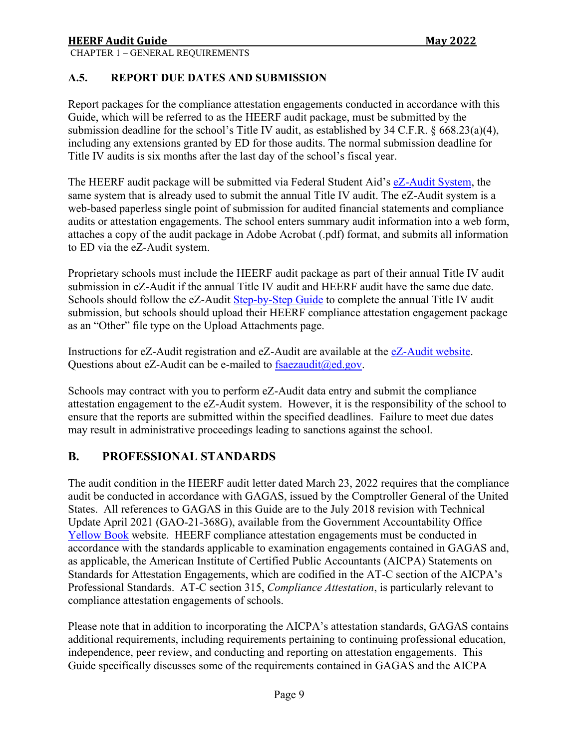# <span id="page-8-0"></span>**A.5. REPORT DUE DATES AND SUBMISSION**

Report packages for the compliance attestation engagements conducted in accordance with this Guide, which will be referred to as the HEERF audit package, must be submitted by the submission deadline for the school's Title IV audit, as established by 34 C.F.R. § 668.23(a)(4), including any extensions granted by ED for those audits. The normal submission deadline for Title IV audits is six months after the last day of the school's fiscal year.

The HEERF audit package will be submitted via Federal Student Aid's [eZ-Audit System,](https://ezaudit.ed.gov/) the same system that is already used to submit the annual Title IV audit. The eZ-Audit system is a web-based paperless single point of submission for audited financial statements and compliance audits or attestation engagements. The school enters summary audit information into a web form, attaches a copy of the audit package in Adobe Acrobat (.pdf) format, and submits all information to ED via the eZ-Audit system.

Proprietary schools must include the HEERF audit package as part of their annual Title IV audit submission in eZ-Audit if the annual Title IV audit and HEERF audit have the same due date. Schools should follow the eZ-Audit [Step-by-Step Guide](https://ezaudit.ed.gov/proprietary_manual.pdf) to complete the annual Title IV audit submission, but schools should upload their HEERF compliance attestation engagement package as an "Other" file type on the Upload Attachments page.

Instructions for eZ-Audit registration and eZ-Audit are available at the [eZ-Audit website.](https://ezaudit.ed.gov/) Questions about eZ-Audit can be e-mailed to  $f \text{saezaudit}(\omega)$ ed.gov.

Schools may contract with you to perform eZ-Audit data entry and submit the compliance attestation engagement to the eZ-Audit system. However, it is the responsibility of the school to ensure that the reports are submitted within the specified deadlines. Failure to meet due dates may result in administrative proceedings leading to sanctions against the school.

# <span id="page-8-1"></span>**B. PROFESSIONAL STANDARDS**

The audit condition in the HEERF audit letter dated March 23, 2022 requires that the compliance audit be conducted in accordance with GAGAS, issued by the Comptroller General of the United States. All references to GAGAS in this Guide are to the July 2018 revision with Technical Update April 2021 (GAO-21-368G), available from the Government Accountability Office [Yellow Book](https://www.gao.gov/yellowbook/overview) website. HEERF compliance attestation engagements must be conducted in accordance with the standards applicable to examination engagements contained in GAGAS and, as applicable, the American Institute of Certified Public Accountants (AICPA) Statements on Standards for Attestation Engagements, which are codified in the AT-C section of the AICPA's Professional Standards. AT-C section 315, *Compliance Attestation*, is particularly relevant to compliance attestation engagements of schools.

Please note that in addition to incorporating the AICPA's attestation standards, GAGAS contains additional requirements, including requirements pertaining to continuing professional education, independence, peer review, and conducting and reporting on attestation engagements. This Guide specifically discusses some of the requirements contained in GAGAS and the AICPA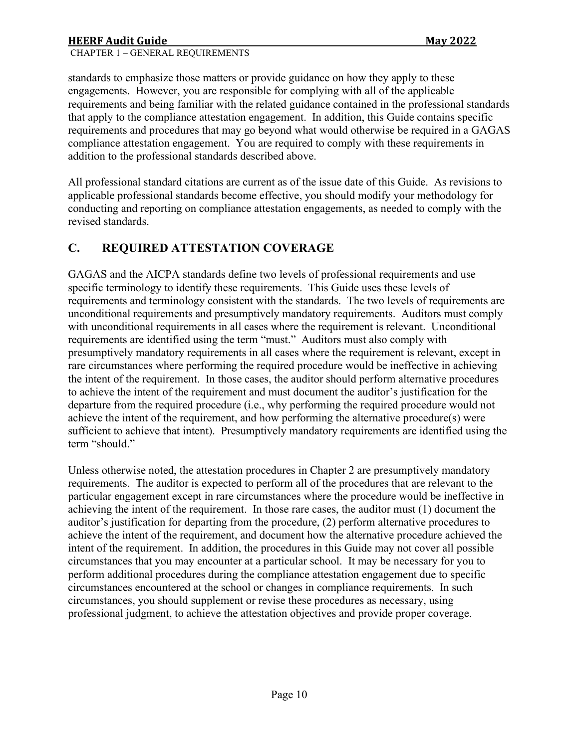CHAPTER 1 – GENERAL REQUIREMENTS

standards to emphasize those matters or provide guidance on how they apply to these engagements. However, you are responsible for complying with all of the applicable requirements and being familiar with the related guidance contained in the professional standards that apply to the compliance attestation engagement. In addition, this Guide contains specific requirements and procedures that may go beyond what would otherwise be required in a GAGAS compliance attestation engagement. You are required to comply with these requirements in addition to the professional standards described above.

All professional standard citations are current as of the issue date of this Guide. As revisions to applicable professional standards become effective, you should modify your methodology for conducting and reporting on compliance attestation engagements, as needed to comply with the revised standards.

# <span id="page-9-0"></span>**C. REQUIRED ATTESTATION COVERAGE**

GAGAS and the AICPA standards define two levels of professional requirements and use specific terminology to identify these requirements. This Guide uses these levels of requirements and terminology consistent with the standards. The two levels of requirements are unconditional requirements and presumptively mandatory requirements. Auditors must comply with unconditional requirements in all cases where the requirement is relevant. Unconditional requirements are identified using the term "must." Auditors must also comply with presumptively mandatory requirements in all cases where the requirement is relevant, except in rare circumstances where performing the required procedure would be ineffective in achieving the intent of the requirement. In those cases, the auditor should perform alternative procedures to achieve the intent of the requirement and must document the auditor's justification for the departure from the required procedure (i.e., why performing the required procedure would not achieve the intent of the requirement, and how performing the alternative procedure(s) were sufficient to achieve that intent). Presumptively mandatory requirements are identified using the term "should."

Unless otherwise noted, the attestation procedures in Chapter 2 are presumptively mandatory requirements. The auditor is expected to perform all of the procedures that are relevant to the particular engagement except in rare circumstances where the procedure would be ineffective in achieving the intent of the requirement. In those rare cases, the auditor must (1) document the auditor's justification for departing from the procedure, (2) perform alternative procedures to achieve the intent of the requirement, and document how the alternative procedure achieved the intent of the requirement. In addition, the procedures in this Guide may not cover all possible circumstances that you may encounter at a particular school. It may be necessary for you to perform additional procedures during the compliance attestation engagement due to specific circumstances encountered at the school or changes in compliance requirements. In such circumstances, you should supplement or revise these procedures as necessary, using professional judgment, to achieve the attestation objectives and provide proper coverage.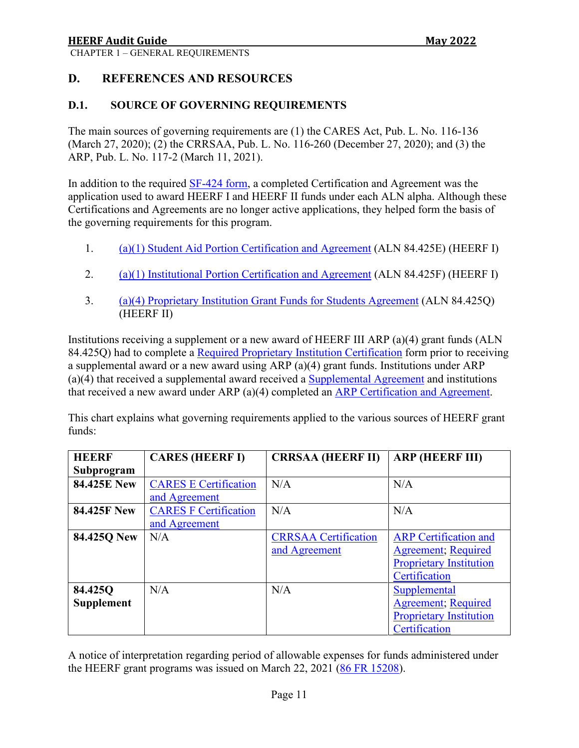#### <span id="page-10-1"></span><span id="page-10-0"></span>**D.1. SOURCE OF GOVERNING REQUIREMENTS**

The main sources of governing requirements are (1) the CARES Act, Pub. L. No. 116-136 (March 27, 2020); (2) the CRRSAA, Pub. L. No. 116-260 (December 27, 2020); and (3) the ARP, Pub. L. No. 117-2 (March 11, 2021).

In addition to the required [SF-424 form,](https://www.grants.gov/forms/sf-424-family.html) a completed Certification and Agreement was the application used to award HEERF I and HEERF II funds under each ALN alpha. Although these Certifications and Agreements are no longer active applications, they helped form the basis of the governing requirements for this program.

- 1. [\(a\)\(1\) Student Aid Portion Certification and Agreement](https://www2.ed.gov/about/offices/list/ope/heerfstudentscertificationagreement42020a.pdf) (ALN 84.425E) (HEERF I)
- 2. [\(a\)\(1\) Institutional Portion Certification and Agreement](https://www2.ed.gov/about/offices/list/ope/heerfInstitutionalcertificationagreement42020v2a.pdf) (ALN 84.425F) (HEERF I)
- 3. [\(a\)\(4\) Proprietary Institution Grant Funds for Students Agreement](https://www2.ed.gov/about/offices/list/ope/redcaheerfiiproprietary.pdf) (ALN 84.425Q) (HEERF II)

Institutions receiving a supplement or a new award of HEERF III ARP (a)(4) grant funds (ALN 84.425Q) had to complete a [Required Proprietary Institution Certification](https://www2.ed.gov/about/offices/list/ope/arpproprietarycerft.pdf) form prior to receiving a supplemental award or a new award using ARP (a)(4) grant funds. Institutions under ARP (a)(4) that received a supplemental award received a [Supplemental Agreement](https://www2.ed.gov/about/offices/list/ope/arpheerfiiisupplementa4.pdf) and institutions that received a new award under ARP (a)(4) completed an [ARP Certification and Agreement.](https://www2.ed.gov/about/offices/list/ope/arpheerfiiicaa4prop.pdf)

This chart explains what governing requirements applied to the various sources of HEERF grant funds:

| <b>HEERF</b>       | <b>CARES (HEERF I)</b>       | <b>CRRSAA (HEERF II)</b>    | <b>ARP (HEERF III)</b>         |
|--------------------|------------------------------|-----------------------------|--------------------------------|
| Subprogram         |                              |                             |                                |
| <b>84.425E New</b> | <b>CARES E Certification</b> | N/A                         | N/A                            |
|                    | and Agreement                |                             |                                |
| <b>84.425F New</b> | <b>CARES F Certification</b> | N/A                         | N/A                            |
|                    | and Agreement                |                             |                                |
| 84.425Q New        | N/A                          | <b>CRRSAA Certification</b> | <b>ARP</b> Certification and   |
|                    |                              | and Agreement               | <b>Agreement</b> ; Required    |
|                    |                              |                             | <b>Proprietary Institution</b> |
|                    |                              |                             | Certification                  |
| 84.425Q            | N/A                          | N/A                         | Supplemental                   |
| <b>Supplement</b>  |                              |                             | <b>Agreement</b> ; Required    |
|                    |                              |                             | <b>Proprietary Institution</b> |
|                    |                              |                             | Certification                  |

A notice of interpretation regarding period of allowable expenses for funds administered under the HEERF grant programs was issued on March 22, 2021 [\(86 FR 15208\)](https://www.federalregister.gov/documents/2021/03/22/2021-05849/notice-of-interpretation-regarding-period-of-allowable-expenses-for-funds-administered-under-the).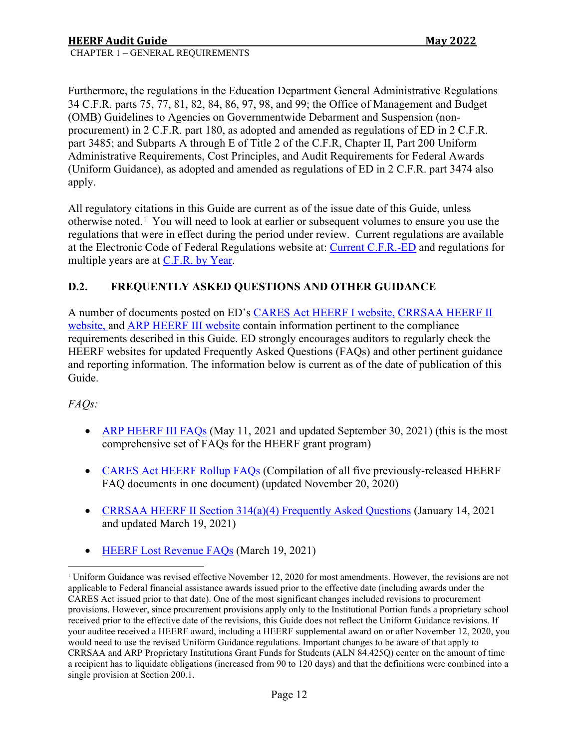Furthermore, the regulations in the Education Department General Administrative Regulations 34 C.F.R. parts 75, 77, 81, 82, 84, 86, 97, 98, and 99; the Office of Management and Budget (OMB) Guidelines to Agencies on Governmentwide Debarment and Suspension (nonprocurement) in 2 C.F.R. part 180, as adopted and amended as regulations of ED in 2 C.F.R. part 3485; and Subparts A through E of Title 2 of the C.F.R, Chapter II, Part 200 Uniform Administrative Requirements, Cost Principles, and Audit Requirements for Federal Awards (Uniform Guidance), as adopted and amended as regulations of ED in 2 C.F.R. part 3474 also apply.

All regulatory citations in this Guide are current as of the issue date of this Guide, unless otherwise noted.<sup>[1](#page-11-1)</sup> You will need to look at earlier or subsequent volumes to ensure you use the regulations that were in effect during the period under review. Current regulations are available at the Electronic Code of Federal Regulations website at: [Current C.F.R.-ED](https://www.ecfr.gov/current/title-34) and regulations for multiple years are at C.F.R. [by Year.](https://www.govinfo.gov/app/collection/cfr/)

# <span id="page-11-0"></span>**D.2. FREQUENTLY ASKED QUESTIONS AND OTHER GUIDANCE**

A number of documents posted on ED's [CARES Act HEERF I website,](https://www2.ed.gov/about/offices/list/ope/caresact.html) [CRRSAA HEERF II](https://www2.ed.gov/about/offices/list/ope/crrsaa.html)  [website,](https://www2.ed.gov/about/offices/list/ope/crrsaa.html) and [ARP HEERF III website](https://www2.ed.gov/about/offices/list/ope/arp.html) contain information pertinent to the compliance requirements described in this Guide. ED strongly encourages auditors to regularly check the HEERF websites for updated Frequently Asked Questions (FAQs) and other pertinent guidance and reporting information. The information below is current as of the date of publication of this Guide.

# *FAQs:*

- [ARP HEERF III FAQs](https://www2.ed.gov/about/offices/list/ope/arpfaq.pdf) (May 11, 2021 and updated September 30, 2021) (this is the most comprehensive set of FAQs for the HEERF grant program)
- [CARES Act HEERF Rollup FAQs](https://www2.ed.gov/about/offices/list/ope/heerffaqsoct2020rollup.pdf) (Compilation of all five previously-released HEERF FAQ documents in one document) (updated November 20, 2020)
- [CRRSAA HEERF II Section 314\(a\)\(4\) Frequently Asked Questions](https://www2.ed.gov/about/offices/list/ope/updatedheerfiia4crrsaafaqs.pdf) (January 14, 2021 and updated March 19, 2021)
- HEERF Lost [Revenue FAQs](https://www2.ed.gov/about/offices/list/ope/heerflostrevenuefaqs.pdf) (March 19, 2021)

<span id="page-11-1"></span><sup>1</sup> Uniform Guidance was revised effective November 12, 2020 for most amendments. However, the revisions are not applicable to Federal financial assistance awards issued prior to the effective date (including awards under the CARES Act issued prior to that date). One of the most significant changes included revisions to procurement provisions. However, since procurement provisions apply only to the Institutional Portion funds a proprietary school received prior to the effective date of the revisions, this Guide does not reflect the Uniform Guidance revisions. If your auditee received a HEERF award, including a HEERF supplemental award on or after November 12, 2020, you would need to use the revised Uniform Guidance regulations. Important changes to be aware of that apply to CRRSAA and ARP Proprietary Institutions Grant Funds for Students (ALN 84.425Q) center on the amount of time a recipient has to liquidate obligations (increased from 90 to 120 days) and that the definitions were combined into a single provision at Section 200.1.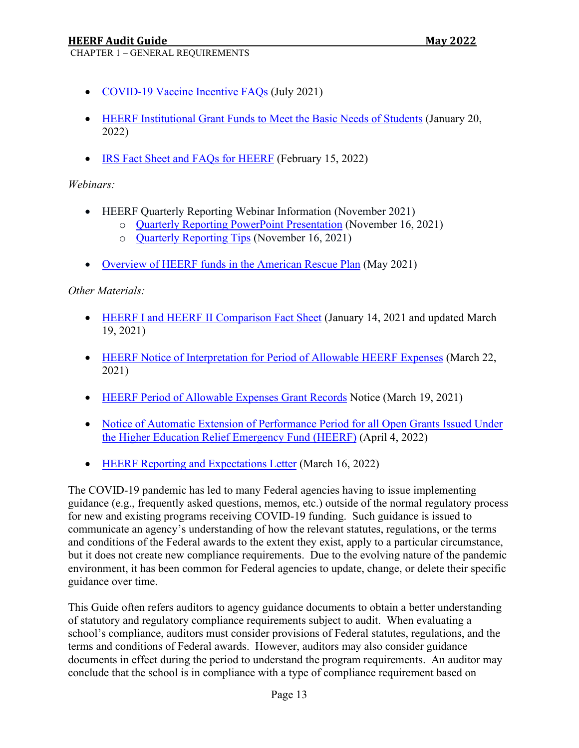CHAPTER 1 – GENERAL REQUIREMENTS

- [COVID-19 Vaccine Incentive FAQs](https://oese.ed.gov/files/2021/07/FAQ-21.pdf) (July 2021)
- [HEERF Institutional Grant Funds to Meet the Basic Needs of Students](https://www2.ed.gov/about/offices/list/ope/heerf-support-basic-needs-final.pdf) (January 20, 2022)
- [IRS Fact Sheet and FAQs for HEERF](https://www.irs.gov/pub/taxpros/fs-2022-11.pdf) (February 15, 2022)

*Webinars:*

- HEERF Quarterly Reporting Webinar Information (November 2021)
	- o [Quarterly Reporting PowerPoint Presentation](https://www2.ed.gov/about/offices/list/ope/heerfquarterlyreportingpresentation.pdf) (November 16, 2021)
	- o [Quarterly Reporting Tips](https://www2.ed.gov/about/offices/list/ope/heerfreportingtips.pdf) (November 16, 2021)
- [Overview of HEERF funds in the American Rescue Plan](https://www2.ed.gov/about/offices/list/ope/opebriefingheerfarpinstitution.pdf) (May 2021)

*Other Materials:*

- [HEERF I and HEERF II Comparison Fact Sheet](https://www2.ed.gov/about/offices/list/ope/factsheetcrrsaaheerfii.pdf) (January 14, 2021 and updated March 19, 2021)
- [HEERF Notice of Interpretation for Period of Allowable HEERF Expenses](https://www.federalregister.gov/documents/2021/03/22/2021-05849/notice-of-interpretation-regarding-period-of-allowable-expenses-for-funds-administered-under-the) (March 22, 2021)
- [HEERF Period of Allowable Expenses Grant Records](https://www2.ed.gov/about/offices/list/ope/heerfg5notice.pdf) Notice (March 19, 2021)
- Notice of Automatic Extension of Performance Period for all Open Grants Issued Under [the Higher Education Relief Emergency Fund \(HEERF\)](https://www.federalregister.gov/documents/2022/04/04/2022-07053/notice-of-automatic-extension-of-performance-period-for-all-open-grants-issued-under-the-higher) (April 4, 2022)
- [HEERF Reporting and Expectations Letter](https://www.federalregister.gov/documents/2021/05/13/2021-10196/notice-of-public-posting-requirement-of-grant-information-for-higher-education-emergency-relief-fund) (March 16, 2022)

The COVID-19 pandemic has led to many Federal agencies having to issue implementing guidance (e.g., frequently asked questions, memos, etc.) outside of the normal regulatory process for new and existing programs receiving COVID-19 funding. Such guidance is issued to communicate an agency's understanding of how the relevant statutes, regulations, or the terms and conditions of the Federal awards to the extent they exist, apply to a particular circumstance, but it does not create new compliance requirements. Due to the evolving nature of the pandemic environment, it has been common for Federal agencies to update, change, or delete their specific guidance over time.

This Guide often refers auditors to agency guidance documents to obtain a better understanding of statutory and regulatory compliance requirements subject to audit. When evaluating a school's compliance, auditors must consider provisions of Federal statutes, regulations, and the terms and conditions of Federal awards. However, auditors may also consider guidance documents in effect during the period to understand the program requirements. An auditor may conclude that the school is in compliance with a type of compliance requirement based on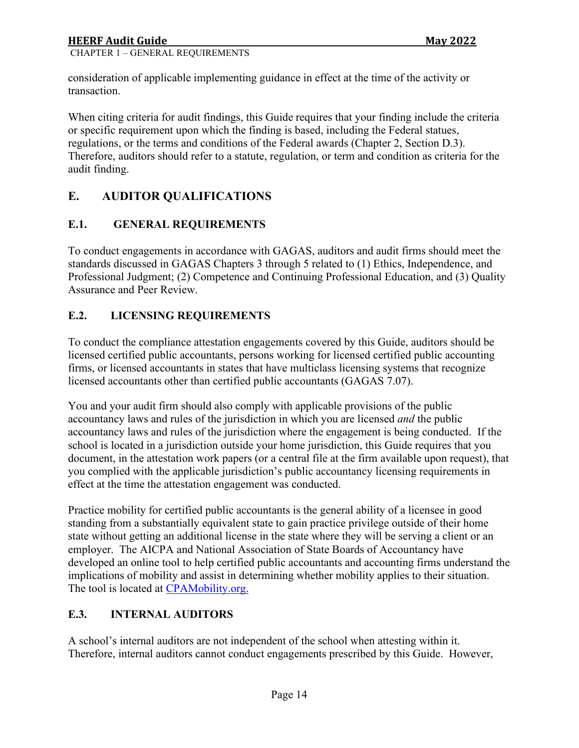CHAPTER 1 – GENERAL REQUIREMENTS

consideration of applicable implementing guidance in effect at the time of the activity or transaction.

When citing criteria for audit findings, this Guide requires that your finding include the criteria or specific requirement upon which the finding is based, including the Federal statues, regulations, or the terms and conditions of the Federal awards (Chapter 2, Section D.3). Therefore, auditors should refer to a statute, regulation, or term and condition as criteria for the audit finding.

# <span id="page-13-0"></span>**E. AUDITOR QUALIFICATIONS**

# <span id="page-13-1"></span>**E.1. GENERAL REQUIREMENTS**

To conduct engagements in accordance with GAGAS, auditors and audit firms should meet the standards discussed in GAGAS Chapters 3 through 5 related to (1) Ethics, Independence, and Professional Judgment; (2) Competence and Continuing Professional Education, and (3) Quality Assurance and Peer Review.

# <span id="page-13-2"></span>**E.2. LICENSING REQUIREMENTS**

To conduct the compliance attestation engagements covered by this Guide, auditors should be licensed certified public accountants, persons working for licensed certified public accounting firms, or licensed accountants in states that have multiclass licensing systems that recognize licensed accountants other than certified public accountants (GAGAS 7.07).

You and your audit firm should also comply with applicable provisions of the public accountancy laws and rules of the jurisdiction in which you are licensed *and* the public accountancy laws and rules of the jurisdiction where the engagement is being conducted. If the school is located in a jurisdiction outside your home jurisdiction, this Guide requires that you document, in the attestation work papers (or a central file at the firm available upon request), that you complied with the applicable jurisdiction's public accountancy licensing requirements in effect at the time the attestation engagement was conducted.

Practice mobility for certified public accountants is the general ability of a licensee in good standing from a substantially equivalent state to gain practice privilege outside of their home state without getting an additional license in the state where they will be serving a client or an employer. The AICPA and National Association of State Boards of Accountancy have developed an online tool to help certified public accountants and accounting firms understand the implications of mobility and assist in determining whether mobility applies to their situation. The tool is located at [CPAMobility.org.](https://cpamobility.org/)

# <span id="page-13-3"></span>**E.3. INTERNAL AUDITORS**

A school's internal auditors are not independent of the school when attesting within it. Therefore, internal auditors cannot conduct engagements prescribed by this Guide. However,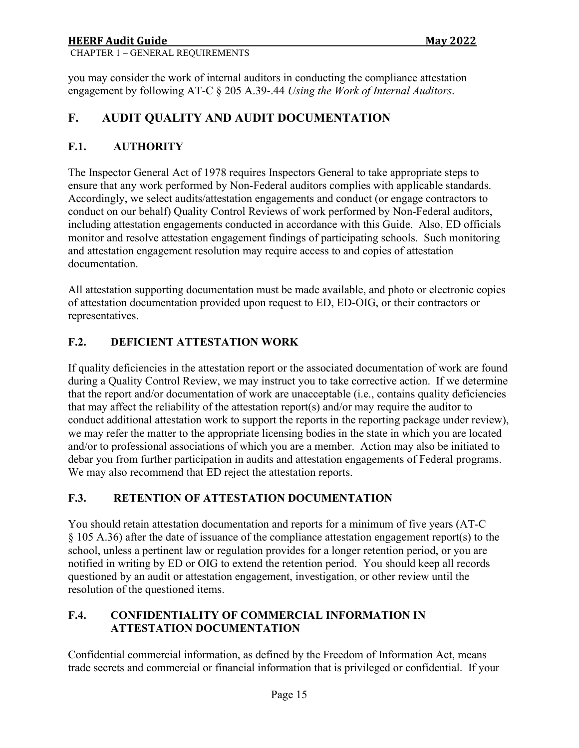# **HEERF Audit Guide Communist State Audit Guide Communist State Audit Communist State Audit Communist State Audit Communist State Audit Communist State Audit Communist State Audit Communist State Audit Communist State Audit**

CHAPTER 1 – GENERAL REQUIREMENTS

you may consider the work of internal auditors in conducting the compliance attestation engagement by following AT-C § 205 A.39-.44 *Using the Work of Internal Auditors*.

# <span id="page-14-0"></span>**F. AUDIT QUALITY AND AUDIT DOCUMENTATION**

# <span id="page-14-1"></span>**F.1. AUTHORITY**

The Inspector General Act of 1978 requires Inspectors General to take appropriate steps to ensure that any work performed by Non-Federal auditors complies with applicable standards. Accordingly, we select audits/attestation engagements and conduct (or engage contractors to conduct on our behalf) Quality Control Reviews of work performed by Non-Federal auditors, including attestation engagements conducted in accordance with this Guide. Also, ED officials monitor and resolve attestation engagement findings of participating schools. Such monitoring and attestation engagement resolution may require access to and copies of attestation documentation.

All attestation supporting documentation must be made available, and photo or electronic copies of attestation documentation provided upon request to ED, ED-OIG, or their contractors or representatives.

# <span id="page-14-2"></span>**F.2. DEFICIENT ATTESTATION WORK**

If quality deficiencies in the attestation report or the associated documentation of work are found during a Quality Control Review, we may instruct you to take corrective action. If we determine that the report and/or documentation of work are unacceptable (i.e., contains quality deficiencies that may affect the reliability of the attestation report(s) and/or may require the auditor to conduct additional attestation work to support the reports in the reporting package under review), we may refer the matter to the appropriate licensing bodies in the state in which you are located and/or to professional associations of which you are a member. Action may also be initiated to debar you from further participation in audits and attestation engagements of Federal programs. We may also recommend that ED reject the attestation reports.

# <span id="page-14-3"></span>**F.3. RETENTION OF ATTESTATION DOCUMENTATION**

You should retain attestation documentation and reports for a minimum of five years (AT-C § 105 A.36) after the date of issuance of the compliance attestation engagement report(s) to the school, unless a pertinent law or regulation provides for a longer retention period, or you are notified in writing by ED or OIG to extend the retention period. You should keep all records questioned by an audit or attestation engagement, investigation, or other review until the resolution of the questioned items.

# <span id="page-14-4"></span>**F.4. CONFIDENTIALITY OF COMMERCIAL INFORMATION IN ATTESTATION DOCUMENTATION**

Confidential commercial information, as defined by the Freedom of Information Act, means trade secrets and commercial or financial information that is privileged or confidential. If your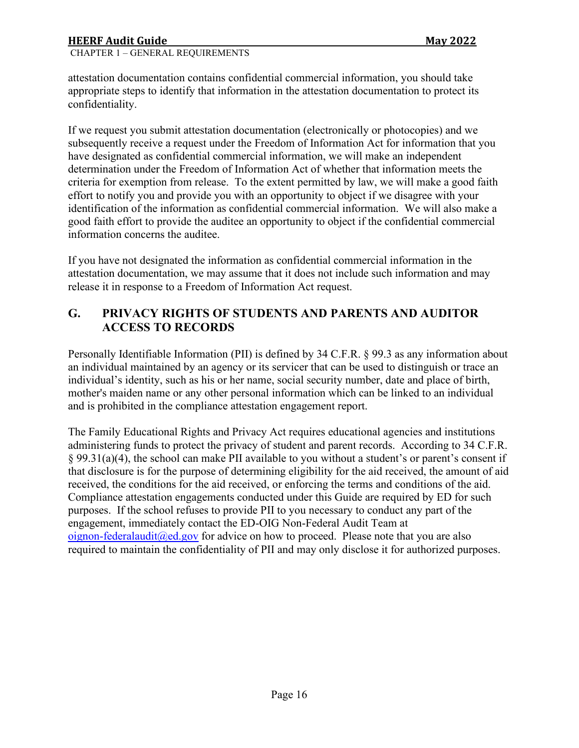CHAPTER 1 – GENERAL REQUIREMENTS

attestation documentation contains confidential commercial information, you should take appropriate steps to identify that information in the attestation documentation to protect its confidentiality.

If we request you submit attestation documentation (electronically or photocopies) and we subsequently receive a request under the Freedom of Information Act for information that you have designated as confidential commercial information, we will make an independent determination under the Freedom of Information Act of whether that information meets the criteria for exemption from release. To the extent permitted by law, we will make a good faith effort to notify you and provide you with an opportunity to object if we disagree with your identification of the information as confidential commercial information. We will also make a good faith effort to provide the auditee an opportunity to object if the confidential commercial information concerns the auditee.

If you have not designated the information as confidential commercial information in the attestation documentation, we may assume that it does not include such information and may release it in response to a Freedom of Information Act request.

# <span id="page-15-0"></span>**G. PRIVACY RIGHTS OF STUDENTS AND PARENTS AND AUDITOR ACCESS TO RECORDS**

Personally Identifiable Information (PII) is defined by 34 C.F.R. § 99.3 as any information about an individual maintained by an agency or its servicer that can be used to distinguish or trace an individual's identity, such as his or her name, social security number, date and place of birth, mother's maiden name or any other personal information which can be linked to an individual and is prohibited in the compliance attestation engagement report.

The Family Educational Rights and Privacy Act requires educational agencies and institutions administering funds to protect the privacy of student and parent records. According to 34 C.F.R. § 99.31(a)(4), the school can make PII available to you without a student's or parent's consent if that disclosure is for the purpose of determining eligibility for the aid received, the amount of aid received, the conditions for the aid received, or enforcing the terms and conditions of the aid. Compliance attestation engagements conducted under this Guide are required by ED for such purposes. If the school refuses to provide PII to you necessary to conduct any part of the engagement, immediately contact the ED-OIG Non-Federal Audit Team at oignon-federalaudit  $(\partial \text{ed.gov})$  for advice on how to proceed. Please note that you are also required to maintain the confidentiality of PII and may only disclose it for authorized purposes.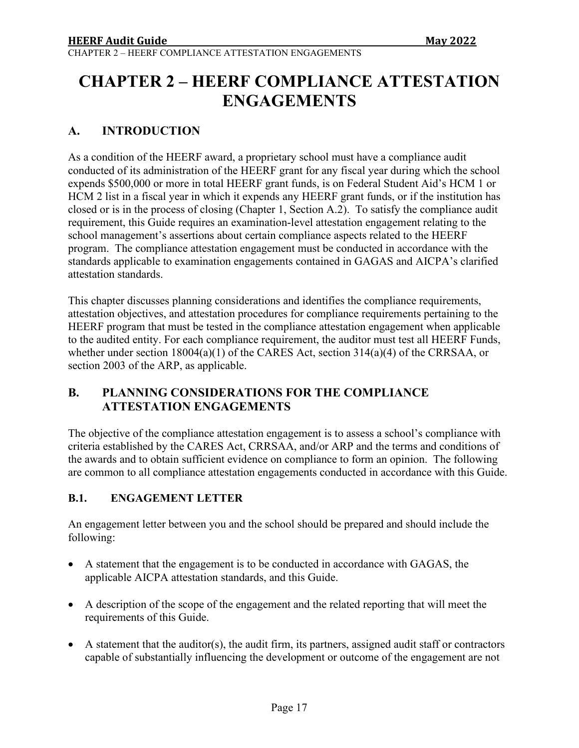# <span id="page-16-0"></span>**CHAPTER 2 – HEERF COMPLIANCE ATTESTATION ENGAGEMENTS**

# <span id="page-16-1"></span>**A. INTRODUCTION**

As a condition of the HEERF award, a proprietary school must have a compliance audit conducted of its administration of the HEERF grant for any fiscal year during which the school expends \$500,000 or more in total HEERF grant funds, is on Federal Student Aid's HCM 1 or HCM 2 list in a fiscal year in which it expends any HEERF grant funds, or if the institution has closed or is in the process of closing (Chapter 1, Section A.2). To satisfy the compliance audit requirement, this Guide requires an examination-level attestation engagement relating to the school management's assertions about certain compliance aspects related to the HEERF program. The compliance attestation engagement must be conducted in accordance with the standards applicable to examination engagements contained in GAGAS and AICPA's clarified attestation standards.

This chapter discusses planning considerations and identifies the compliance requirements, attestation objectives, and attestation procedures for compliance requirements pertaining to the HEERF program that must be tested in the compliance attestation engagement when applicable to the audited entity. For each compliance requirement, the auditor must test all HEERF Funds, whether under section 18004(a)(1) of the CARES Act, section 314(a)(4) of the CRRSAA, or section 2003 of the ARP, as applicable.

# <span id="page-16-2"></span>**B. PLANNING CONSIDERATIONS FOR THE COMPLIANCE ATTESTATION ENGAGEMENTS**

The objective of the compliance attestation engagement is to assess a school's compliance with criteria established by the CARES Act, CRRSAA, and/or ARP and the terms and conditions of the awards and to obtain sufficient evidence on compliance to form an opinion. The following are common to all compliance attestation engagements conducted in accordance with this Guide.

# <span id="page-16-3"></span>**B.1. ENGAGEMENT LETTER**

An engagement letter between you and the school should be prepared and should include the following:

- A statement that the engagement is to be conducted in accordance with GAGAS, the applicable AICPA attestation standards, and this Guide.
- A description of the scope of the engagement and the related reporting that will meet the requirements of this Guide.
- A statement that the auditor(s), the audit firm, its partners, assigned audit staff or contractors capable of substantially influencing the development or outcome of the engagement are not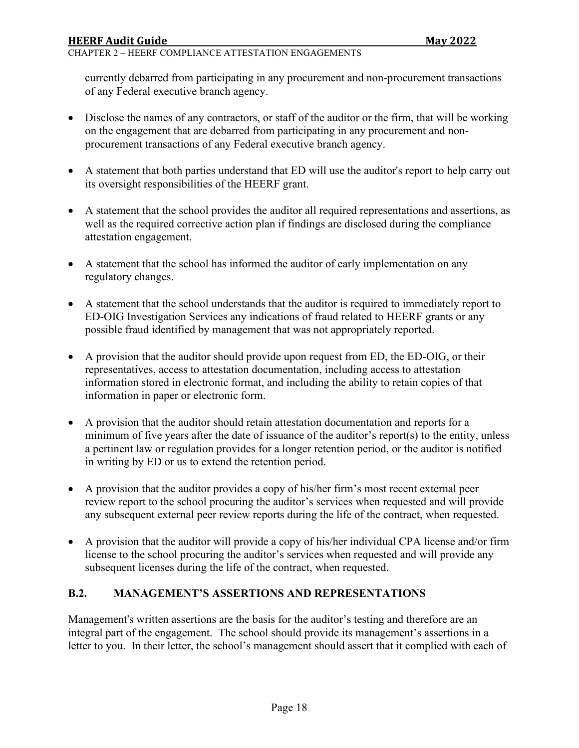#### CHAPTER 2 – HEERF COMPLIANCE ATTESTATION ENGAGEMENTS

currently debarred from participating in any procurement and non-procurement transactions of any Federal executive branch agency.

- Disclose the names of any contractors, or staff of the auditor or the firm, that will be working on the engagement that are debarred from participating in any procurement and nonprocurement transactions of any Federal executive branch agency.
- A statement that both parties understand that ED will use the auditor's report to help carry out its oversight responsibilities of the HEERF grant.
- A statement that the school provides the auditor all required representations and assertions, as well as the required corrective action plan if findings are disclosed during the compliance attestation engagement.
- A statement that the school has informed the auditor of early implementation on any regulatory changes.
- A statement that the school understands that the auditor is required to immediately report to ED-OIG Investigation Services any indications of fraud related to HEERF grants or any possible fraud identified by management that was not appropriately reported.
- A provision that the auditor should provide upon request from ED, the ED-OIG, or their representatives, access to attestation documentation, including access to attestation information stored in electronic format, and including the ability to retain copies of that information in paper or electronic form.
- A provision that the auditor should retain attestation documentation and reports for a minimum of five years after the date of issuance of the auditor's report(s) to the entity, unless a pertinent law or regulation provides for a longer retention period, or the auditor is notified in writing by ED or us to extend the retention period.
- A provision that the auditor provides a copy of his/her firm's most recent external peer review report to the school procuring the auditor's services when requested and will provide any subsequent external peer review reports during the life of the contract, when requested.
- A provision that the auditor will provide a copy of his/her individual CPA license and/or firm license to the school procuring the auditor's services when requested and will provide any subsequent licenses during the life of the contract, when requested.

### <span id="page-17-0"></span>**B.2. MANAGEMENT'S ASSERTIONS AND REPRESENTATIONS**

Management's written assertions are the basis for the auditor's testing and therefore are an integral part of the engagement. The school should provide its management's assertions in a letter to you. In their letter, the school's management should assert that it complied with each of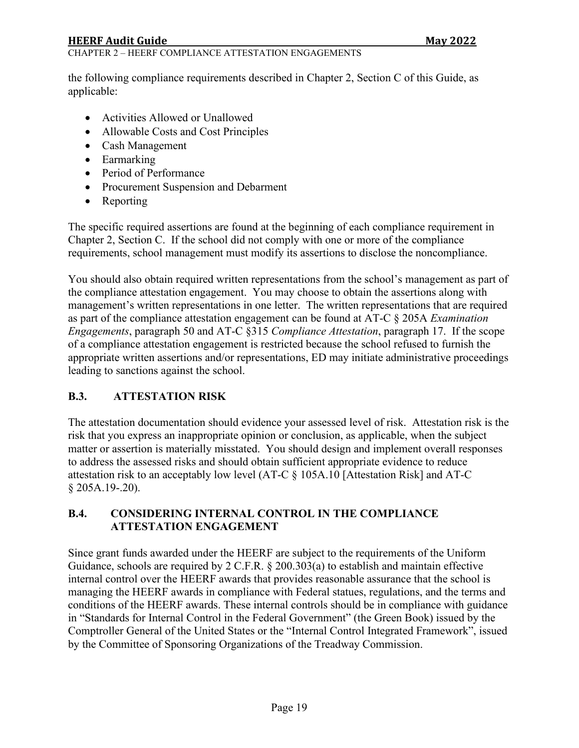## **HEERF Audit Guide Communist State Audit Guide Communist State Audit Communist State Audit Communist State Audit Communist State Audit Communist State Audit Communist State Audit Communist State Audit Communist State Audit**

#### CHAPTER 2 – HEERF COMPLIANCE ATTESTATION ENGAGEMENTS

the following compliance requirements described in Chapter 2, Section C of this Guide, as applicable:

- Activities Allowed or Unallowed
- Allowable Costs and Cost Principles
- Cash Management
- Earmarking
- Period of Performance
- Procurement Suspension and Debarment
- Reporting

The specific required assertions are found at the beginning of each compliance requirement in Chapter 2, Section C. If the school did not comply with one or more of the compliance requirements, school management must modify its assertions to disclose the noncompliance.

You should also obtain required written representations from the school's management as part of the compliance attestation engagement. You may choose to obtain the assertions along with management's written representations in one letter. The written representations that are required as part of the compliance attestation engagement can be found at AT-C § 205A *Examination Engagements*, paragraph 50 and AT-C §315 *Compliance Attestation*, paragraph 17. If the scope of a compliance attestation engagement is restricted because the school refused to furnish the appropriate written assertions and/or representations, ED may initiate administrative proceedings leading to sanctions against the school.

### <span id="page-18-0"></span>**B.3. ATTESTATION RISK**

The attestation documentation should evidence your assessed level of risk. Attestation risk is the risk that you express an inappropriate opinion or conclusion, as applicable, when the subject matter or assertion is materially misstated. You should design and implement overall responses to address the assessed risks and should obtain sufficient appropriate evidence to reduce attestation risk to an acceptably low level (AT-C § 105A.10 [Attestation Risk] and AT-C § 205A.19-.20).

### <span id="page-18-1"></span>**B.4. CONSIDERING INTERNAL CONTROL IN THE COMPLIANCE ATTESTATION ENGAGEMENT**

Since grant funds awarded under the HEERF are subject to the requirements of the Uniform Guidance, schools are required by 2 C.F.R. § 200.303(a) to establish and maintain effective internal control over the HEERF awards that provides reasonable assurance that the school is managing the HEERF awards in compliance with Federal statues, regulations, and the terms and conditions of the HEERF awards. These internal controls should be in compliance with guidance in "Standards for Internal Control in the Federal Government" (the Green Book) issued by the Comptroller General of the United States or the "Internal Control Integrated Framework", issued by the Committee of Sponsoring Organizations of the Treadway Commission.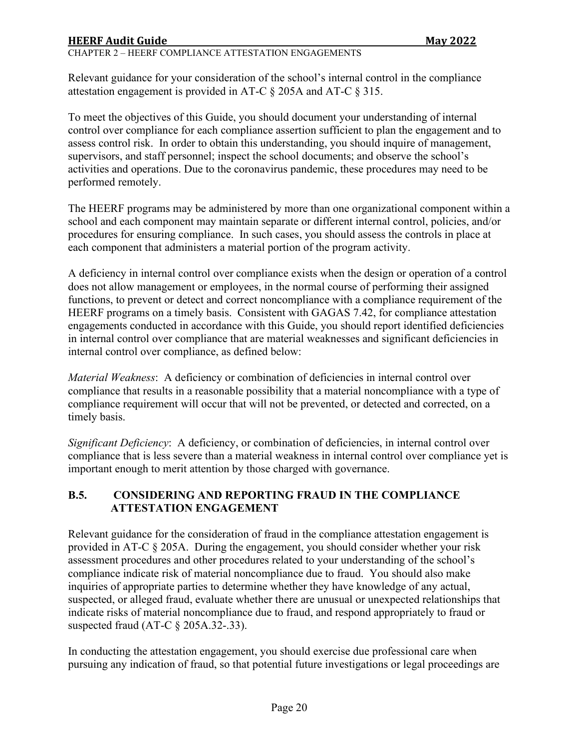Relevant guidance for your consideration of the school's internal control in the compliance attestation engagement is provided in AT-C § 205A and AT-C § 315.

To meet the objectives of this Guide, you should document your understanding of internal control over compliance for each compliance assertion sufficient to plan the engagement and to assess control risk. In order to obtain this understanding, you should inquire of management, supervisors, and staff personnel; inspect the school documents; and observe the school's activities and operations. Due to the coronavirus pandemic, these procedures may need to be performed remotely.

The HEERF programs may be administered by more than one organizational component within a school and each component may maintain separate or different internal control, policies, and/or procedures for ensuring compliance. In such cases, you should assess the controls in place at each component that administers a material portion of the program activity.

A deficiency in internal control over compliance exists when the design or operation of a control does not allow management or employees, in the normal course of performing their assigned functions, to prevent or detect and correct noncompliance with a compliance requirement of the HEERF programs on a timely basis. Consistent with GAGAS 7.42, for compliance attestation engagements conducted in accordance with this Guide, you should report identified deficiencies in internal control over compliance that are material weaknesses and significant deficiencies in internal control over compliance, as defined below:

*Material Weakness*: A deficiency or combination of deficiencies in internal control over compliance that results in a reasonable possibility that a material noncompliance with a type of compliance requirement will occur that will not be prevented, or detected and corrected, on a timely basis.

*Significant Deficiency*: A deficiency, or combination of deficiencies, in internal control over compliance that is less severe than a material weakness in internal control over compliance yet is important enough to merit attention by those charged with governance.

# <span id="page-19-0"></span>**B.5. CONSIDERING AND REPORTING FRAUD IN THE COMPLIANCE ATTESTATION ENGAGEMENT**

Relevant guidance for the consideration of fraud in the compliance attestation engagement is provided in AT-C § 205A. During the engagement, you should consider whether your risk assessment procedures and other procedures related to your understanding of the school's compliance indicate risk of material noncompliance due to fraud. You should also make inquiries of appropriate parties to determine whether they have knowledge of any actual, suspected, or alleged fraud, evaluate whether there are unusual or unexpected relationships that indicate risks of material noncompliance due to fraud, and respond appropriately to fraud or suspected fraud (AT-C  $\S$  205A.32-.33).

In conducting the attestation engagement, you should exercise due professional care when pursuing any indication of fraud, so that potential future investigations or legal proceedings are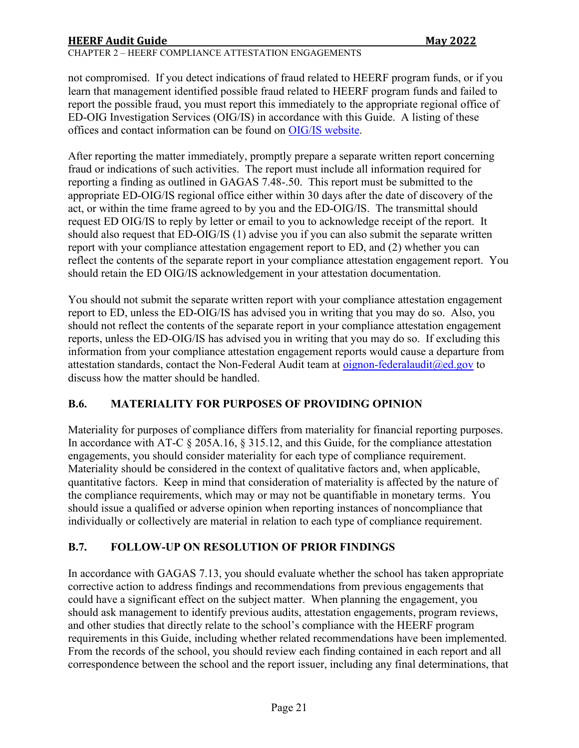CHAPTER 2 – HEERF COMPLIANCE ATTESTATION ENGAGEMENTS

not compromised. If you detect indications of fraud related to HEERF program funds, or if you learn that management identified possible fraud related to HEERF program funds and failed to report the possible fraud, you must report this immediately to the appropriate regional office of ED-OIG Investigation Services (OIG/IS) in accordance with this Guide. A listing of these offices and contact information can be found on [OIG/IS website.](https://www2.ed.gov/about/offices/list/oig/oigaddresses.html)

After reporting the matter immediately, promptly prepare a separate written report concerning fraud or indications of such activities. The report must include all information required for reporting a finding as outlined in GAGAS 7.48-.50. This report must be submitted to the appropriate ED-OIG/IS regional office either within 30 days after the date of discovery of the act, or within the time frame agreed to by you and the ED-OIG/IS. The transmittal should request ED OIG/IS to reply by letter or email to you to acknowledge receipt of the report. It should also request that ED-OIG/IS (1) advise you if you can also submit the separate written report with your compliance attestation engagement report to ED, and (2) whether you can reflect the contents of the separate report in your compliance attestation engagement report. You should retain the ED OIG/IS acknowledgement in your attestation documentation.

You should not submit the separate written report with your compliance attestation engagement report to ED, unless the ED-OIG/IS has advised you in writing that you may do so. Also, you should not reflect the contents of the separate report in your compliance attestation engagement reports, unless the ED-OIG/IS has advised you in writing that you may do so. If excluding this information from your compliance attestation engagement reports would cause a departure from attestation standards, contact the Non-Federal Audit team at [oignon-federalaudit@ed.gov](mailto:oignon-federalaudit@ed.gov) to discuss how the matter should be handled.

### <span id="page-20-0"></span>**B.6. MATERIALITY FOR PURPOSES OF PROVIDING OPINION**

Materiality for purposes of compliance differs from materiality for financial reporting purposes. In accordance with AT-C § 205A.16, § 315.12, and this Guide, for the compliance attestation engagements, you should consider materiality for each type of compliance requirement. Materiality should be considered in the context of qualitative factors and, when applicable, quantitative factors. Keep in mind that consideration of materiality is affected by the nature of the compliance requirements, which may or may not be quantifiable in monetary terms. You should issue a qualified or adverse opinion when reporting instances of noncompliance that individually or collectively are material in relation to each type of compliance requirement.

# <span id="page-20-1"></span>**B.7. FOLLOW-UP ON RESOLUTION OF PRIOR FINDINGS**

In accordance with GAGAS 7.13, you should evaluate whether the school has taken appropriate corrective action to address findings and recommendations from previous engagements that could have a significant effect on the subject matter. When planning the engagement, you should ask management to identify previous audits, attestation engagements, program reviews, and other studies that directly relate to the school's compliance with the HEERF program requirements in this Guide, including whether related recommendations have been implemented. From the records of the school, you should review each finding contained in each report and all correspondence between the school and the report issuer, including any final determinations, that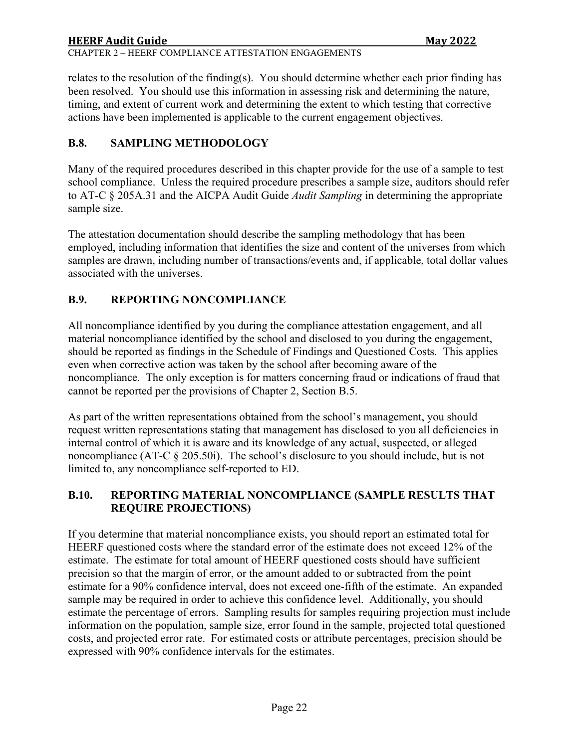# **HEERF Audit Guide Communist State Audit Guide Communist State Audit Communist State Audit Communist State Audit Communist State Audit Communist State Audit Communist State Audit Communist State Audit Communist State Audit** CHAPTER 2 – HEERF COMPLIANCE ATTESTATION ENGAGEMENTS

relates to the resolution of the finding(s). You should determine whether each prior finding has been resolved. You should use this information in assessing risk and determining the nature, timing, and extent of current work and determining the extent to which testing that corrective actions have been implemented is applicable to the current engagement objectives.

# <span id="page-21-0"></span>**B.8. SAMPLING METHODOLOGY**

Many of the required procedures described in this chapter provide for the use of a sample to test school compliance. Unless the required procedure prescribes a sample size, auditors should refer to AT-C § 205A.31 and the AICPA Audit Guide *Audit Sampling* in determining the appropriate sample size.

The attestation documentation should describe the sampling methodology that has been employed, including information that identifies the size and content of the universes from which samples are drawn, including number of transactions/events and, if applicable, total dollar values associated with the universes.

# <span id="page-21-1"></span>**B.9. REPORTING NONCOMPLIANCE**

All noncompliance identified by you during the compliance attestation engagement, and all material noncompliance identified by the school and disclosed to you during the engagement, should be reported as findings in the Schedule of Findings and Questioned Costs. This applies even when corrective action was taken by the school after becoming aware of the noncompliance. The only exception is for matters concerning fraud or indications of fraud that cannot be reported per the provisions of Chapter 2, Section B.5.

As part of the written representations obtained from the school's management, you should request written representations stating that management has disclosed to you all deficiencies in internal control of which it is aware and its knowledge of any actual, suspected, or alleged noncompliance (AT-C § 205.50i). The school's disclosure to you should include, but is not limited to, any noncompliance self-reported to ED.

# <span id="page-21-2"></span>**B.10. REPORTING MATERIAL NONCOMPLIANCE (SAMPLE RESULTS THAT REQUIRE PROJECTIONS)**

If you determine that material noncompliance exists, you should report an estimated total for HEERF questioned costs where the standard error of the estimate does not exceed 12% of the estimate. The estimate for total amount of HEERF questioned costs should have sufficient precision so that the margin of error, or the amount added to or subtracted from the point estimate for a 90% confidence interval, does not exceed one-fifth of the estimate. An expanded sample may be required in order to achieve this confidence level. Additionally, you should estimate the percentage of errors. Sampling results for samples requiring projection must include information on the population, sample size, error found in the sample, projected total questioned costs, and projected error rate. For estimated costs or attribute percentages, precision should be expressed with 90% confidence intervals for the estimates.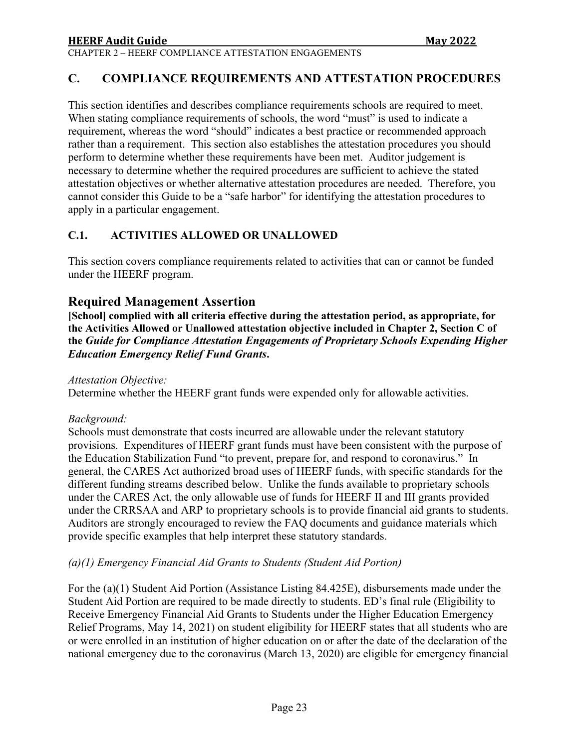# <span id="page-22-0"></span>**C. COMPLIANCE REQUIREMENTS AND ATTESTATION PROCEDURES**

This section identifies and describes compliance requirements schools are required to meet. When stating compliance requirements of schools, the word "must" is used to indicate a requirement, whereas the word "should" indicates a best practice or recommended approach rather than a requirement. This section also establishes the attestation procedures you should perform to determine whether these requirements have been met. Auditor judgement is necessary to determine whether the required procedures are sufficient to achieve the stated attestation objectives or whether alternative attestation procedures are needed. Therefore, you cannot consider this Guide to be a "safe harbor" for identifying the attestation procedures to apply in a particular engagement.

### <span id="page-22-1"></span>**C.1. ACTIVITIES ALLOWED OR UNALLOWED**

This section covers compliance requirements related to activities that can or cannot be funded under the HEERF program.

# **Required Management Assertion**

**[School] complied with all criteria effective during the attestation period, as appropriate, for the Activities Allowed or Unallowed attestation objective included in Chapter 2, Section C of the** *Guide for Compliance Attestation Engagements of Proprietary Schools Expending Higher Education Emergency Relief Fund Grants***.**

*Attestation Objective:*

Determine whether the HEERF grant funds were expended only for allowable activities.

### *Background:*

Schools must demonstrate that costs incurred are allowable under the relevant statutory provisions. Expenditures of HEERF grant funds must have been consistent with the purpose of the Education Stabilization Fund "to prevent, prepare for, and respond to coronavirus." In general, the CARES Act authorized broad uses of HEERF funds, with specific standards for the different funding streams described below. Unlike the funds available to proprietary schools under the CARES Act, the only allowable use of funds for HEERF II and III grants provided under the CRRSAA and ARP to proprietary schools is to provide financial aid grants to students. Auditors are strongly encouraged to review the FAQ documents and guidance materials which provide specific examples that help interpret these statutory standards.

### *(a)(1) Emergency Financial Aid Grants to Students (Student Aid Portion)*

For the (a)(1) Student Aid Portion (Assistance Listing 84.425E), disbursements made under the Student Aid Portion are required to be made directly to students. ED's final rule (Eligibility to Receive Emergency Financial Aid Grants to Students under the Higher Education Emergency Relief Programs, May 14, 2021) on student eligibility for HEERF states that all students who are or were enrolled in an institution of higher education on or after the date of the declaration of the national emergency due to the coronavirus (March 13, 2020) are eligible for emergency financial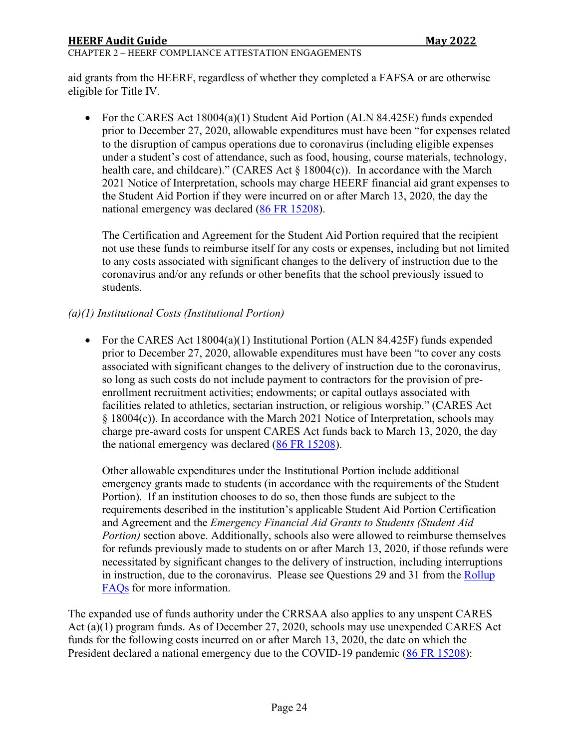#### CHAPTER 2 – HEERF COMPLIANCE ATTESTATION ENGAGEMENTS

aid grants from the HEERF, regardless of whether they completed a FAFSA or are otherwise eligible for Title IV.

• For the CARES Act 18004(a)(1) Student Aid Portion (ALN 84.425E) funds expended prior to December 27, 2020, allowable expenditures must have been "for expenses related to the disruption of campus operations due to coronavirus (including eligible expenses under a student's cost of attendance, such as food, housing, course materials, technology, health care, and childcare)." (CARES Act  $\S$  18004(c)). In accordance with the March 2021 Notice of Interpretation, schools may charge HEERF financial aid grant expenses to the Student Aid Portion if they were incurred on or after March 13, 2020, the day the national emergency was declared [\(86 FR 15208\)](https://www.federalregister.gov/documents/2021/03/22/2021-05849/notice-of-interpretation-regarding-period-of-allowable-expenses-for-funds-administered-under-the).

The Certification and Agreement for the Student Aid Portion required that the recipient not use these funds to reimburse itself for any costs or expenses, including but not limited to any costs associated with significant changes to the delivery of instruction due to the coronavirus and/or any refunds or other benefits that the school previously issued to students.

# *(a)(1) Institutional Costs (Institutional Portion)*

• For the CARES Act 18004(a)(1) Institutional Portion (ALN 84.425F) funds expended prior to December 27, 2020, allowable expenditures must have been "to cover any costs associated with significant changes to the delivery of instruction due to the coronavirus, so long as such costs do not include payment to contractors for the provision of preenrollment recruitment activities; endowments; or capital outlays associated with facilities related to athletics, sectarian instruction, or religious worship." (CARES Act § 18004(c)). In accordance with the March 2021 Notice of Interpretation, schools may charge pre-award costs for unspent CARES Act funds back to March 13, 2020, the day the national emergency was declared  $(86 FR 15208)$ .

Other allowable expenditures under the Institutional Portion include additional emergency grants made to students (in accordance with the requirements of the Student Portion). If an institution chooses to do so, then those funds are subject to the requirements described in the institution's applicable Student Aid Portion Certification and Agreement and the *Emergency Financial Aid Grants to Students (Student Aid Portion)* section above. Additionally, schools also were allowed to reimburse themselves for refunds previously made to students on or after March 13, 2020, if those refunds were necessitated by significant changes to the delivery of instruction, including interruptions in instruction, due to the coronavirus. Please see Questions 29 and 31 from the [Rollup](https://www2.ed.gov/about/offices/list/ope/heerffaqsoct2020rollup.pdf)  [FAQs](https://www2.ed.gov/about/offices/list/ope/heerffaqsoct2020rollup.pdf) for more information.

The expanded use of funds authority under the CRRSAA also applies to any unspent CARES Act (a)(1) program funds. As of December 27, 2020, schools may use unexpended CARES Act funds for the following costs incurred on or after March 13, 2020, the date on which the President declared a national emergency due to the COVID-19 pandemic [\(86 FR 15208\)](https://www.federalregister.gov/documents/2021/03/22/2021-05849/notice-of-interpretation-regarding-period-of-allowable-expenses-for-funds-administered-under-the):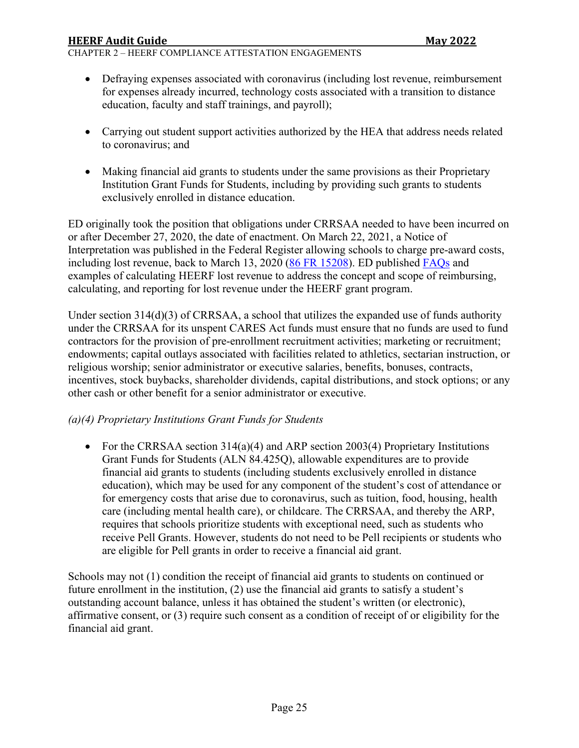CHAPTER 2 – HEERF COMPLIANCE ATTESTATION ENGAGEMENTS

- Defraying expenses associated with coronavirus (including lost revenue, reimbursement for expenses already incurred, technology costs associated with a transition to distance education, faculty and staff trainings, and payroll);
- Carrying out student support activities authorized by the HEA that address needs related to coronavirus; and
- Making financial aid grants to students under the same provisions as their Proprietary Institution Grant Funds for Students, including by providing such grants to students exclusively enrolled in distance education.

ED originally took the position that obligations under CRRSAA needed to have been incurred on or after December 27, 2020, the date of enactment. On March 22, 2021, a Notice of Interpretation was published in the Federal Register allowing schools to charge pre-award costs, including lost revenue, back to March 13, 2020 [\(86 FR 15208\)](https://www.federalregister.gov/documents/2021/03/22/2021-05849/notice-of-interpretation-regarding-period-of-allowable-expenses-for-funds-administered-under-the). ED published [FAQs](https://www2.ed.gov/about/offices/list/ope/heerflostrevenuefaqs.pdf) and examples of calculating HEERF lost revenue to address the concept and scope of reimbursing, calculating, and reporting for lost revenue under the HEERF grant program.

Under section 314(d)(3) of CRRSAA, a school that utilizes the expanded use of funds authority under the CRRSAA for its unspent CARES Act funds must ensure that no funds are used to fund contractors for the provision of pre-enrollment recruitment activities; marketing or recruitment; endowments; capital outlays associated with facilities related to athletics, sectarian instruction, or religious worship; senior administrator or executive salaries, benefits, bonuses, contracts, incentives, stock buybacks, shareholder dividends, capital distributions, and stock options; or any other cash or other benefit for a senior administrator or executive.

### *(a)(4) Proprietary Institutions Grant Funds for Students*

• For the CRRSAA section 314(a)(4) and ARP section 2003(4) Proprietary Institutions Grant Funds for Students (ALN 84.425Q), allowable expenditures are to provide financial aid grants to students (including students exclusively enrolled in distance education), which may be used for any component of the student's cost of attendance or for emergency costs that arise due to coronavirus, such as tuition, food, housing, health care (including mental health care), or childcare. The CRRSAA, and thereby the ARP, requires that schools prioritize students with exceptional need, such as students who receive Pell Grants. However, students do not need to be Pell recipients or students who are eligible for Pell grants in order to receive a financial aid grant.

Schools may not (1) condition the receipt of financial aid grants to students on continued or future enrollment in the institution, (2) use the financial aid grants to satisfy a student's outstanding account balance, unless it has obtained the student's written (or electronic), affirmative consent, or (3) require such consent as a condition of receipt of or eligibility for the financial aid grant.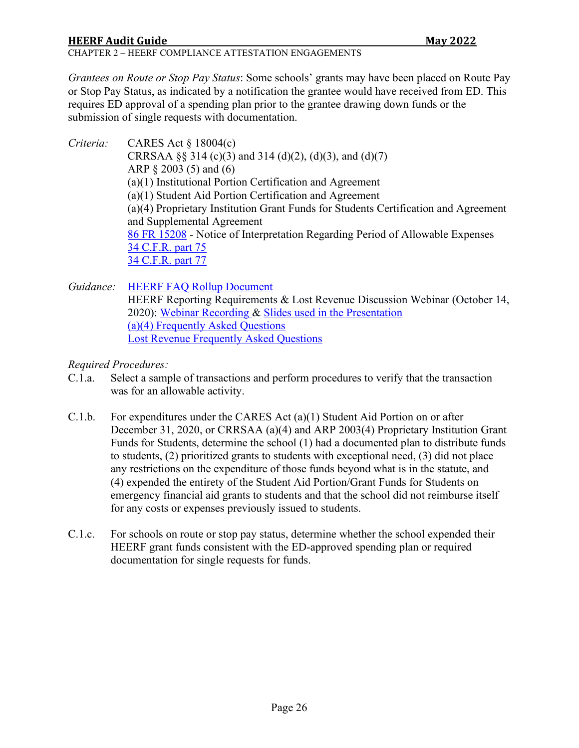# **HEERF Audit Guide Communist State Communist State Communist State Communist State Communist State Communist State Communist State Communist State Communist State Communist State Communist State Communist State Communist S**

CHAPTER 2 – HEERF COMPLIANCE ATTESTATION ENGAGEMENTS

*Grantees on Route or Stop Pay Status*: Some schools' grants may have been placed on Route Pay or Stop Pay Status, as indicated by a notification the grantee would have received from ED. This requires ED approval of a spending plan prior to the grantee drawing down funds or the submission of single requests with documentation.

*Criteria:* CARES Act § 18004(c) CRRSAA  $\S$ § 314 (c)(3) and 314 (d)(2), (d)(3), and (d)(7) ARP § 2003 (5) and (6) (a)(1) Institutional Portion Certification and Agreement (a)(1) Student Aid Portion Certification and Agreement (a)(4) Proprietary Institution Grant Funds for Students Certification and Agreement and Supplemental Agreement [86 FR 15208](https://www.federalregister.gov/documents/2021/03/22/2021-05849/notice-of-interpretation-regarding-period-of-allowable-expenses-for-funds-administered-under-the) - Notice of Interpretation Regarding Period of Allowable Expenses [34 C.F.R. part 75](https://www.ecfr.gov/cgi-bin/text-idx?SID=bc57e8c315a82497700e4f09d8afdbee&mc=true&node=pt34.1.75&rgn=div5) [34 C.F.R. part 77](https://www.ecfr.gov/cgi-bin/text-idx?SID=bc57e8c315a82497700e4f09d8afdbee&mc=true&node=pt34.1.77&rgn=div5)

*Guidance:* [HEERF FAQ Rollup Document](https://www2.ed.gov/about/offices/list/ope/heerffaqsoct2020rollup.pdf) HEERF Reporting Requirements & Lost Revenue Discussion Webinar (October 14, 2020): [Webinar Recording](https://mediasite.ed.gov/webcast/Play/e125773d112c4ae5bf8580236cd6efe91d) & [Slides used in the Presentation](https://www2.ed.gov/about/offices/list/ope/heerfreportingwebinar10142020.pdf) [\(a\)\(4\) Frequently Asked Questions](https://www2.ed.gov/about/offices/list/ope/updatedheerfiia4crrsaafaqs.pdf) [Lost Revenue Frequently Asked Questions](https://www2.ed.gov/about/offices/list/ope/heerflostrevenuefaqs.pdf)

*Required Procedures:* 

- C.1.a. Select a sample of transactions and perform procedures to verify that the transaction was for an allowable activity.
- C.1.b. For expenditures under the CARES Act (a)(1) Student Aid Portion on or after December 31, 2020, or CRRSAA (a)(4) and ARP 2003(4) Proprietary Institution Grant Funds for Students, determine the school (1) had a documented plan to distribute funds to students, (2) prioritized grants to students with exceptional need, (3) did not place any restrictions on the expenditure of those funds beyond what is in the statute, and (4) expended the entirety of the Student Aid Portion/Grant Funds for Students on emergency financial aid grants to students and that the school did not reimburse itself for any costs or expenses previously issued to students.
- C.1.c. For schools on route or stop pay status, determine whether the school expended their HEERF grant funds consistent with the ED-approved spending plan or required documentation for single requests for funds.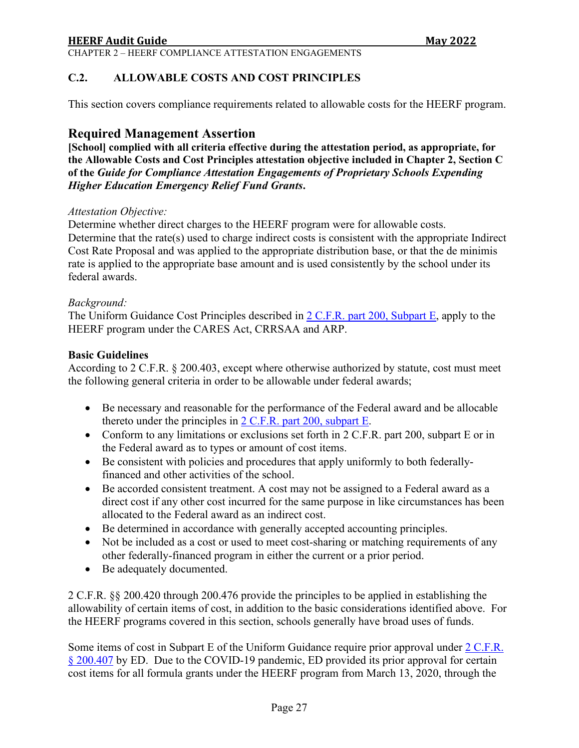CHAPTER 2 – HEERF COMPLIANCE ATTESTATION ENGAGEMENTS

#### <span id="page-26-0"></span>**C.2. ALLOWABLE COSTS AND COST PRINCIPLES**

This section covers compliance requirements related to allowable costs for the HEERF program.

### **Required Management Assertion**

**[School] complied with all criteria effective during the attestation period, as appropriate, for the Allowable Costs and Cost Principles attestation objective included in Chapter 2, Section C of the** *Guide for Compliance Attestation Engagements of Proprietary Schools Expending Higher Education Emergency Relief Fund Grants***.** 

#### *Attestation Objective:*

Determine whether direct charges to the HEERF program were for allowable costs. Determine that the rate(s) used to charge indirect costs is consistent with the appropriate Indirect Cost Rate Proposal and was applied to the appropriate distribution base, or that the de minimis rate is applied to the appropriate base amount and is used consistently by the school under its federal awards.

#### *Background:*

The Uniform Guidance Cost Principles described in [2 C.F.R. part 200, Subpart E,](https://www.ecfr.gov/cgi-bin/text-idx?SID=187ec70e4b5b13c5e3b15d575a57d648&mc=true&node=sp2.1.200.e&rgn=div6) apply to the HEERF program under the CARES Act, CRRSAA and ARP.

#### **Basic Guidelines**

According to 2 C.F.R. § 200.403, except where otherwise authorized by statute, cost must meet the following general criteria in order to be allowable under federal awards;

- Be necessary and reasonable for the performance of the Federal award and be allocable thereto under the principles in  $2$  C.F.R. part 200, subpart E.
- Conform to any limitations or exclusions set forth in 2 C.F.R. part 200, subpart E or in the Federal award as to types or amount of cost items.
- Be consistent with policies and procedures that apply uniformly to both federallyfinanced and other activities of the school.
- Be accorded consistent treatment. A cost may not be assigned to a Federal award as a direct cost if any other cost incurred for the same purpose in like circumstances has been allocated to the Federal award as an indirect cost.
- Be determined in accordance with generally accepted accounting principles.
- Not be included as a cost or used to meet cost-sharing or matching requirements of any other federally-financed program in either the current or a prior period.
- Be adequately documented.

2 C.F.R. §§ 200.420 through 200.476 provide the principles to be applied in establishing the allowability of certain items of cost, in addition to the basic considerations identified above. For the HEERF programs covered in this section, schools generally have broad uses of funds.

Some items of cost in Subpart E of the Uniform Guidance require prior approval under [2 C.F.R.](https://www.ecfr.gov/cgi-bin/text-idx?SID=783c533c982a3e15188b76c8e82a413a&mc=true&node=se2.1.200_1407&rgn=div8) [§ 200.407](https://www.ecfr.gov/cgi-bin/text-idx?SID=783c533c982a3e15188b76c8e82a413a&mc=true&node=se2.1.200_1407&rgn=div8) by ED. Due to the COVID-19 pandemic, ED provided its prior approval for certain cost items for all formula grants under the HEERF program from March 13, 2020, through the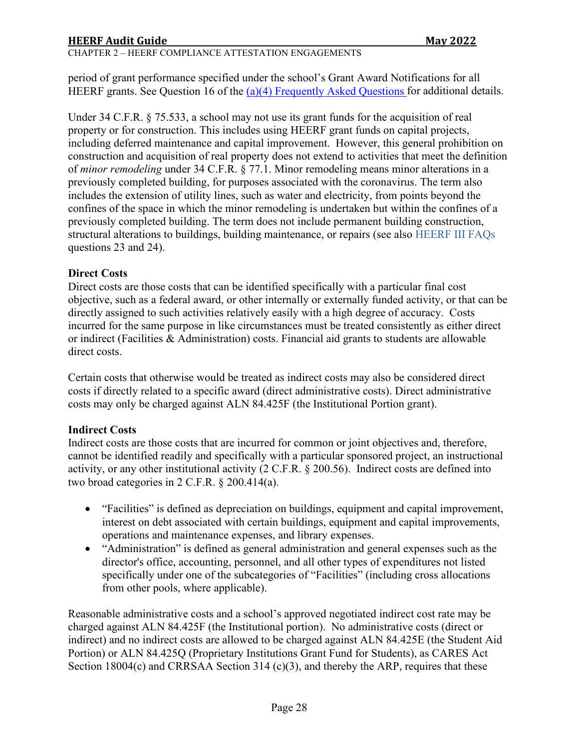# **HEERF Audit Guide Communist State Communist State Communist State Communist State Communist State Communist State Communist State Communist State Communist State Communist State Communist State Communist State Communist S**

#### CHAPTER 2 – HEERF COMPLIANCE ATTESTATION ENGAGEMENTS

period of grant performance specified under the school's Grant Award Notifications for all HEERF grants. See Question 16 of the [\(a\)\(4\) Frequently Asked Questions](https://www2.ed.gov/about/offices/list/ope/updatedheerfiia4crrsaafaqs.pdf) for additional details.

Under 34 C.F.R. § 75.533, a school may not use its grant funds for the acquisition of real property or for construction. This includes using HEERF grant funds on capital projects, including deferred maintenance and capital improvement. However, this general prohibition on construction and acquisition of real property does not extend to activities that meet the definition of *minor remodeling* under 34 C.F.R. § 77.1. Minor remodeling means minor alterations in a previously completed building, for purposes associated with the coronavirus. The term also includes the extension of utility lines, such as water and electricity, from points beyond the confines of the space in which the minor remodeling is undertaken but within the confines of a previously completed building. The term does not include permanent building construction, structural alterations to buildings, building maintenance, or repairs (see also [HEERF III FAQs](https://www2.ed.gov/about/offices/list/ope/arpfaq.pdf) questions 23 and 24).

#### **Direct Costs**

Direct costs are those costs that can be identified specifically with a particular final cost objective, such as a federal award, or other internally or externally funded activity, or that can be directly assigned to such activities relatively easily with a high degree of accuracy. Costs incurred for the same purpose in like circumstances must be treated consistently as either direct or indirect (Facilities & Administration) costs. Financial aid grants to students are allowable direct costs.

Certain costs that otherwise would be treated as indirect costs may also be considered direct costs if directly related to a specific award (direct administrative costs). Direct administrative costs may only be charged against ALN 84.425F (the Institutional Portion grant).

### **Indirect Costs**

Indirect costs are those costs that are incurred for common or joint objectives and, therefore, cannot be identified readily and specifically with a particular sponsored project, an instructional activity, or any other institutional activity (2 C.F.R. § 200.56). Indirect costs are defined into two broad categories in 2 C.F.R. § 200.414(a).

- "Facilities" is defined as depreciation on buildings, equipment and capital improvement, interest on debt associated with certain buildings, equipment and capital improvements, operations and maintenance expenses, and library expenses.
- "Administration" is defined as general administration and general expenses such as the director's office, accounting, personnel, and all other types of expenditures not listed specifically under one of the subcategories of "Facilities" (including cross allocations from other pools, where applicable).

Reasonable administrative costs and a school's approved negotiated indirect cost rate may be charged against ALN 84.425F (the Institutional portion). No administrative costs (direct or indirect) and no indirect costs are allowed to be charged against ALN 84.425E (the Student Aid Portion) or ALN 84.425Q (Proprietary Institutions Grant Fund for Students), as CARES Act Section 18004(c) and CRRSAA Section 314 (c)(3), and thereby the ARP, requires that these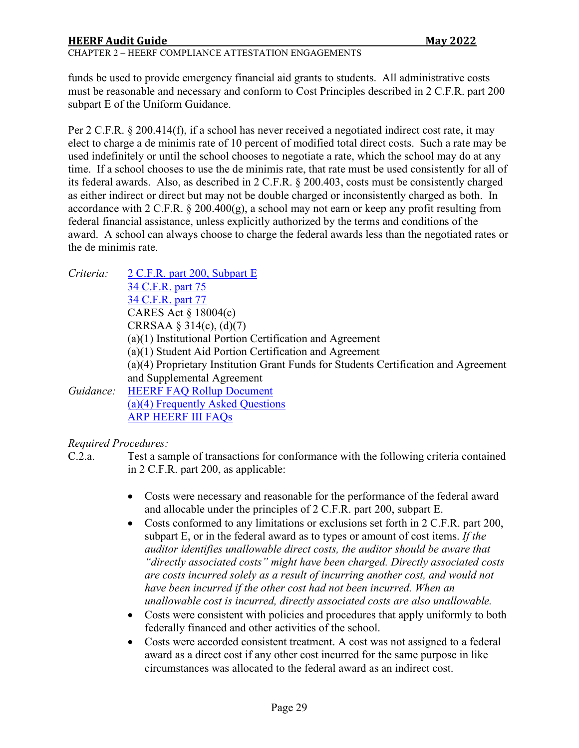#### CHAPTER 2 – HEERF COMPLIANCE ATTESTATION ENGAGEMENTS

funds be used to provide emergency financial aid grants to students. All administrative costs must be reasonable and necessary and conform to Cost Principles described in 2 C.F.R. part 200 subpart E of the Uniform Guidance.

Per 2 C.F.R. § 200.414(f), if a school has never received a negotiated indirect cost rate, it may elect to charge a de minimis rate of 10 percent of modified total direct costs. Such a rate may be used indefinitely or until the school chooses to negotiate a rate, which the school may do at any time. If a school chooses to use the de minimis rate, that rate must be used consistently for all of its federal awards. Also, as described in 2 C.F.R. § 200.403, costs must be consistently charged as either indirect or direct but may not be double charged or inconsistently charged as both. In accordance with 2 C.F.R. § 200.400(g), a school may not earn or keep any profit resulting from federal financial assistance, unless explicitly authorized by the terms and conditions of the award. A school can always choose to charge the federal awards less than the negotiated rates or the de minimis rate.

| Criteria: | 2 C.F.R. part 200, Subpart E                                                        |
|-----------|-------------------------------------------------------------------------------------|
|           | 34 C.F.R. part 75                                                                   |
|           | 34 C.F.R. part 77                                                                   |
|           | CARES Act $\S$ 18004(c)                                                             |
|           | CRRSAA § 314(c), (d)(7)                                                             |
|           | (a)(1) Institutional Portion Certification and Agreement                            |
|           | $(a)(1)$ Student Aid Portion Certification and Agreement                            |
|           | (a)(4) Proprietary Institution Grant Funds for Students Certification and Agreement |
|           | and Supplemental Agreement                                                          |
| Guidance: | <b>HEERF FAQ Rollup Document</b>                                                    |
|           | (a)(4) Frequently Asked Questions                                                   |
|           | <b>ARP HEERF III FAQS</b>                                                           |
|           |                                                                                     |

*Required Procedures:* 

C.2.a. Test a sample of transactions for conformance with the following criteria contained in 2 C.F.R. part 200, as applicable:

- Costs were necessary and reasonable for the performance of the federal award and allocable under the principles of 2 C.F.R. part 200, subpart E.
- Costs conformed to any limitations or exclusions set forth in 2 C.F.R. part 200, subpart E, or in the federal award as to types or amount of cost items. *If the auditor identifies unallowable direct costs, the auditor should be aware that "directly associated costs" might have been charged. Directly associated costs are costs incurred solely as a result of incurring another cost, and would not have been incurred if the other cost had not been incurred. When an unallowable cost is incurred, directly associated costs are also unallowable.*
- Costs were consistent with policies and procedures that apply uniformly to both federally financed and other activities of the school.
- Costs were accorded consistent treatment. A cost was not assigned to a federal award as a direct cost if any other cost incurred for the same purpose in like circumstances was allocated to the federal award as an indirect cost.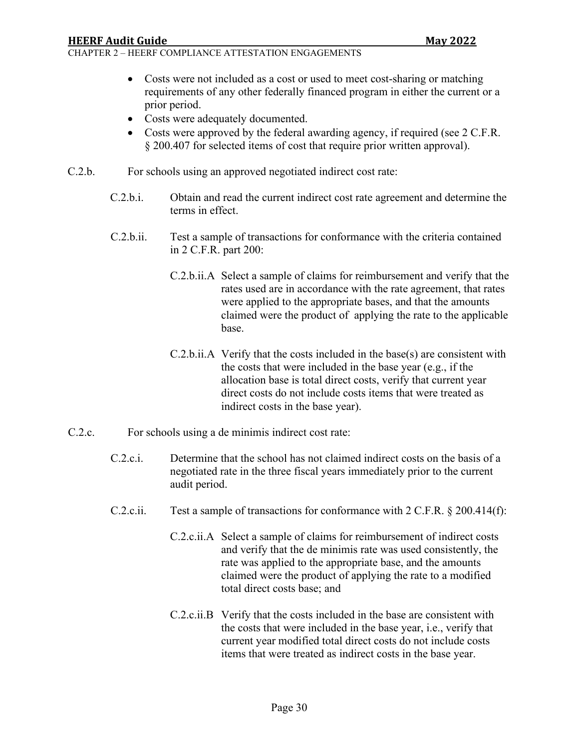- Costs were not included as a cost or used to meet cost-sharing or matching requirements of any other federally financed program in either the current or a prior period.
- Costs were adequately documented.
- Costs were approved by the federal awarding agency, if required (see 2 C.F.R. § 200.407 for selected items of cost that require prior written approval).
- C.2.b. For schools using an approved negotiated indirect cost rate:
	- C.2.b.i. Obtain and read the current indirect cost rate agreement and determine the terms in effect.
	- C.2.b.ii. Test a sample of transactions for conformance with the criteria contained in 2 C.F.R. part 200:
		- C.2.b.ii.A Select a sample of claims for reimbursement and verify that the rates used are in accordance with the rate agreement, that rates were applied to the appropriate bases, and that the amounts claimed were the product of applying the rate to the applicable base.
		- C.2.b.ii.A Verify that the costs included in the base(s) are consistent with the costs that were included in the base year (e.g., if the allocation base is total direct costs, verify that current year direct costs do not include costs items that were treated as indirect costs in the base year).
- C.2.c. For schools using a de minimis indirect cost rate:
	- C.2.c.i. Determine that the school has not claimed indirect costs on the basis of a negotiated rate in the three fiscal years immediately prior to the current audit period.
	- C.2.c.ii. Test a sample of transactions for conformance with 2 C.F.R. § 200.414(f):
		- C.2.c.ii.A Select a sample of claims for reimbursement of indirect costs and verify that the de minimis rate was used consistently, the rate was applied to the appropriate base, and the amounts claimed were the product of applying the rate to a modified total direct costs base; and
		- C.2.c.ii.B Verify that the costs included in the base are consistent with the costs that were included in the base year, i.e., verify that current year modified total direct costs do not include costs items that were treated as indirect costs in the base year.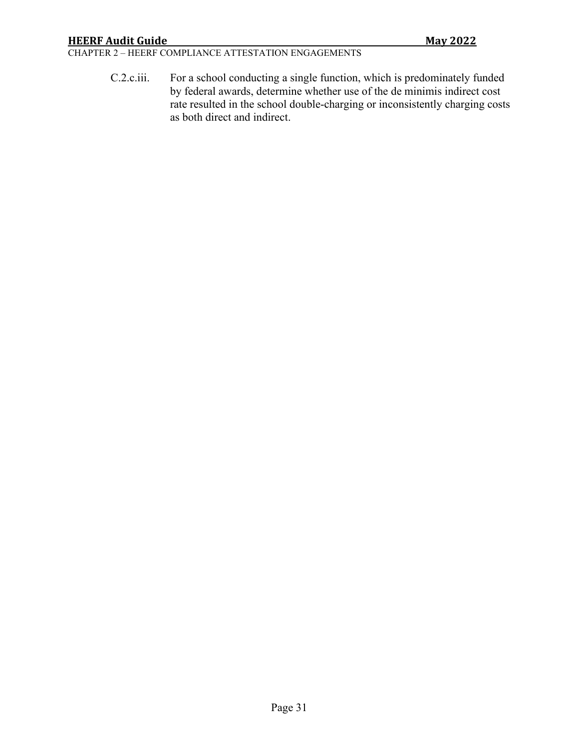CHAPTER 2 – HEERF COMPLIANCE ATTESTATION ENGAGEMENTS

C.2.c.iii. For a school conducting a single function, which is predominately funded by federal awards, determine whether use of the de minimis indirect cost rate resulted in the school double-charging or inconsistently charging costs as both direct and indirect.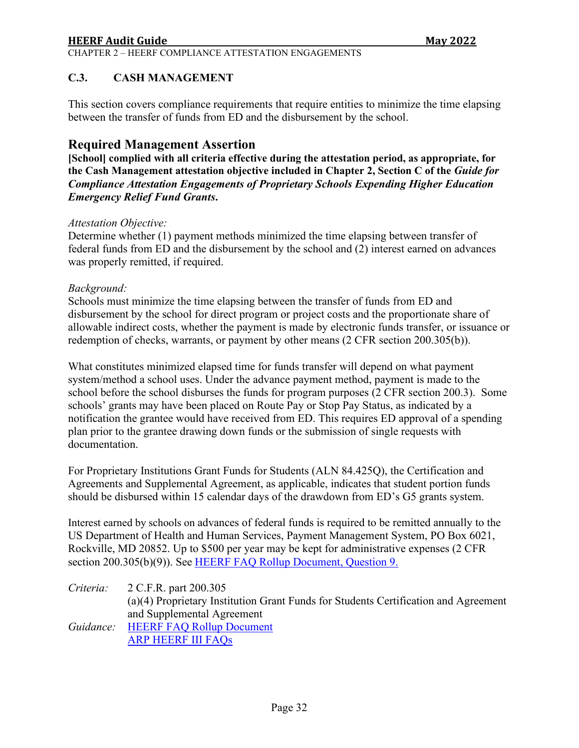#### CHAPTER 2 – HEERF COMPLIANCE ATTESTATION ENGAGEMENTS

#### <span id="page-31-0"></span>**C.3. CASH MANAGEMENT**

This section covers compliance requirements that require entities to minimize the time elapsing between the transfer of funds from ED and the disbursement by the school.

**Required Management Assertion**<br>[School] complied with all criteria effective during the attestation period, as appropriate, for **the Cash Management attestation objective included in Chapter 2, Section C of the** *Guide for Compliance Attestation Engagements of Proprietary Schools Expending Higher Education Emergency Relief Fund Grants***.** 

#### *Attestation Objective:*

Determine whether (1) payment methods minimized the time elapsing between transfer of federal funds from ED and the disbursement by the school and (2) interest earned on advances was properly remitted, if required.

#### *Background:*

Schools must minimize the time elapsing between the transfer of funds from ED and disbursement by the school for direct program or project costs and the proportionate share of allowable indirect costs, whether the payment is made by electronic funds transfer, or issuance or redemption of checks, warrants, or payment by other means (2 CFR section 200.305(b)).

What constitutes minimized elapsed time for funds transfer will depend on what payment system/method a school uses. Under the advance payment method, payment is made to the school before the school disburses the funds for program purposes (2 CFR section 200.3). Some schools' grants may have been placed on Route Pay or Stop Pay Status, as indicated by a notification the grantee would have received from ED. This requires ED approval of a spending plan prior to the grantee drawing down funds or the submission of single requests with documentation.

For Proprietary Institutions Grant Funds for Students (ALN 84.425Q), the Certification and Agreements and Supplemental Agreement, as applicable, indicates that student portion funds should be disbursed within 15 calendar days of the drawdown from ED's G5 grants system.

Interest earned by schools on advances of federal funds is required to be remitted annually to the US Department of Health and Human Services, Payment Management System, PO Box 6021, Rockville, MD 20852. Up to \$500 per year may be kept for administrative expenses (2 CFR section 200.305(b)(9)). See [HEERF FAQ Rollup Document,](https://www2.ed.gov/about/offices/list/ope/heerffaqsoct2020rollup.pdf) Question 9.

*Criteria:* 2 C.F.R. part 200.305 (a)(4) Proprietary Institution Grant Funds for Students Certification and Agreement and Supplemental Agreement *Guidance:* [HEERF FAQ Rollup Document](https://www2.ed.gov/about/offices/list/ope/heerffaqsoct2020rollup.pdf) [ARP HEERF III FAQs](https://www2.ed.gov/about/offices/list/ope/arpfaq.pdf)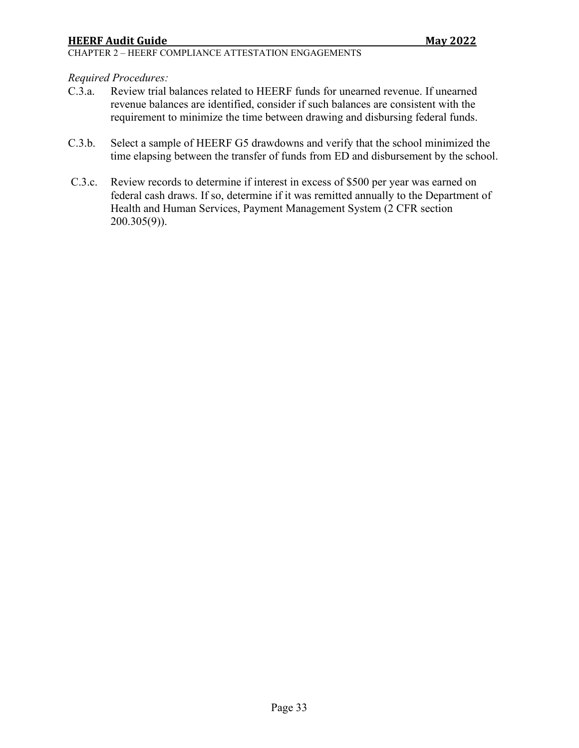#### *Required Procedures:*

- C.3.a. Review trial balances related to HEERF funds for unearned revenue. If unearned revenue balances are identified, consider if such balances are consistent with the requirement to minimize the time between drawing and disbursing federal funds.
- C.3.b. Select a sample of HEERF G5 drawdowns and verify that the school minimized the time elapsing between the transfer of funds from ED and disbursement by the school.
- C.3.c. Review records to determine if interest in excess of \$500 per year was earned on federal cash draws. If so, determine if it was remitted annually to the Department of Health and Human Services, Payment Management System (2 CFR section 200.305(9)).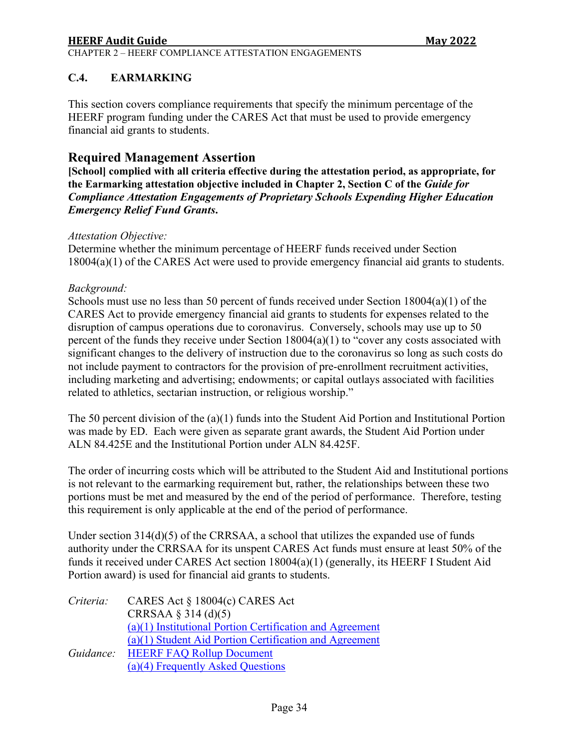CHAPTER 2 – HEERF COMPLIANCE ATTESTATION ENGAGEMENTS

### <span id="page-33-0"></span>**C.4. EARMARKING**

This section covers compliance requirements that specify the minimum percentage of the HEERF program funding under the CARES Act that must be used to provide emergency financial aid grants to students.

# **Required Management Assertion**

**[School] complied with all criteria effective during the attestation period, as appropriate, for the Earmarking attestation objective included in Chapter 2, Section C of the** *Guide for Compliance Attestation Engagements of Proprietary Schools Expending Higher Education Emergency Relief Fund Grants***.** 

#### *Attestation Objective:*

Determine whether the minimum percentage of HEERF funds received under Section 18004(a)(1) of the CARES Act were used to provide emergency financial aid grants to students.

#### *Background:*

Schools must use no less than 50 percent of funds received under Section 18004(a)(1) of the CARES Act to provide emergency financial aid grants to students for expenses related to the disruption of campus operations due to coronavirus. Conversely, schools may use up to 50 percent of the funds they receive under Section 18004(a)(1) to "cover any costs associated with significant changes to the delivery of instruction due to the coronavirus so long as such costs do not include payment to contractors for the provision of pre-enrollment recruitment activities, including marketing and advertising; endowments; or capital outlays associated with facilities related to athletics, sectarian instruction, or religious worship."

The 50 percent division of the (a)(1) funds into the Student Aid Portion and Institutional Portion was made by ED. Each were given as separate grant awards, the Student Aid Portion under ALN 84.425E and the Institutional Portion under ALN 84.425F.

The order of incurring costs which will be attributed to the Student Aid and Institutional portions is not relevant to the earmarking requirement but, rather, the relationships between these two portions must be met and measured by the end of the period of performance. Therefore, testing this requirement is only applicable at the end of the period of performance.

Under section 314(d)(5) of the CRRSAA, a school that utilizes the expanded use of funds authority under the CRRSAA for its unspent CARES Act funds must ensure at least 50% of the funds it received under CARES Act section 18004(a)(1) (generally, its HEERF I Student Aid Portion award) is used for financial aid grants to students.

| Criteria: | CARES Act $\S 18004(c)$ CARES Act                        |
|-----------|----------------------------------------------------------|
|           | CRRSAA $\S$ 314 (d)(5)                                   |
|           | (a)(1) Institutional Portion Certification and Agreement |
|           | $(a)(1)$ Student Aid Portion Certification and Agreement |
| Guidance: | <b>HEERF FAQ Rollup Document</b>                         |
|           | (a)(4) Frequently Asked Questions                        |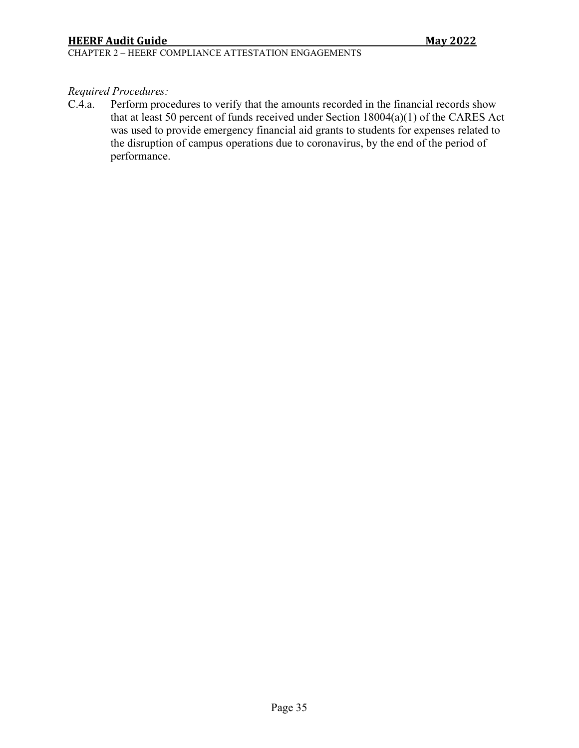CHAPTER 2 – HEERF COMPLIANCE ATTESTATION ENGAGEMENTS

# *Required Procedures:*

C.4.a. Perform procedures to verify that the amounts recorded in the financial records show that at least 50 percent of funds received under Section 18004(a)(1) of the CARES Act was used to provide emergency financial aid grants to students for expenses related to the disruption of campus operations due to coronavirus, by the end of the period of performance.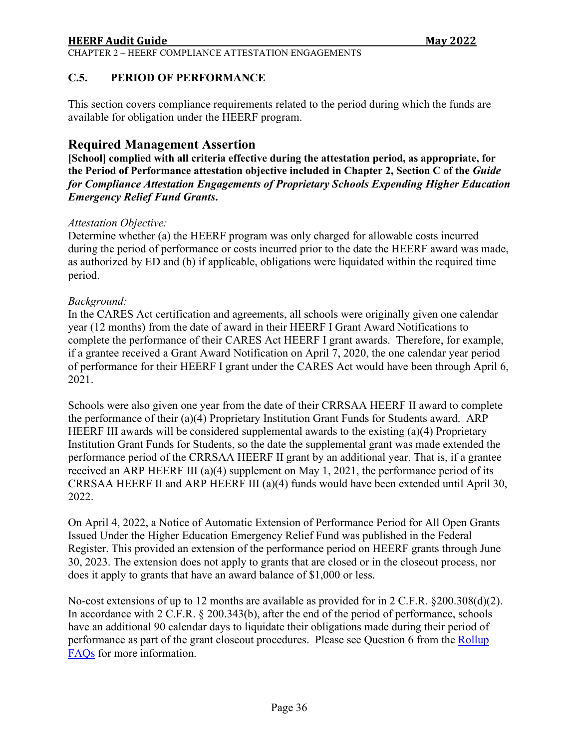CHAPTER 2 – HEERF COMPLIANCE ATTESTATION ENGAGEMENTS

### <span id="page-35-0"></span>**C.5. PERIOD OF PERFORMANCE**

This section covers compliance requirements related to the period during which the funds are available for obligation under the HEERF program.

# **Required Management Assertion**

**[School] complied with all criteria effective during the attestation period, as appropriate, for the Period of Performance attestation objective included in Chapter 2, Section C of the** *Guide for Compliance Attestation Engagements of Proprietary Schools Expending Higher Education Emergency Relief Fund Grants***.** 

#### *Attestation Objective:*

Determine whether (a) the HEERF program was only charged for allowable costs incurred during the period of performance or costs incurred prior to the date the HEERF award was made, as authorized by ED and (b) if applicable, obligations were liquidated within the required time period.

#### *Background:*

In the CARES Act certification and agreements, all schools were originally given one calendar year (12 months) from the date of award in their HEERF I Grant Award Notifications to complete the performance of their CARES Act HEERF I grant awards. Therefore, for example, if a grantee received a Grant Award Notification on April 7, 2020, the one calendar year period of performance for their HEERF I grant under the CARES Act would have been through April 6, 2021.

Schools were also given one year from the date of their CRRSAA HEERF II award to complete the performance of their (a)(4) Proprietary Institution Grant Funds for Students award. ARP HEERF III awards will be considered supplemental awards to the existing (a)(4) Proprietary Institution Grant Funds for Students, so the date the supplemental grant was made extended the performance period of the CRRSAA HEERF II grant by an additional year. That is, if a grantee received an ARP HEERF III (a)(4) supplement on May 1, 2021, the performance period of its CRRSAA HEERF II and ARP HEERF III (a)(4) funds would have been extended until April 30, 2022.

On April 4, 2022, a Notice of Automatic Extension of Performance Period for All Open Grants Issued Under the Higher Education Emergency Relief Fund was published in the Federal Register. This provided an extension of the performance period on HEERF grants through June 30, 2023. The extension does not apply to grants that are closed or in the closeout process, nor does it apply to grants that have an award balance of \$1,000 or less.

No-cost extensions of up to 12 months are available as provided for in 2 C.F.R. §200.308(d)(2). In accordance with 2 C.F.R. § 200.343(b), after the end of the period of performance, schools have an additional 90 calendar days to liquidate their obligations made during their period of performance as part of the grant closeout procedures. Please see Question 6 from the [Rollup](https://www2.ed.gov/about/offices/list/ope/heerffaqsoct2020rollup.pdf)  [FAQs](https://www2.ed.gov/about/offices/list/ope/heerffaqsoct2020rollup.pdf) for more information.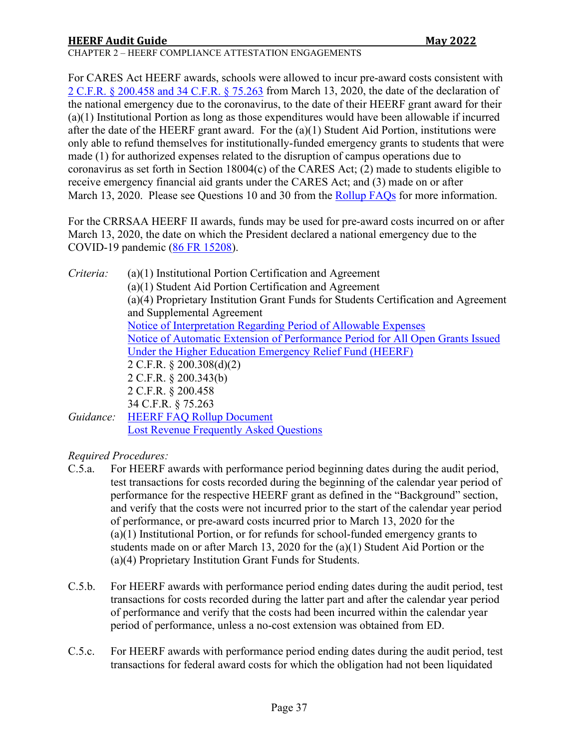CHAPTER 2 – HEERF COMPLIANCE ATTESTATION ENGAGEMENTS

For CARES Act HEERF awards, schools were allowed to incur pre-award costs consistent with [2 C.F.R. § 200.458](https://www.ecfr.gov/cgi-bin/text-idx?SID=783c533c982a3e15188b76c8e82a413a&mc=true&node=se2.1.200_1458&rgn=div8) and [34 C.F.R. § 75.263](https://www.ecfr.gov/cgi-bin/text-idx?SID=5bce9552a9fd7b188f9e17d3cc487d8a&mc=true&node=pt34.1.75&rgn=div5#se34.1.75_1263) from March 13, 2020, the date of the declaration of the national emergency due to the coronavirus, to the date of their HEERF grant award for their (a)(1) Institutional Portion as long as those expenditures would have been allowable if incurred after the date of the HEERF grant award. For the  $(a)(1)$  Student Aid Portion, institutions were only able to refund themselves for institutionally-funded emergency grants to students that were made (1) for authorized expenses related to the disruption of campus operations due to coronavirus as set forth in Section 18004(c) of the CARES Act; (2) made to students eligible to receive emergency financial aid grants under the CARES Act; and (3) made on or after March 13, 2020. Please see Questions 10 and 30 from the [Rollup FAQs](https://www2.ed.gov/about/offices/list/ope/heerffaqsoct2020rollup.pdf) for more information.

For the CRRSAA HEERF II awards, funds may be used for pre-award costs incurred on or after March 13, 2020, the date on which the President declared a national emergency due to the COVID-19 pandemic [\(86 FR 15208\)](https://www.federalregister.gov/documents/2021/03/22/2021-05849/notice-of-interpretation-regarding-period-of-allowable-expenses-for-funds-administered-under-the).

*Criteria:* (a)(1) Institutional Portion Certification and Agreement (a)(1) Student Aid Portion Certification and Agreement (a)(4) Proprietary Institution Grant Funds for Students Certification and Agreement and Supplemental Agreement [Notice of Interpretation Regarding Period of Allowable Expenses](https://www.federalregister.gov/documents/2021/03/22/2021-05849/notice-of-interpretation-regarding-period-of-allowable-expenses-for-funds-administered-under-the) [Notice of Automatic Extension of Performance Period for All Open Grants Issued](https://www.federalregister.gov/documents/2022/04/04/2022-07053/notice-of-automatic-extension-of-performance-period-for-all-open-grants-issued-under-the-higher)  [Under the Higher Education Emergency Relief Fund \(HEERF\)](https://www.federalregister.gov/documents/2022/04/04/2022-07053/notice-of-automatic-extension-of-performance-period-for-all-open-grants-issued-under-the-higher)  2 C.F.R. § 200.308(d)(2) 2 C.F.R. § 200.343(b) 2 C.F.R. § 200.458 34 C.F.R. § 75.263 *Guidance:* [HEERF FAQ Rollup Document](https://www2.ed.gov/about/offices/list/ope/heerffaqsoct2020rollup.pdf) [Lost Revenue Frequently Asked Questions](https://www2.ed.gov/about/offices/list/ope/heerflostrevenuefaqs.pdf)

*Required Procedures:*

- C.5.a. For HEERF awards with performance period beginning dates during the audit period, test transactions for costs recorded during the beginning of the calendar year period of performance for the respective HEERF grant as defined in the "Background" section, and verify that the costs were not incurred prior to the start of the calendar year period of performance, or pre-award costs incurred prior to March 13, 2020 for the (a)(1) Institutional Portion, or for refunds for school-funded emergency grants to students made on or after March 13, 2020 for the (a)(1) Student Aid Portion or the (a)(4) Proprietary Institution Grant Funds for Students.
- C.5.b. For HEERF awards with performance period ending dates during the audit period, test transactions for costs recorded during the latter part and after the calendar year period of performance and verify that the costs had been incurred within the calendar year period of performance, unless a no-cost extension was obtained from ED.
- C.5.c. For HEERF awards with performance period ending dates during the audit period, test transactions for federal award costs for which the obligation had not been liquidated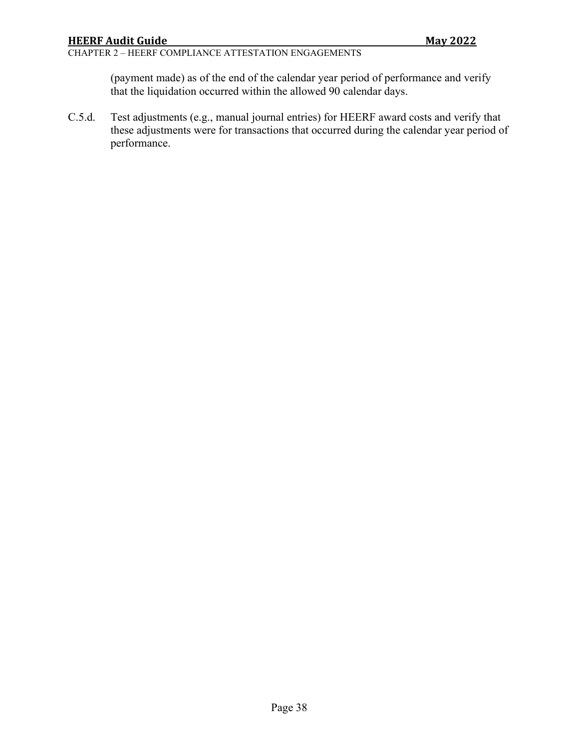#### CHAPTER 2 – HEERF COMPLIANCE ATTESTATION ENGAGEMENTS

(payment made) as of the end of the calendar year period of performance and verify that the liquidation occurred within the allowed 90 calendar days.

C.5.d. Test adjustments (e.g., manual journal entries) for HEERF award costs and verify that these adjustments were for transactions that occurred during the calendar year period of performance.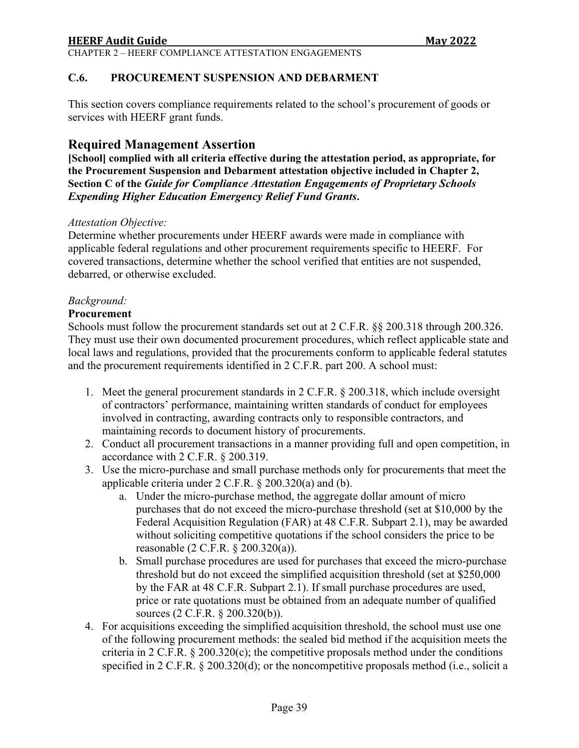<span id="page-38-0"></span>This section covers compliance requirements related to the school's procurement of goods or services with HEERF grant funds.

# **Required Management Assertion**

**[School] complied with all criteria effective during the attestation period, as appropriate, for the Procurement Suspension and Debarment attestation objective included in Chapter 2, Section C of the** *Guide for Compliance Attestation Engagements of Proprietary Schools Expending Higher Education Emergency Relief Fund Grants***.**

#### *Attestation Objective:*

Determine whether procurements under HEERF awards were made in compliance with applicable federal regulations and other procurement requirements specific to HEERF. For covered transactions, determine whether the school verified that entities are not suspended, debarred, or otherwise excluded.

#### *Background:*

#### **Procurement**

Schools must follow the procurement standards set out at 2 C.F.R. §§ 200.318 through 200.326. They must use their own documented procurement procedures, which reflect applicable state and local laws and regulations, provided that the procurements conform to applicable federal statutes and the procurement requirements identified in 2 C.F.R. part 200. A school must:

- 1. Meet the general procurement standards in 2 C.F.R. § 200.318, which include oversight of contractors' performance, maintaining written standards of conduct for employees involved in contracting, awarding contracts only to responsible contractors, and maintaining records to document history of procurements.
- 2. Conduct all procurement transactions in a manner providing full and open competition, in accordance with 2 C.F.R. § 200.319.
- 3. Use the micro-purchase and small purchase methods only for procurements that meet the applicable criteria under 2 C.F.R. § 200.320(a) and (b).
	- a. Under the micro-purchase method, the aggregate dollar amount of micro purchases that do not exceed the micro-purchase threshold (set at \$10,000 by the Federal Acquisition Regulation (FAR) at 48 C.F.R. Subpart 2.1), may be awarded without soliciting competitive quotations if the school considers the price to be reasonable (2 C.F.R. § 200.320(a)).
	- b. Small purchase procedures are used for purchases that exceed the micro-purchase threshold but do not exceed the simplified acquisition threshold (set at \$250,000 by the FAR at 48 C.F.R. Subpart 2.1). If small purchase procedures are used, price or rate quotations must be obtained from an adequate number of qualified sources (2 C.F.R. § 200.320(b)).
- 4. For acquisitions exceeding the simplified acquisition threshold, the school must use one of the following procurement methods: the sealed bid method if the acquisition meets the criteria in 2 C.F.R.  $\S 200.320(c)$ ; the competitive proposals method under the conditions specified in 2 C.F.R. § 200.320(d); or the noncompetitive proposals method (i.e., solicit a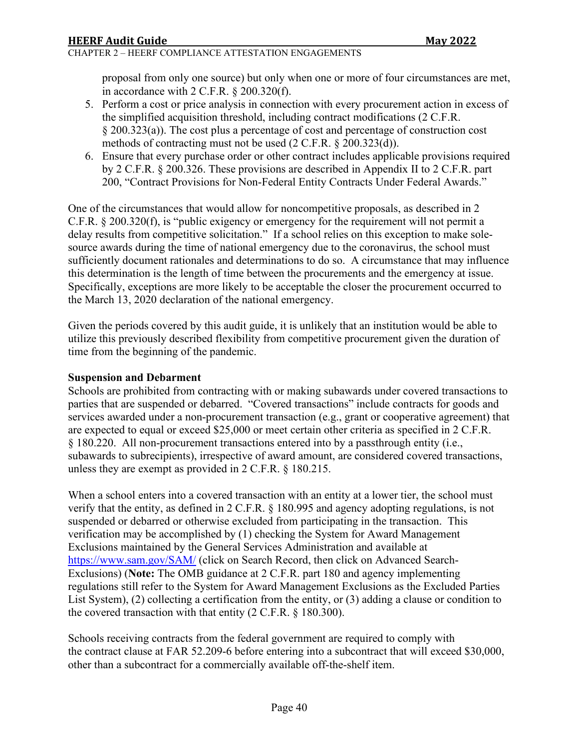#### CHAPTER 2 – HEERF COMPLIANCE ATTESTATION ENGAGEMENTS

proposal from only one source) but only when one or more of four circumstances are met, in accordance with 2 C.F.R. § 200.320(f).

- 5. Perform a cost or price analysis in connection with every procurement action in excess of the simplified acquisition threshold, including contract modifications (2 C.F.R. § 200.323(a)). The cost plus a percentage of cost and percentage of construction cost methods of contracting must not be used (2 C.F.R. § 200.323(d)).
- 6. Ensure that every purchase order or other contract includes applicable provisions required by 2 C.F.R. § 200.326. These provisions are described in Appendix II to 2 C.F.R. part 200, "Contract Provisions for Non-Federal Entity Contracts Under Federal Awards."

One of the circumstances that would allow for noncompetitive proposals, as described in 2 C.F.R. § 200.320(f), is "public exigency or emergency for the requirement will not permit a delay results from competitive solicitation." If a school relies on this exception to make solesource awards during the time of national emergency due to the coronavirus, the school must sufficiently document rationales and determinations to do so. A circumstance that may influence this determination is the length of time between the procurements and the emergency at issue. Specifically, exceptions are more likely to be acceptable the closer the procurement occurred to the March 13, 2020 declaration of the national emergency.

Given the periods covered by this audit guide, it is unlikely that an institution would be able to utilize this previously described flexibility from competitive procurement given the duration of time from the beginning of the pandemic.

#### **Suspension and Debarment**

Schools are prohibited from contracting with or making subawards under covered transactions to parties that are suspended or debarred. "Covered transactions" include contracts for goods and services awarded under a non-procurement transaction (e.g., grant or cooperative agreement) that are expected to equal or exceed \$25,000 or meet certain other criteria as specified in 2 C.F.R. § 180.220. All non-procurement transactions entered into by a passthrough entity (i.e., subawards to subrecipients), irrespective of award amount, are considered covered transactions, unless they are exempt as provided in 2 C.F.R. § 180.215.

When a school enters into a covered transaction with an entity at a lower tier, the school must verify that the entity, as defined in 2 C.F.R. § 180.995 and agency adopting regulations, is not suspended or debarred or otherwise excluded from participating in the transaction. This verification may be accomplished by (1) checking the System for Award Management Exclusions maintained by the General Services Administration and available at <https://www.sam.gov/SAM/> (click on Search Record, then click on Advanced Search-Exclusions) (**Note:** The OMB guidance at 2 C.F.R. part 180 and agency implementing regulations still refer to the System for Award Management Exclusions as the Excluded Parties List System), (2) collecting a certification from the entity, or (3) adding a clause or condition to the covered transaction with that entity (2 C.F.R. § 180.300).

Schools receiving contracts from the federal government are required to comply with the contract clause at FAR 52.209-6 before entering into a subcontract that will exceed \$30,000, other than a subcontract for a commercially available off-the-shelf item.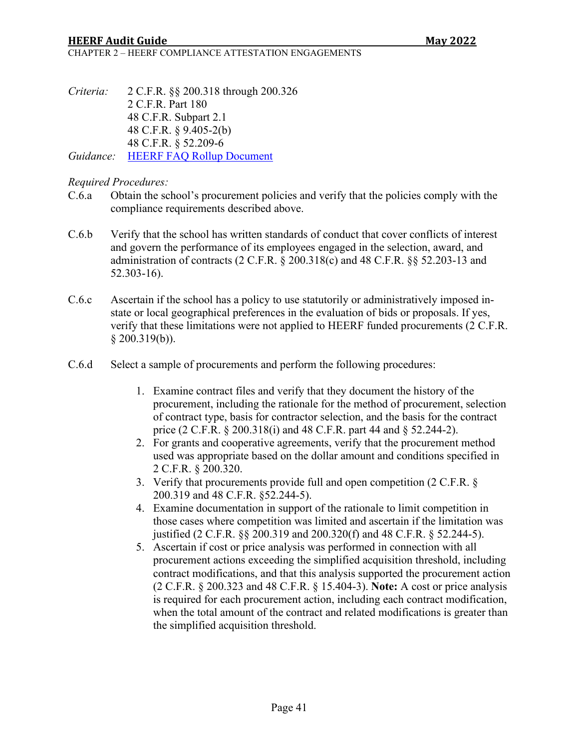CHAPTER 2 – HEERF COMPLIANCE ATTESTATION ENGAGEMENTS

*Criteria:* 2 C.F.R. §§ 200.318 through 200.326 2 C.F.R. Part 180 48 C.F.R. Subpart 2.1 48 C.F.R. § 9.405-2(b) 48 C.F.R. § 52.209-6

*Guidance:* [HEERF FAQ Rollup Document](https://www2.ed.gov/about/offices/list/ope/heerffaqsoct2020rollup.pdf)

#### *Required Procedures:*

- C.6.a Obtain the school's procurement policies and verify that the policies comply with the compliance requirements described above.
- C.6.b Verify that the school has written standards of conduct that cover conflicts of interest and govern the performance of its employees engaged in the selection, award, and administration of contracts (2 C.F.R. § 200.318(c) and 48 C.F.R. §§ 52.203-13 and 52.303-16).
- C.6.c Ascertain if the school has a policy to use statutorily or administratively imposed instate or local geographical preferences in the evaluation of bids or proposals. If yes, verify that these limitations were not applied to HEERF funded procurements (2 C.F.R.  $§$  200.319(b)).
- C.6.d Select a sample of procurements and perform the following procedures:
	- 1. Examine contract files and verify that they document the history of the procurement, including the rationale for the method of procurement, selection of contract type, basis for contractor selection, and the basis for the contract price (2 C.F.R. § 200.318(i) and 48 C.F.R. part 44 and § 52.244-2).
	- 2. For grants and cooperative agreements, verify that the procurement method used was appropriate based on the dollar amount and conditions specified in 2 C.F.R. § 200.320.
	- 3. Verify that procurements provide full and open competition (2 C.F.R. § 200.319 and 48 C.F.R. §52.244-5).
	- 4. Examine documentation in support of the rationale to limit competition in those cases where competition was limited and ascertain if the limitation was justified (2 C.F.R. §§ 200.319 and 200.320(f) and 48 C.F.R. § 52.244-5).
	- 5. Ascertain if cost or price analysis was performed in connection with all procurement actions exceeding the simplified acquisition threshold, including contract modifications, and that this analysis supported the procurement action (2 C.F.R. § 200.323 and 48 C.F.R. § 15.404-3). **Note:** A cost or price analysis is required for each procurement action, including each contract modification, when the total amount of the contract and related modifications is greater than the simplified acquisition threshold.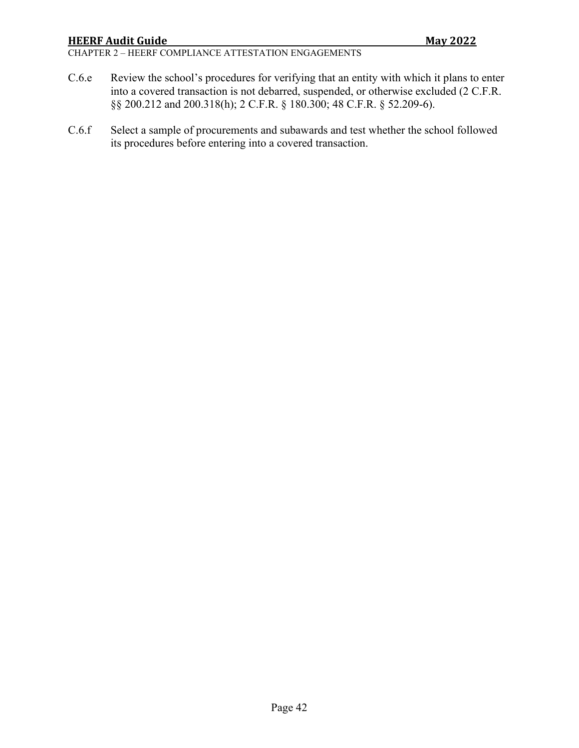#### CHAPTER 2 – HEERF COMPLIANCE ATTESTATION ENGAGEMENTS

- C.6.e Review the school's procedures for verifying that an entity with which it plans to enter into a covered transaction is not debarred, suspended, or otherwise excluded (2 C.F.R. §§ 200.212 and 200.318(h); 2 C.F.R. § 180.300; 48 C.F.R. § 52.209-6).
- C.6.f Select a sample of procurements and subawards and test whether the school followed its procedures before entering into a covered transaction.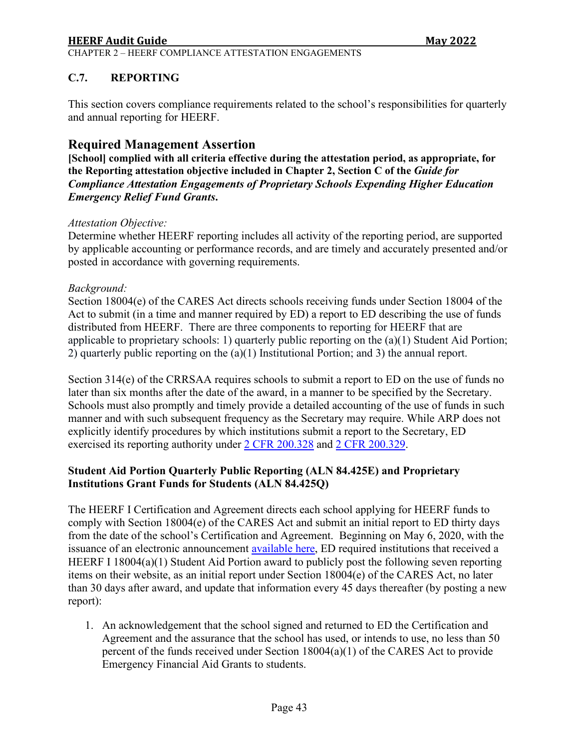CHAPTER 2 – HEERF COMPLIANCE ATTESTATION ENGAGEMENTS

# <span id="page-42-0"></span>**C.7. REPORTING**

This section covers compliance requirements related to the school's responsibilities for quarterly and annual reporting for HEERF.

# **Required Management Assertion**

**[School] complied with all criteria effective during the attestation period, as appropriate, for the Reporting attestation objective included in Chapter 2, Section C of the** *Guide for Compliance Attestation Engagements of Proprietary Schools Expending Higher Education Emergency Relief Fund Grants***.** 

#### *Attestation Objective:*

Determine whether HEERF reporting includes all activity of the reporting period, are supported by applicable accounting or performance records, and are timely and accurately presented and/or posted in accordance with governing requirements.

#### *Background:*

Section 18004(e) of the CARES Act directs schools receiving funds under Section 18004 of the Act to submit (in a time and manner required by ED) a report to ED describing the use of funds distributed from HEERF. There are three components to reporting for HEERF that are applicable to proprietary schools: 1) quarterly public reporting on the (a)(1) Student Aid Portion; 2) quarterly public reporting on the (a)(1) Institutional Portion; and 3) the annual report.

Section 314(e) of the CRRSAA requires schools to submit a report to ED on the use of funds no later than six months after the date of the award, in a manner to be specified by the Secretary. Schools must also promptly and timely provide a detailed accounting of the use of funds in such manner and with such subsequent frequency as the Secretary may require. While ARP does not explicitly identify procedures by which institutions submit a report to the Secretary, ED exercised its reporting authority under [2 CFR 200.328](https://www.ecfr.gov/current/title-2/section-200.328) and [2 CFR 200.329.](https://www.ecfr.gov/current/title-2/section-200.329)

### **Student Aid Portion Quarterly Public Reporting (ALN 84.425E) and Proprietary Institutions Grant Funds for Students (ALN 84.425Q)**

The HEERF I Certification and Agreement directs each school applying for HEERF funds to comply with Section 18004(e) of the CARES Act and submit an initial report to ED thirty days from the date of the school's Certification and Agreement. Beginning on May 6, 2020, with the issuance of an electronic announcement [available here,](https://ifap.ed.gov/electronic-announcements/050620HigherEdEmergencyReliefFundRptg) ED required institutions that received a HEERF I 18004(a)(1) Student Aid Portion award to publicly post the following seven reporting items on their website, as an initial report under Section 18004(e) of the CARES Act, no later than 30 days after award, and update that information every 45 days thereafter (by posting a new report):

1. An acknowledgement that the school signed and returned to ED the Certification and Agreement and the assurance that the school has used, or intends to use, no less than 50 percent of the funds received under Section 18004(a)(1) of the CARES Act to provide Emergency Financial Aid Grants to students.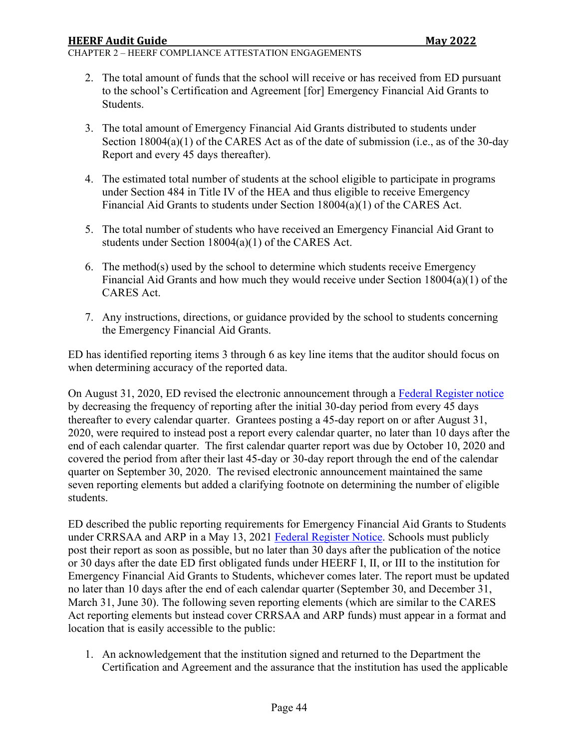CHAPTER 2 – HEERF COMPLIANCE ATTESTATION ENGAGEMENTS

- 2. The total amount of funds that the school will receive or has received from ED pursuant to the school's Certification and Agreement [for] Emergency Financial Aid Grants to Students.
- 3. The total amount of Emergency Financial Aid Grants distributed to students under Section 18004(a)(1) of the CARES Act as of the date of submission (i.e., as of the 30-day Report and every 45 days thereafter).
- 4. The estimated total number of students at the school eligible to participate in programs under Section 484 in Title IV of the HEA and thus eligible to receive Emergency Financial Aid Grants to students under Section  $18004(a)(1)$  of the CARES Act.
- 5. The total number of students who have received an Emergency Financial Aid Grant to students under Section 18004(a)(1) of the CARES Act.
- 6. The method(s) used by the school to determine which students receive Emergency Financial Aid Grants and how much they would receive under Section 18004(a)(1) of the CARES Act.
- 7. Any instructions, directions, or guidance provided by the school to students concerning the Emergency Financial Aid Grants.

ED has identified reporting items 3 through 6 as key line items that the auditor should focus on when determining accuracy of the reported data.

On August 31, 2020, ED revised the electronic announcement through a [Federal Register notice](https://www.federalregister.gov/documents/2020/08/31/2020-19041/notice-of-public-posting-requirement-of-grant-information-for-higher-education-emergency-relief-fund) by decreasing the frequency of reporting after the initial 30-day period from every 45 days thereafter to every calendar quarter. Grantees posting a 45-day report on or after August 31, 2020, were required to instead post a report every calendar quarter, no later than 10 days after the end of each calendar quarter. The first calendar quarter report was due by October 10, 2020 and covered the period from after their last 45-day or 30-day report through the end of the calendar quarter on September 30, 2020. The revised electronic announcement maintained the same seven reporting elements but added a clarifying footnote on determining the number of eligible students.

ED described the public reporting requirements for Emergency Financial Aid Grants to Students under CRRSAA and ARP in a May 13, 2021 [Federal Register](https://www.federalregister.gov/documents/2021/05/13/2021-10196/notice-of-public-posting-requirement-of-grant-information-for-higher-education-emergency-relief-fund) Notice. Schools must publicly post their report as soon as possible, but no later than 30 days after the publication of the notice or 30 days after the date ED first obligated funds under HEERF I, II, or III to the institution for Emergency Financial Aid Grants to Students, whichever comes later. The report must be updated no later than 10 days after the end of each calendar quarter (September 30, and December 31, March 31, June 30). The following seven reporting elements (which are similar to the CARES Act reporting elements but instead cover CRRSAA and ARP funds) must appear in a format and location that is easily accessible to the public:

1. An acknowledgement that the institution signed and returned to the Department the Certification and Agreement and the assurance that the institution has used the applicable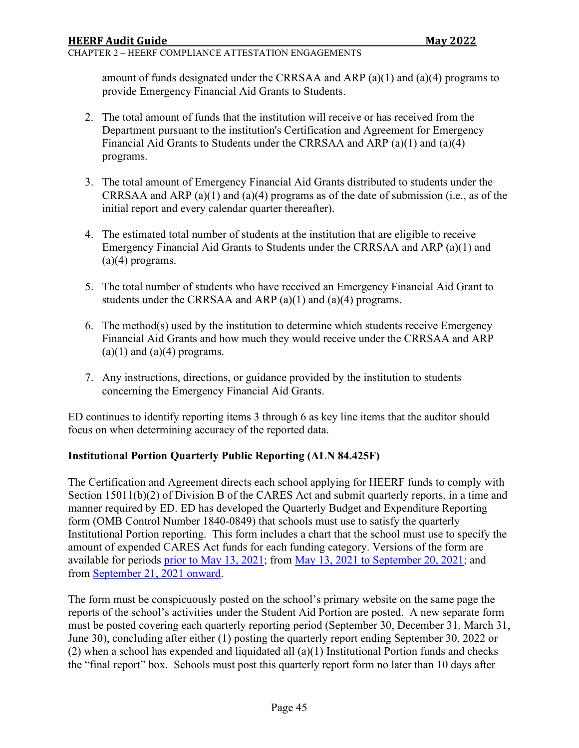#### CHAPTER 2 – HEERF COMPLIANCE ATTESTATION ENGAGEMENTS

amount of funds designated under the CRRSAA and ARP (a)(1) and (a)(4) programs to provide Emergency Financial Aid Grants to Students.

- 2. The total amount of funds that the institution will receive or has received from the Department pursuant to the institution's Certification and Agreement for Emergency Financial Aid Grants to Students under the CRRSAA and ARP (a)(1) and (a)(4) programs.
- 3. The total amount of Emergency Financial Aid Grants distributed to students under the CRRSAA and ARP (a)(1) and (a)(4) programs as of the date of submission (i.e., as of the initial report and every calendar quarter thereafter).
- 4. The estimated total number of students at the institution that are eligible to receive Emergency Financial Aid Grants to Students under the CRRSAA and ARP (a)(1) and  $(a)(4)$  programs.
- 5. The total number of students who have received an Emergency Financial Aid Grant to students under the CRRSAA and ARP (a)(1) and (a)(4) programs.
- 6. The method(s) used by the institution to determine which students receive Emergency Financial Aid Grants and how much they would receive under the CRRSAA and ARP  $(a)(1)$  and  $(a)(4)$  programs.
- 7. Any instructions, directions, or guidance provided by the institution to students concerning the Emergency Financial Aid Grants.

ED continues to identify reporting items 3 through 6 as key line items that the auditor should focus on when determining accuracy of the reported data.

### **Institutional Portion Quarterly Public Reporting (ALN 84.425F)**

The Certification and Agreement directs each school applying for HEERF funds to comply with Section 15011(b)(2) of Division B of the CARES Act and submit quarterly reports, in a time and manner required by ED. ED has developed the Quarterly Budget and Expenditure Reporting form (OMB Control Number 1840-0849) that schools must use to satisfy the quarterly Institutional Portion reporting. This form includes a chart that the school must use to specify the amount of expended CARES Act funds for each funding category. Versions of the form are available for periods [prior to May 13, 2021;](https://www2.ed.gov/about/offices/list/ope/heerf-quarterly-reporting-v131.pdf) from [May 13, 2021 to September 20, 2021;](https://www2.ed.gov/about/offices/list/ope/arpheerfiiiqaurterlyreporting.pdf) and from [September 21, 2021 onward.](https://www2.ed.gov/about/offices/list/ope/opeidheerfq32021101021.pdf)

The form must be conspicuously posted on the school's primary website on the same page the reports of the school's activities under the Student Aid Portion are posted. A new separate form must be posted covering each quarterly reporting period (September 30, December 31, March 31, June 30), concluding after either (1) posting the quarterly report ending September 30, 2022 or (2) when a school has expended and liquidated all (a)(1) Institutional Portion funds and checks the "final report" box. Schools must post this quarterly report form no later than 10 days after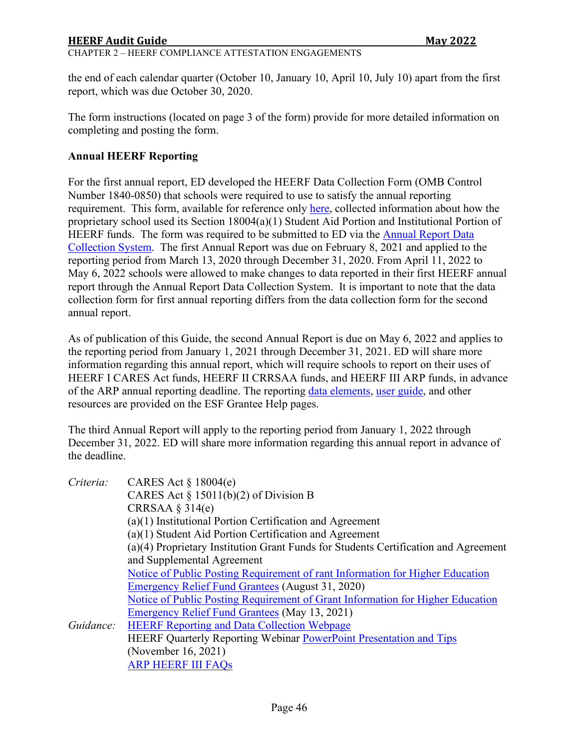### **HEERF Audit Guide Communist State Communist State Communist State Communist State Communist State Communist State Communist State Communist State Communist State Communist State Communist State Communist State Communist S**

#### CHAPTER 2 – HEERF COMPLIANCE ATTESTATION ENGAGEMENTS

the end of each calendar quarter (October 10, January 10, April 10, July 10) apart from the first report, which was due October 30, 2020.

The form instructions (located on page 3 of the form) provide for more detailed information on completing and posting the form.

#### **Annual HEERF Reporting**

For the first annual report, ED developed the HEERF Data Collection Form (OMB Control Number 1840-0850) that schools were required to use to satisfy the annual reporting requirement. This form, available for reference only [here,](https://www2.ed.gov/about/offices/list/ope/heerf-data-collection.pdf) collected information about how the proprietary school used its Section 18004(a)(1) Student Aid Portion and Institutional Portion of HEERF funds. The form was required to be submitted to ED via the [Annual Report Data](https://covid-relief-data.ed.gov/grantee-help)  [Collection System.](https://covid-relief-data.ed.gov/grantee-help) The first Annual Report was due on February 8, 2021 and applied to the reporting period from March 13, 2020 through December 31, 2020. From April 11, 2022 to May 6, 2022 schools were allowed to make changes to data reported in their first HEERF annual report through the Annual Report Data Collection System. It is important to note that the data collection form for first annual reporting differs from the data collection form for the second annual report.

As of publication of this Guide, the second Annual Report is due on May 6, 2022 and applies to the reporting period from January 1, 2021 through December 31, 2021. ED will share more information regarding this annual report, which will require schools to report on their uses of HEERF I CARES Act funds, HEERF II CRRSAA funds, and HEERF III ARP funds, in advance of the ARP annual reporting deadline. The reporting [data elements, user guide,](https://covid-relief-data.ed.gov/grantee-help/heerf) and other resources are provided on the ESF Grantee Help pages.

The third Annual Report will apply to the reporting period from January 1, 2022 through December 31, 2022. ED will share more information regarding this annual report in advance of the deadline.

| Criteria: | CARES Act $\S$ 18004(e)                                                             |
|-----------|-------------------------------------------------------------------------------------|
|           | CARES Act § 15011(b)(2) of Division B                                               |
|           | CRRSAA $\S$ 314(e)                                                                  |
|           | $(a)(1)$ Institutional Portion Certification and Agreement                          |
|           | (a)(1) Student Aid Portion Certification and Agreement                              |
|           | (a)(4) Proprietary Institution Grant Funds for Students Certification and Agreement |
|           | and Supplemental Agreement                                                          |
|           | Notice of Public Posting Requirement of rant Information for Higher Education       |
|           | Emergency Relief Fund Grantees (August 31, 2020)                                    |
|           | Notice of Public Posting Requirement of Grant Information for Higher Education      |
|           | Emergency Relief Fund Grantees (May 13, 2021)                                       |
| Guidance: | <b>HEERF Reporting and Data Collection Webpage</b>                                  |
|           | <b>HEERF Quarterly Reporting Webinar PowerPoint Presentation and Tips</b>           |
|           | (November 16, 2021)                                                                 |
|           | <b>ARP HEERF III FAQS</b>                                                           |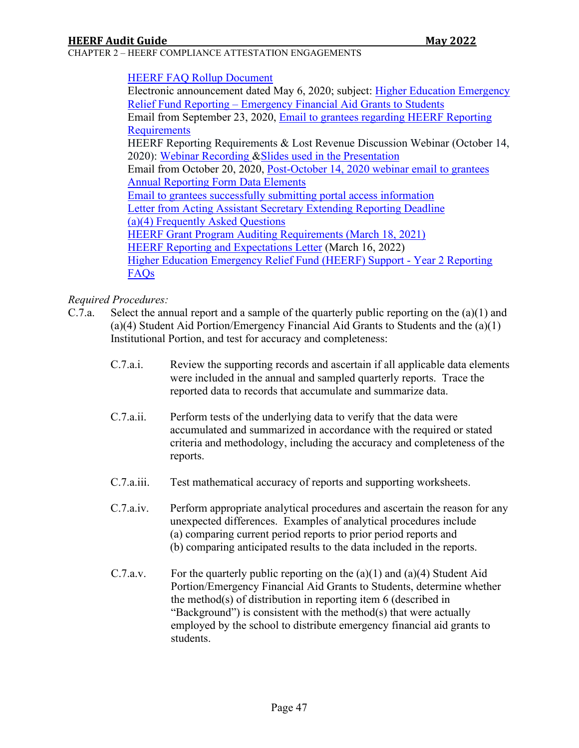CHAPTER 2 – HEERF COMPLIANCE ATTESTATION ENGAGEMENTS

#### [HEERF FAQ Rollup Document](https://www2.ed.gov/about/offices/list/ope/heerffaqsoct2020rollup.pdf)

Electronic announcement dated May 6, 2020; subject: [Higher Education Emergency](https://ifap.ed.gov/electronic-announcements/050620HigherEdEmergencyReliefFundRptg)  [Relief Fund Reporting – Emergency Financial Aid Grants to Students](https://ifap.ed.gov/electronic-announcements/050620HigherEdEmergencyReliefFundRptg)  Email from September 23, 2020, [Email to grantees regarding HEERF Reporting](https://www2.ed.gov/about/offices/list/ope/heerf-reporting-email.pdf)  **[Requirements](https://www2.ed.gov/about/offices/list/ope/heerf-reporting-email.pdf)** HEERF Reporting Requirements & Lost Revenue Discussion Webinar (October 14, 2020): [Webinar Recording](https://mediasite.ed.gov/webcast/Play/e125773d112c4ae5bf8580236cd6efe91d) [&Slides used in the Presentation](https://www2.ed.gov/about/offices/list/ope/heerfreportingwebinar10142020.pdf) Email from October 20, 2020, [Post-October 14, 2020 webinar email to grantees](https://www2.ed.gov/about/offices/list/ope/heerf-postwebinar-email.pdf) [Annual Reporting Form Data Elements](https://www2.ed.gov/about/offices/list/ope/heerf-data-collection.pdf) [Email to grantees successfully submitting portal access information](https://www2.ed.gov/about/offices/list/ope/portalaccessemail12182020.pdf) [Letter from Acting Assistant Secretary Extending Reporting Deadline](https://www2.ed.gov/about/offices/list/ope/heerfgranteeltr12921.pdf) [\(a\)\(4\) Frequently Asked Questions](https://www2.ed.gov/about/offices/list/ope/updatedheerfiia4crrsaafaqs.pdf) [HEERF Grant Program Auditing Requirements](https://www2.ed.gov/about/offices/list/ope/heerfauditletter.pdf) (March 18, 2021) [HEERF Reporting and Expectations Letter](https://www.federalregister.gov/documents/2021/05/13/2021-10196/notice-of-public-posting-requirement-of-grant-information-for-higher-education-emergency-relief-fund) (March 16, 2022) [Higher Education Emergency Relief Fund \(HEERF\) Support - Year 2 Reporting](https://covid-relief-data.ed.gov/grantee-help/heerf/faq)  [FAQs](https://covid-relief-data.ed.gov/grantee-help/heerf/faq)

#### *Required Procedures:*

- C.7.a. Select the annual report and a sample of the quarterly public reporting on the (a)(1) and (a)(4) Student Aid Portion/Emergency Financial Aid Grants to Students and the (a)(1) Institutional Portion, and test for accuracy and completeness:
	- C.7.a.i. Review the supporting records and ascertain if all applicable data elements were included in the annual and sampled quarterly reports. Trace the reported data to records that accumulate and summarize data.
	- C.7.a.ii. Perform tests of the underlying data to verify that the data were accumulated and summarized in accordance with the required or stated criteria and methodology, including the accuracy and completeness of the reports.
	- C.7.a.iii. Test mathematical accuracy of reports and supporting worksheets.
	- C.7.a.iv. Perform appropriate analytical procedures and ascertain the reason for any unexpected differences. Examples of analytical procedures include (a) comparing current period reports to prior period reports and (b) comparing anticipated results to the data included in the reports.
	- C.7.a.v. For the quarterly public reporting on the  $(a)(1)$  and  $(a)(4)$  Student Aid Portion/Emergency Financial Aid Grants to Students, determine whether the method(s) of distribution in reporting item 6 (described in "Background") is consistent with the method(s) that were actually employed by the school to distribute emergency financial aid grants to students.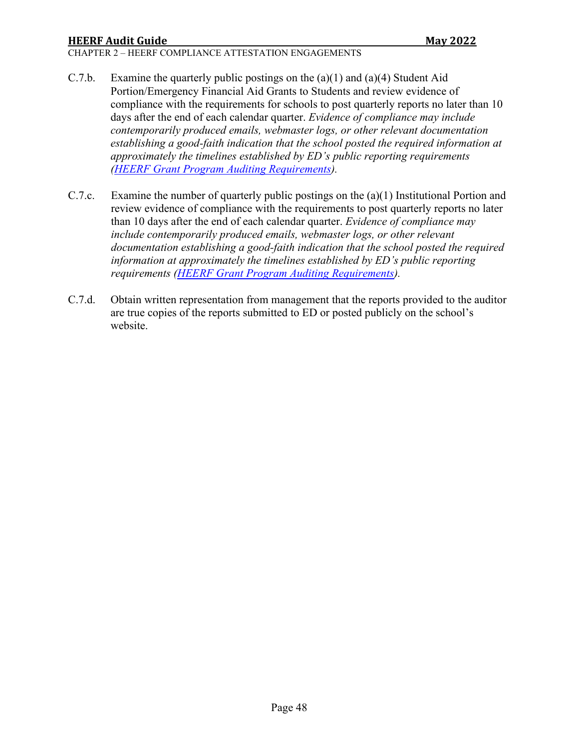# **HEERF Audit Guide Communist State Communist State Communist State Communist State Communist State Communist State Communist State Communist State Communist State Communist State Communist State Communist State Communist S**

CHAPTER 2 – HEERF COMPLIANCE ATTESTATION ENGAGEMENTS

- C.7.b. Examine the quarterly public postings on the (a)(1) and (a)(4) Student Aid Portion/Emergency Financial Aid Grants to Students and review evidence of compliance with the requirements for schools to post quarterly reports no later than 10 days after the end of each calendar quarter. *Evidence of compliance may include contemporarily produced emails, webmaster logs, or other relevant documentation establishing a good-faith indication that the school posted the required information at approximately the timelines established by ED's public reporting requirements [\(HEERF Grant Program Auditing Requirements\)](https://www2.ed.gov/about/offices/list/ope/heerfauditletter.pdf).*
- C.7.c. Examine the number of quarterly public postings on the (a)(1) Institutional Portion and review evidence of compliance with the requirements to post quarterly reports no later than 10 days after the end of each calendar quarter. *Evidence of compliance may include contemporarily produced emails, webmaster logs, or other relevant documentation establishing a good-faith indication that the school posted the required information at approximately the timelines established by ED's public reporting requirements [\(HEERF Grant Program Auditing Requirements\)](https://www2.ed.gov/about/offices/list/ope/heerfauditletter.pdf).*
- C.7.d. Obtain written representation from management that the reports provided to the auditor are true copies of the reports submitted to ED or posted publicly on the school's website.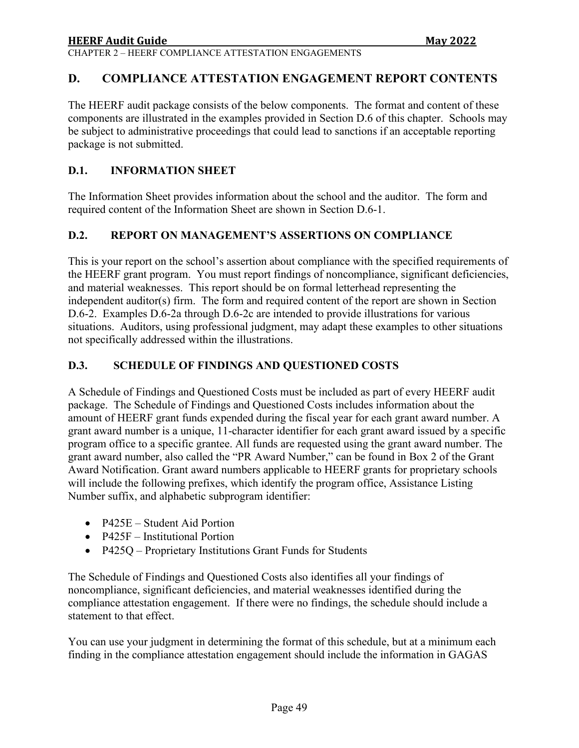CHAPTER 2 – HEERF COMPLIANCE ATTESTATION ENGAGEMENTS

# <span id="page-48-0"></span>**D. COMPLIANCE ATTESTATION ENGAGEMENT REPORT CONTENTS**

The HEERF audit package consists of the below components. The format and content of these components are illustrated in the examples provided in Section D.6 of this chapter. Schools may be subject to administrative proceedings that could lead to sanctions if an acceptable reporting package is not submitted.

#### <span id="page-48-1"></span>**D.1. INFORMATION SHEET**

The Information Sheet provides information about the school and the auditor. The form and required content of the Information Sheet are shown in Section D.6-1.

#### <span id="page-48-2"></span>**D.2. REPORT ON MANAGEMENT'S ASSERTIONS ON COMPLIANCE**

This is your report on the school's assertion about compliance with the specified requirements of the HEERF grant program. You must report findings of noncompliance, significant deficiencies, and material weaknesses. This report should be on formal letterhead representing the independent auditor(s) firm. The form and required content of the report are shown in Section D.6-2. Examples D.6-2a through D.6-2c are intended to provide illustrations for various situations. Auditors, using professional judgment, may adapt these examples to other situations not specifically addressed within the illustrations.

#### <span id="page-48-3"></span>**D.3. SCHEDULE OF FINDINGS AND QUESTIONED COSTS**

A Schedule of Findings and Questioned Costs must be included as part of every HEERF audit package. The Schedule of Findings and Questioned Costs includes information about the amount of HEERF grant funds expended during the fiscal year for each grant award number. A grant award number is a unique, 11-character identifier for each grant award issued by a specific program office to a specific grantee. All funds are requested using the grant award number. The grant award number, also called the "PR Award Number," can be found in Box 2 of the Grant Award Notification. Grant award numbers applicable to HEERF grants for proprietary schools will include the following prefixes, which identify the program office, Assistance Listing Number suffix, and alphabetic subprogram identifier:

- P425E Student Aid Portion
- P425F Institutional Portion
- P425Q Proprietary Institutions Grant Funds for Students

The Schedule of Findings and Questioned Costs also identifies all your findings of noncompliance, significant deficiencies, and material weaknesses identified during the compliance attestation engagement. If there were no findings, the schedule should include a statement to that effect.

You can use your judgment in determining the format of this schedule, but at a minimum each finding in the compliance attestation engagement should include the information in GAGAS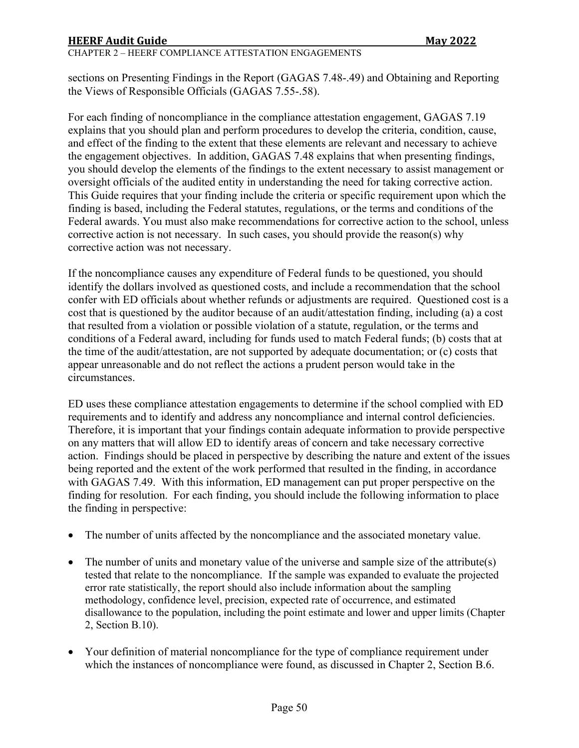#### CHAPTER 2 – HEERF COMPLIANCE ATTESTATION ENGAGEMENTS

sections on Presenting Findings in the Report (GAGAS 7.48-.49) and Obtaining and Reporting the Views of Responsible Officials (GAGAS 7.55-.58).

For each finding of noncompliance in the compliance attestation engagement, GAGAS 7.19 explains that you should plan and perform procedures to develop the criteria, condition, cause, and effect of the finding to the extent that these elements are relevant and necessary to achieve the engagement objectives. In addition, GAGAS 7.48 explains that when presenting findings, you should develop the elements of the findings to the extent necessary to assist management or oversight officials of the audited entity in understanding the need for taking corrective action. This Guide requires that your finding include the criteria or specific requirement upon which the finding is based, including the Federal statutes, regulations, or the terms and conditions of the Federal awards. You must also make recommendations for corrective action to the school, unless corrective action is not necessary. In such cases, you should provide the reason(s) why corrective action was not necessary.

If the noncompliance causes any expenditure of Federal funds to be questioned, you should identify the dollars involved as questioned costs, and include a recommendation that the school confer with ED officials about whether refunds or adjustments are required. Questioned cost is a cost that is questioned by the auditor because of an audit/attestation finding, including (a) a cost that resulted from a violation or possible violation of a statute, regulation, or the terms and conditions of a Federal award, including for funds used to match Federal funds; (b) costs that at the time of the audit/attestation, are not supported by adequate documentation; or (c) costs that appear unreasonable and do not reflect the actions a prudent person would take in the circumstances.

ED uses these compliance attestation engagements to determine if the school complied with ED requirements and to identify and address any noncompliance and internal control deficiencies. Therefore, it is important that your findings contain adequate information to provide perspective on any matters that will allow ED to identify areas of concern and take necessary corrective action. Findings should be placed in perspective by describing the nature and extent of the issues being reported and the extent of the work performed that resulted in the finding, in accordance with GAGAS 7.49. With this information, ED management can put proper perspective on the finding for resolution. For each finding, you should include the following information to place the finding in perspective:

- The number of units affected by the noncompliance and the associated monetary value.
- The number of units and monetary value of the universe and sample size of the attribute(s) tested that relate to the noncompliance. If the sample was expanded to evaluate the projected error rate statistically, the report should also include information about the sampling methodology, confidence level, precision, expected rate of occurrence, and estimated disallowance to the population, including the point estimate and lower and upper limits (Chapter 2, Section B.10).
- Your definition of material noncompliance for the type of compliance requirement under which the instances of noncompliance were found, as discussed in Chapter 2, Section B.6.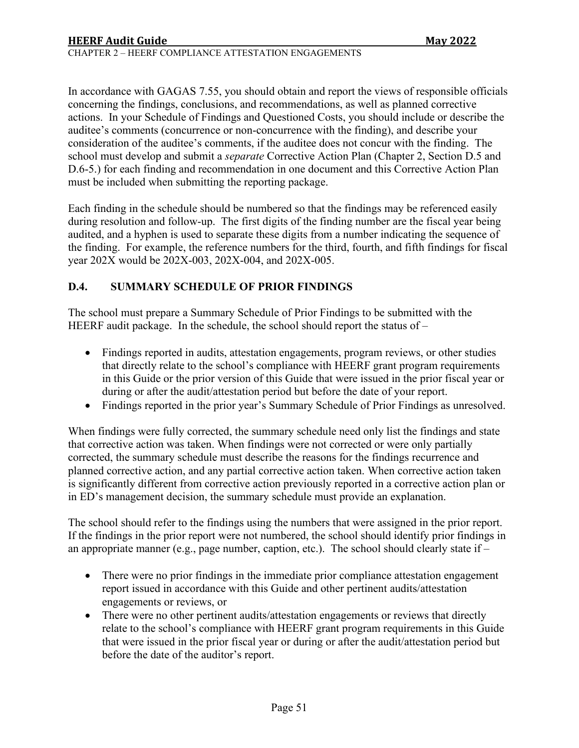CHAPTER 2 – HEERF COMPLIANCE ATTESTATION ENGAGEMENTS

In accordance with GAGAS 7.55, you should obtain and report the views of responsible officials concerning the findings, conclusions, and recommendations, as well as planned corrective actions. In your Schedule of Findings and Questioned Costs, you should include or describe the auditee's comments (concurrence or non-concurrence with the finding), and describe your consideration of the auditee's comments, if the auditee does not concur with the finding. The school must develop and submit a *separate* Corrective Action Plan (Chapter 2, Section D.5 and D.6-5.) for each finding and recommendation in one document and this Corrective Action Plan must be included when submitting the reporting package.

Each finding in the schedule should be numbered so that the findings may be referenced easily during resolution and follow-up. The first digits of the finding number are the fiscal year being audited, and a hyphen is used to separate these digits from a number indicating the sequence of the finding. For example, the reference numbers for the third, fourth, and fifth findings for fiscal year 202X would be 202X-003, 202X-004, and 202X-005.

# <span id="page-50-0"></span>**D.4. SUMMARY SCHEDULE OF PRIOR FINDINGS**

The school must prepare a Summary Schedule of Prior Findings to be submitted with the HEERF audit package. In the schedule, the school should report the status of –

- Findings reported in audits, attestation engagements, program reviews, or other studies that directly relate to the school's compliance with HEERF grant program requirements in this Guide or the prior version of this Guide that were issued in the prior fiscal year or during or after the audit/attestation period but before the date of your report.
- Findings reported in the prior year's Summary Schedule of Prior Findings as unresolved.

When findings were fully corrected, the summary schedule need only list the findings and state that corrective action was taken. When findings were not corrected or were only partially corrected, the summary schedule must describe the reasons for the findings recurrence and planned corrective action, and any partial corrective action taken. When corrective action taken is significantly different from corrective action previously reported in a corrective action plan or in ED's management decision, the summary schedule must provide an explanation.

The school should refer to the findings using the numbers that were assigned in the prior report. If the findings in the prior report were not numbered, the school should identify prior findings in an appropriate manner (e.g., page number, caption, etc.). The school should clearly state if –

- There were no prior findings in the immediate prior compliance attestation engagement report issued in accordance with this Guide and other pertinent audits/attestation engagements or reviews, or
- There were no other pertinent audits/attestation engagements or reviews that directly relate to the school's compliance with HEERF grant program requirements in this Guide that were issued in the prior fiscal year or during or after the audit/attestation period but before the date of the auditor's report.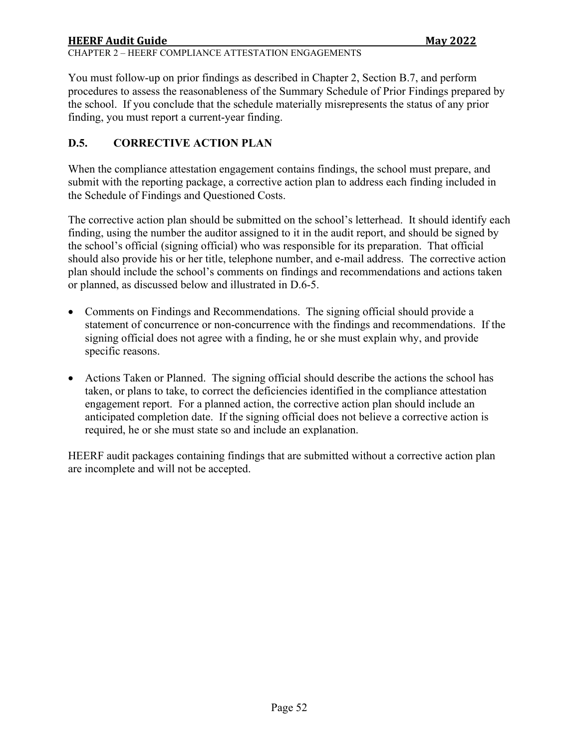# **HEERF Audit Guide Communist Communist Communist Communist Communist Communist Communist Communist Communist Communist Communist Communist Communist Communist Communist Communist Communist Communist Communist Communist Com** CHAPTER 2 – HEERF COMPLIANCE ATTESTATION ENGAGEMENTS

You must follow-up on prior findings as described in Chapter 2, Section B.7, and perform procedures to assess the reasonableness of the Summary Schedule of Prior Findings prepared by the school. If you conclude that the schedule materially misrepresents the status of any prior finding, you must report a current-year finding.

# <span id="page-51-0"></span>**D.5. CORRECTIVE ACTION PLAN**

When the compliance attestation engagement contains findings, the school must prepare, and submit with the reporting package, a corrective action plan to address each finding included in the Schedule of Findings and Questioned Costs.

The corrective action plan should be submitted on the school's letterhead. It should identify each finding, using the number the auditor assigned to it in the audit report, and should be signed by the school's official (signing official) who was responsible for its preparation. That official should also provide his or her title, telephone number, and e-mail address. The corrective action plan should include the school's comments on findings and recommendations and actions taken or planned, as discussed below and illustrated in D.6-5.

- Comments on Findings and Recommendations. The signing official should provide a statement of concurrence or non-concurrence with the findings and recommendations. If the signing official does not agree with a finding, he or she must explain why, and provide specific reasons.
- Actions Taken or Planned. The signing official should describe the actions the school has taken, or plans to take, to correct the deficiencies identified in the compliance attestation engagement report. For a planned action, the corrective action plan should include an anticipated completion date. If the signing official does not believe a corrective action is required, he or she must state so and include an explanation.

HEERF audit packages containing findings that are submitted without a corrective action plan are incomplete and will not be accepted.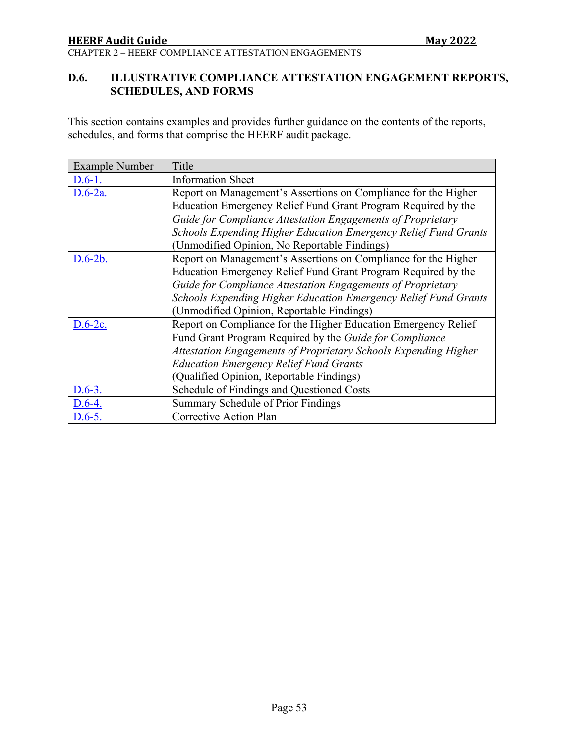CHAPTER 2 – HEERF COMPLIANCE ATTESTATION ENGAGEMENTS

# <span id="page-52-0"></span>**D.6. ILLUSTRATIVE COMPLIANCE ATTESTATION ENGAGEMENT REPORTS, SCHEDULES, AND FORMS**

This section contains examples and provides further guidance on the contents of the reports, schedules, and forms that comprise the HEERF audit package.

| <b>Example Number</b> | Title                                                           |  |  |
|-----------------------|-----------------------------------------------------------------|--|--|
| $D.6-1.$              | <b>Information Sheet</b>                                        |  |  |
| $D.6-2a.$             | Report on Management's Assertions on Compliance for the Higher  |  |  |
|                       | Education Emergency Relief Fund Grant Program Required by the   |  |  |
|                       | Guide for Compliance Attestation Engagements of Proprietary     |  |  |
|                       | Schools Expending Higher Education Emergency Relief Fund Grants |  |  |
|                       | (Unmodified Opinion, No Reportable Findings)                    |  |  |
| $D.6-2b.$             | Report on Management's Assertions on Compliance for the Higher  |  |  |
|                       | Education Emergency Relief Fund Grant Program Required by the   |  |  |
|                       | Guide for Compliance Attestation Engagements of Proprietary     |  |  |
|                       | Schools Expending Higher Education Emergency Relief Fund Grants |  |  |
|                       | (Unmodified Opinion, Reportable Findings)                       |  |  |
| $D.6-2c.$             | Report on Compliance for the Higher Education Emergency Relief  |  |  |
|                       | Fund Grant Program Required by the Guide for Compliance         |  |  |
|                       | Attestation Engagements of Proprietary Schools Expending Higher |  |  |
|                       | <b>Education Emergency Relief Fund Grants</b>                   |  |  |
|                       | (Qualified Opinion, Reportable Findings)                        |  |  |
| $D.6-3.$              | Schedule of Findings and Questioned Costs                       |  |  |
| D.6-4.                | Summary Schedule of Prior Findings                              |  |  |
| $D.6-5.$              | Corrective Action Plan                                          |  |  |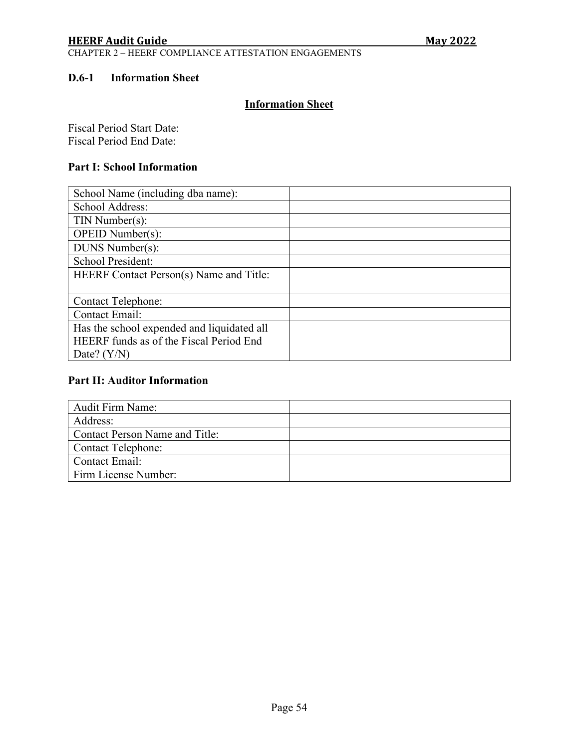CHAPTER 2 – HEERF COMPLIANCE ATTESTATION ENGAGEMENTS

#### <span id="page-53-0"></span>**D.6-1 Information Sheet**

# **Information Sheet**

Fiscal Period Start Date: Fiscal Period End Date:

#### **Part I: School Information**

| School Name (including dba name):          |  |
|--------------------------------------------|--|
| School Address:                            |  |
| $TIN$ Number(s):                           |  |
| $OPEID$ Number $(s)$ :                     |  |
| DUNS Number(s):                            |  |
| School President:                          |  |
| HEERF Contact Person(s) Name and Title:    |  |
|                                            |  |
| <b>Contact Telephone:</b>                  |  |
| <b>Contact Email:</b>                      |  |
| Has the school expended and liquidated all |  |
| HEERF funds as of the Fiscal Period End    |  |
| Date? $(Y/N)$                              |  |

#### **Part II: Auditor Information**

| <b>Audit Firm Name:</b>        |  |
|--------------------------------|--|
| Address:                       |  |
| Contact Person Name and Title: |  |
| Contact Telephone:             |  |
| Contact Email:                 |  |
| Firm License Number:           |  |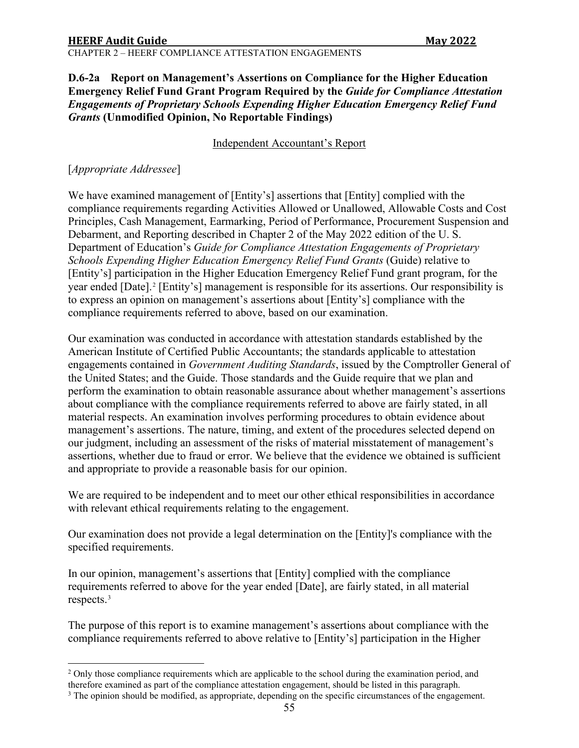CHAPTER 2 – HEERF COMPLIANCE ATTESTATION ENGAGEMENTS

#### <span id="page-54-0"></span>**D.6-2a Report on Management's Assertions on Compliance for the Higher Education Emergency Relief Fund Grant Program Required by the** *Guide for Compliance Attestation Engagements of Proprietary Schools Expending Higher Education Emergency Relief Fund Grants* **(Unmodified Opinion, No Reportable Findings)**

#### Independent Accountant's Report

### [*Appropriate Addressee*]

We have examined management of [Entity's] assertions that [Entity] complied with the compliance requirements regarding Activities Allowed or Unallowed, Allowable Costs and Cost Principles, Cash Management, Earmarking, Period of Performance, Procurement Suspension and Debarment, and Reporting described in Chapter 2 of the May 2022 edition of the U. S. Department of Education's *Guide for Compliance Attestation Engagements of Proprietary Schools Expending Higher Education Emergency Relief Fund Grants* (Guide) relative to [Entity's] participation in the Higher Education Emergency Relief Fund grant program, for the year ended [Date].<sup>[2](#page-54-1)</sup> [Entity's] management is responsible for its assertions. Our responsibility is to express an opinion on management's assertions about [Entity's] compliance with the compliance requirements referred to above, based on our examination.

Our examination was conducted in accordance with attestation standards established by the American Institute of Certified Public Accountants; the standards applicable to attestation engagements contained in *Government Auditing Standards*, issued by the Comptroller General of the United States; and the Guide. Those standards and the Guide require that we plan and perform the examination to obtain reasonable assurance about whether management's assertions about compliance with the compliance requirements referred to above are fairly stated, in all material respects. An examination involves performing procedures to obtain evidence about management's assertions. The nature, timing, and extent of the procedures selected depend on our judgment, including an assessment of the risks of material misstatement of management's assertions, whether due to fraud or error. We believe that the evidence we obtained is sufficient and appropriate to provide a reasonable basis for our opinion.

We are required to be independent and to meet our other ethical responsibilities in accordance with relevant ethical requirements relating to the engagement.

Our examination does not provide a legal determination on the [Entity]'s compliance with the specified requirements.

In our opinion, management's assertions that [Entity] complied with the compliance requirements referred to above for the year ended [Date], are fairly stated, in all material respects.[3](#page-54-2)

The purpose of this report is to examine management's assertions about compliance with the compliance requirements referred to above relative to [Entity's] participation in the Higher

<span id="page-54-1"></span><sup>&</sup>lt;sup>2</sup> Only those compliance requirements which are applicable to the school during the examination period, and therefore examined as part of the compliance attestation engagement, should be listed in this paragraph.

<span id="page-54-2"></span><sup>&</sup>lt;sup>3</sup> The opinion should be modified, as appropriate, depending on the specific circumstances of the engagement.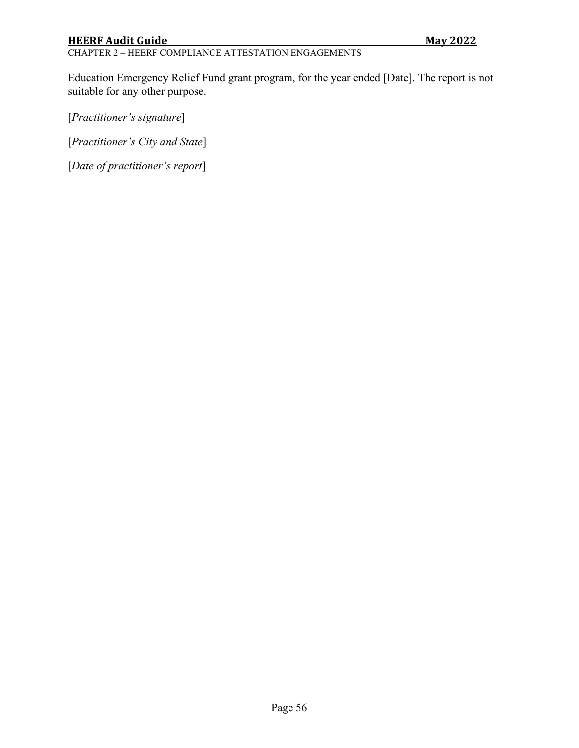# CHAPTER 2 – HEERF COMPLIANCE ATTESTATION ENGAGEMENTS

Education Emergency Relief Fund grant program, for the year ended [Date]. The report is not suitable for any other purpose.

[*Practitioner's signature*]

[*Practitioner's City and State*]

[*Date of practitioner's report*]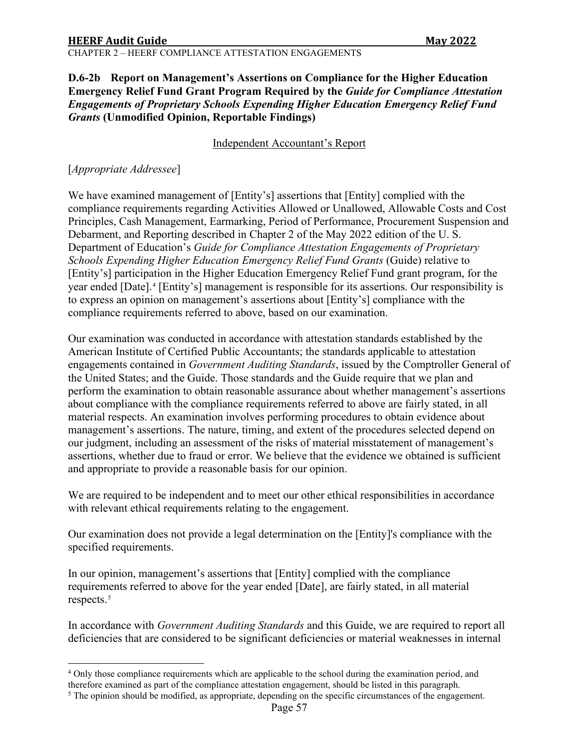CHAPTER 2 – HEERF COMPLIANCE ATTESTATION ENGAGEMENTS

#### <span id="page-56-0"></span>**D.6-2b Report on Management's Assertions on Compliance for the Higher Education Emergency Relief Fund Grant Program Required by the** *Guide for Compliance Attestation Engagements of Proprietary Schools Expending Higher Education Emergency Relief Fund Grants* **(Unmodified Opinion, Reportable Findings)**

#### Independent Accountant's Report

### [*Appropriate Addressee*]

We have examined management of [Entity's] assertions that [Entity] complied with the compliance requirements regarding Activities Allowed or Unallowed, Allowable Costs and Cost Principles, Cash Management, Earmarking, Period of Performance, Procurement Suspension and Debarment, and Reporting described in Chapter 2 of the May 2022 edition of the U. S. Department of Education's *Guide for Compliance Attestation Engagements of Proprietary Schools Expending Higher Education Emergency Relief Fund Grants* (Guide) relative to [Entity's] participation in the Higher Education Emergency Relief Fund grant program, for the year ended [Date].<sup>[4](#page-56-1)</sup> [Entity's] management is responsible for its assertions. Our responsibility is to express an opinion on management's assertions about [Entity's] compliance with the compliance requirements referred to above, based on our examination.

Our examination was conducted in accordance with attestation standards established by the American Institute of Certified Public Accountants; the standards applicable to attestation engagements contained in *Government Auditing Standards*, issued by the Comptroller General of the United States; and the Guide. Those standards and the Guide require that we plan and perform the examination to obtain reasonable assurance about whether management's assertions about compliance with the compliance requirements referred to above are fairly stated, in all material respects. An examination involves performing procedures to obtain evidence about management's assertions. The nature, timing, and extent of the procedures selected depend on our judgment, including an assessment of the risks of material misstatement of management's assertions, whether due to fraud or error. We believe that the evidence we obtained is sufficient and appropriate to provide a reasonable basis for our opinion.

We are required to be independent and to meet our other ethical responsibilities in accordance with relevant ethical requirements relating to the engagement.

Our examination does not provide a legal determination on the [Entity]'s compliance with the specified requirements.

In our opinion, management's assertions that [Entity] complied with the compliance requirements referred to above for the year ended [Date], are fairly stated, in all material respects.[5](#page-56-2)

In accordance with *Government Auditing Standards* and this Guide, we are required to report all deficiencies that are considered to be significant deficiencies or material weaknesses in internal

<span id="page-56-1"></span><sup>4</sup> Only those compliance requirements which are applicable to the school during the examination period, and therefore examined as part of the compliance attestation engagement, should be listed in this paragraph.

<span id="page-56-2"></span><sup>5</sup> The opinion should be modified, as appropriate, depending on the specific circumstances of the engagement.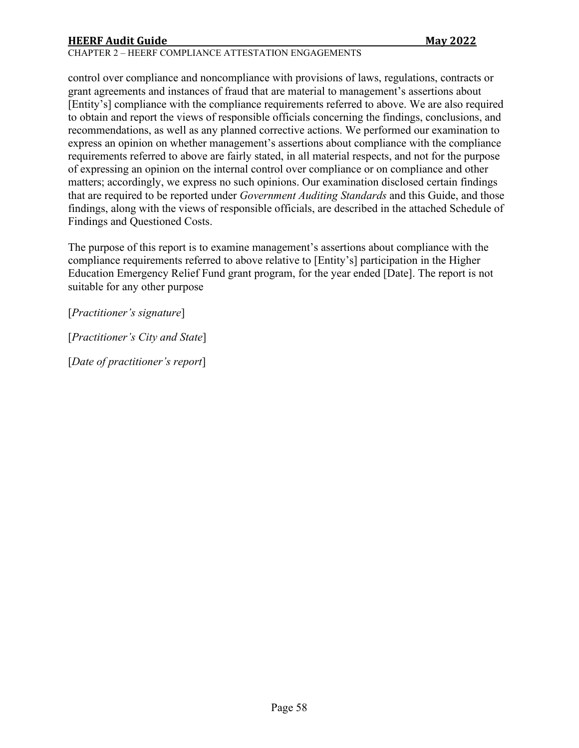#### CHAPTER 2 – HEERF COMPLIANCE ATTESTATION ENGAGEMENTS

control over compliance and noncompliance with provisions of laws, regulations, contracts or grant agreements and instances of fraud that are material to management's assertions about [Entity's] compliance with the compliance requirements referred to above. We are also required to obtain and report the views of responsible officials concerning the findings, conclusions, and recommendations, as well as any planned corrective actions. We performed our examination to express an opinion on whether management's assertions about compliance with the compliance requirements referred to above are fairly stated, in all material respects, and not for the purpose of expressing an opinion on the internal control over compliance or on compliance and other matters; accordingly, we express no such opinions. Our examination disclosed certain findings that are required to be reported under *Government Auditing Standards* and this Guide, and those findings, along with the views of responsible officials, are described in the attached Schedule of Findings and Questioned Costs.

The purpose of this report is to examine management's assertions about compliance with the compliance requirements referred to above relative to [Entity's] participation in the Higher Education Emergency Relief Fund grant program, for the year ended [Date]. The report is not suitable for any other purpose

[*Practitioner's signature*]

[*Practitioner's City and State*]

[*Date of practitioner's report*]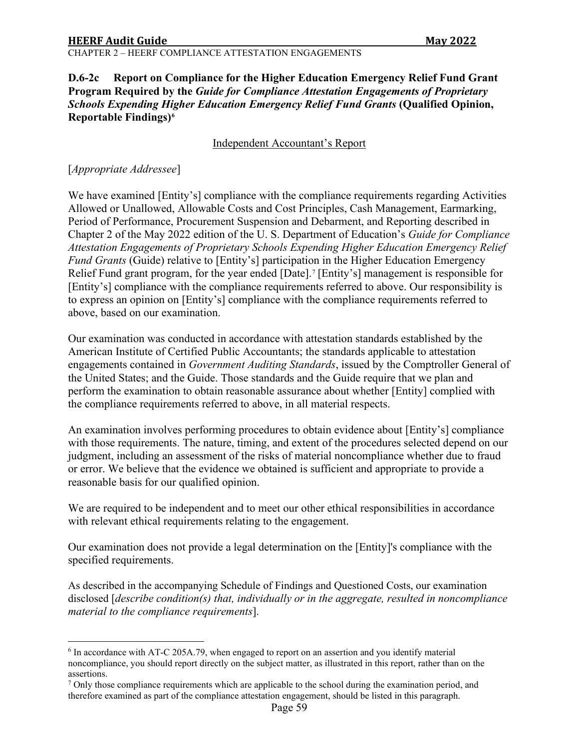#### <span id="page-58-0"></span>**D.6-2c Report on Compliance for the Higher Education Emergency Relief Fund Grant Program Required by the** *Guide for Compliance Attestation Engagements of Proprietary Schools Expending Higher Education Emergency Relief Fund Grants* **(Qualified Opinion, Reportable Findings)[6](#page-58-1)**

#### Independent Accountant's Report

#### [*Appropriate Addressee*]

We have examined [Entity's] compliance with the compliance requirements regarding Activities Allowed or Unallowed, Allowable Costs and Cost Principles, Cash Management, Earmarking, Period of Performance, Procurement Suspension and Debarment, and Reporting described in Chapter 2 of the May 2022 edition of the U. S. Department of Education's *Guide for Compliance Attestation Engagements of Proprietary Schools Expending Higher Education Emergency Relief Fund Grants* (Guide) relative to [Entity's] participation in the Higher Education Emergency Relief Fund grant program, for the year ended [Date].<sup>[7](#page-58-2)</sup> [Entity's] management is responsible for [Entity's] compliance with the compliance requirements referred to above. Our responsibility is to express an opinion on [Entity's] compliance with the compliance requirements referred to above, based on our examination.

Our examination was conducted in accordance with attestation standards established by the American Institute of Certified Public Accountants; the standards applicable to attestation engagements contained in *Government Auditing Standards*, issued by the Comptroller General of the United States; and the Guide. Those standards and the Guide require that we plan and perform the examination to obtain reasonable assurance about whether [Entity] complied with the compliance requirements referred to above, in all material respects.

An examination involves performing procedures to obtain evidence about [Entity's] compliance with those requirements. The nature, timing, and extent of the procedures selected depend on our judgment, including an assessment of the risks of material noncompliance whether due to fraud or error. We believe that the evidence we obtained is sufficient and appropriate to provide a reasonable basis for our qualified opinion.

We are required to be independent and to meet our other ethical responsibilities in accordance with relevant ethical requirements relating to the engagement.

Our examination does not provide a legal determination on the [Entity]'s compliance with the specified requirements.

As described in the accompanying Schedule of Findings and Questioned Costs, our examination disclosed [*describe condition(s) that, individually or in the aggregate, resulted in noncompliance material to the compliance requirements*].

<span id="page-58-1"></span><sup>6</sup> In accordance with AT-C 205A.79, when engaged to report on an assertion and you identify material noncompliance, you should report directly on the subject matter, as illustrated in this report, rather than on the assertions.<br><sup>7</sup> Only those compliance requirements which are applicable to the school during the examination period, and

<span id="page-58-2"></span>therefore examined as part of the compliance attestation engagement, should be listed in this paragraph.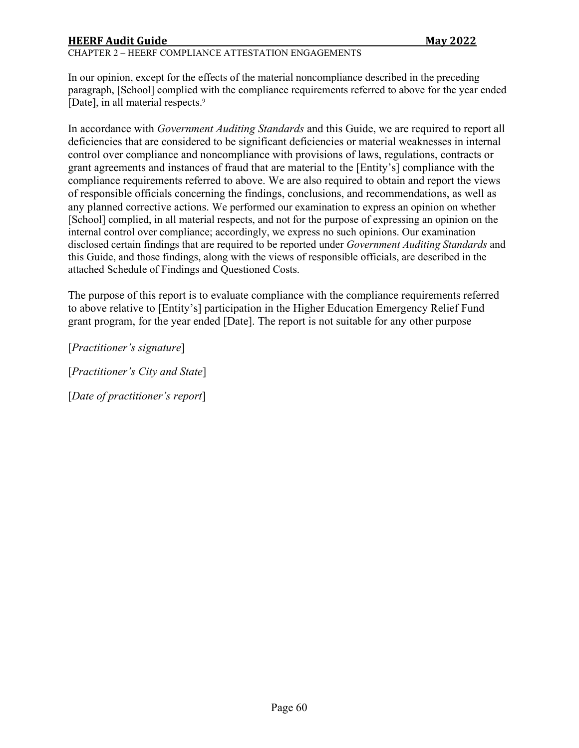#### CHAPTER 2 – HEERF COMPLIANCE ATTESTATION ENGAGEMENTS

In our opinion, except for the effects of the material noncompliance described in the preceding paragraph, [School] complied with the compliance requirements referred to above for the year ended [Date], in all material respects. 9

In accordance with *Government Auditing Standards* and this Guide, we are required to report all deficiencies that are considered to be significant deficiencies or material weaknesses in internal control over compliance and noncompliance with provisions of laws, regulations, contracts or grant agreements and instances of fraud that are material to the [Entity's] compliance with the compliance requirements referred to above. We are also required to obtain and report the views of responsible officials concerning the findings, conclusions, and recommendations, as well as any planned corrective actions. We performed our examination to express an opinion on whether [School] complied, in all material respects, and not for the purpose of expressing an opinion on the internal control over compliance; accordingly, we express no such opinions. Our examination disclosed certain findings that are required to be reported under *Government Auditing Standards* and this Guide, and those findings, along with the views of responsible officials, are described in the attached Schedule of Findings and Questioned Costs.

The purpose of this report is to evaluate compliance with the compliance requirements referred to above relative to [Entity's] participation in the Higher Education Emergency Relief Fund grant program, for the year ended [Date]. The report is not suitable for any other purpose

[*Practitioner's signature*]

[*Practitioner's City and State*]

[*Date of practitioner's report*]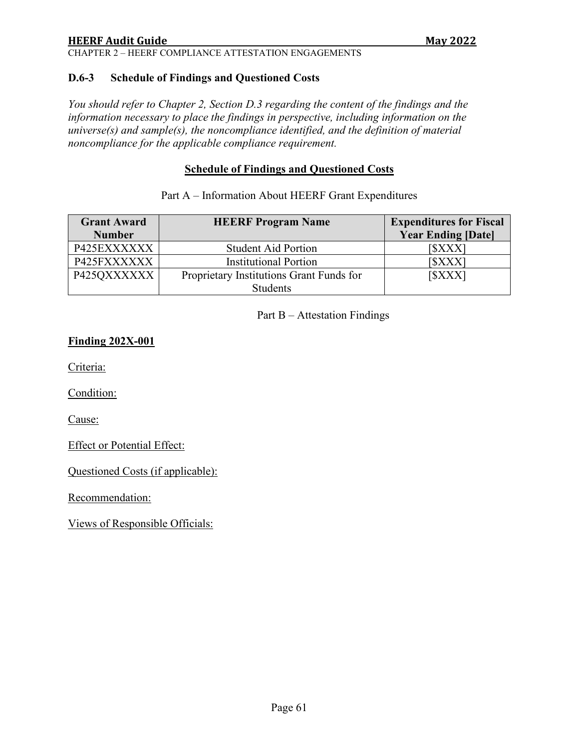CHAPTER 2 – HEERF COMPLIANCE ATTESTATION ENGAGEMENTS

#### <span id="page-60-0"></span>**D.6-3 Schedule of Findings and Questioned Costs**

*You should refer to Chapter 2, Section D.3 regarding the content of the findings and the information necessary to place the findings in perspective, including information on the universe(s) and sample(s), the noncompliance identified, and the definition of material noncompliance for the applicable compliance requirement.* 

#### **Schedule of Findings and Questioned Costs**

| <b>Grant Award</b> | <b>HEERF Program Name</b>                | <b>Expenditures for Fiscal</b>   |
|--------------------|------------------------------------------|----------------------------------|
| <b>Number</b>      |                                          | <b>Year Ending [Date]</b>        |
| P425EXXXXXX        | <b>Student Aid Portion</b>               | <b>SXXX</b>                      |
| P425FXXXXXX        | <b>Institutional Portion</b>             | $\left[\frac{\$XXX}{\ } \right]$ |
| P425QXXXXXX        | Proprietary Institutions Grant Funds for | [ <b>SXXX</b> ]                  |
|                    | <b>Students</b>                          |                                  |

#### Part A – Information About HEERF Grant Expenditures

#### Part B – Attestation Findings

#### **Finding 202X-001**

Criteria:

Condition:

Cause:

Effect or Potential Effect:

Questioned Costs (if applicable):

Recommendation:

Views of Responsible Officials: